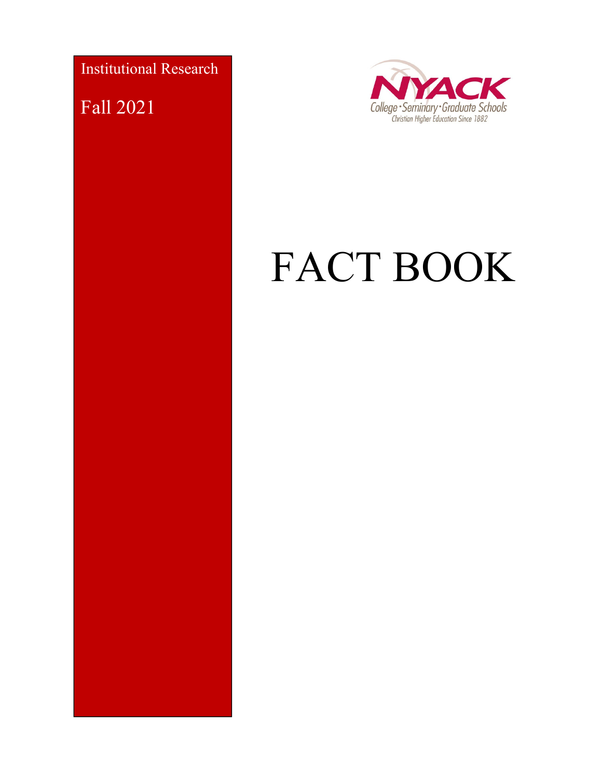Institutional Research

Fall 2021



# FACT BOOK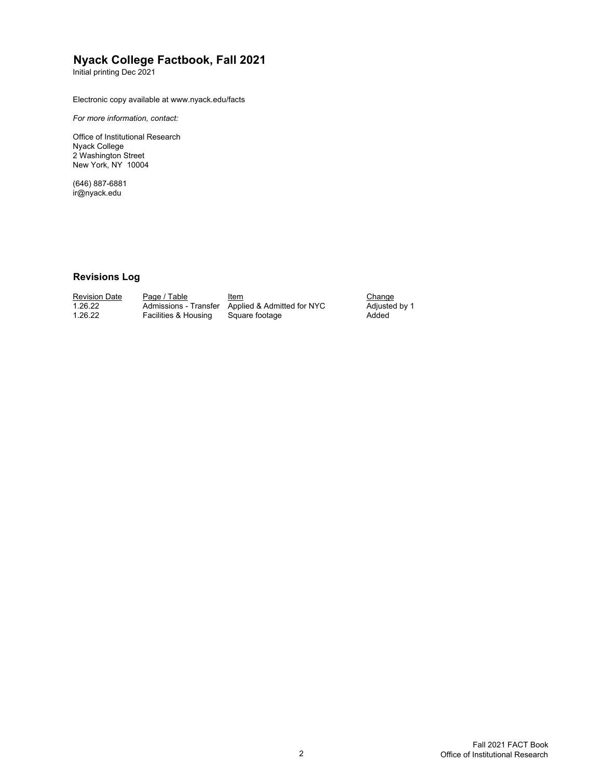#### **Nyack College Factbook, Fall 2021**

Initial printing Dec 2021

Electronic copy available at www.nyack.edu/facts

*For more information, contact:*

Office of Institutional Research Nyack College 2 Washington Street New York, NY 10004

(646) 887-6881 ir@nyack.edu

#### **Revisions Log**

| Revision Date | Page / Table         | Item                                             | Change  |
|---------------|----------------------|--------------------------------------------------|---------|
| 1.26.22       |                      | Admissions - Transfer Applied & Admitted for NYC | Adjuste |
| 1.26.22       | Facilities & Housing | Square footage                                   | Added   |

<u>Change</u><br>Adjusted by 1<br>Added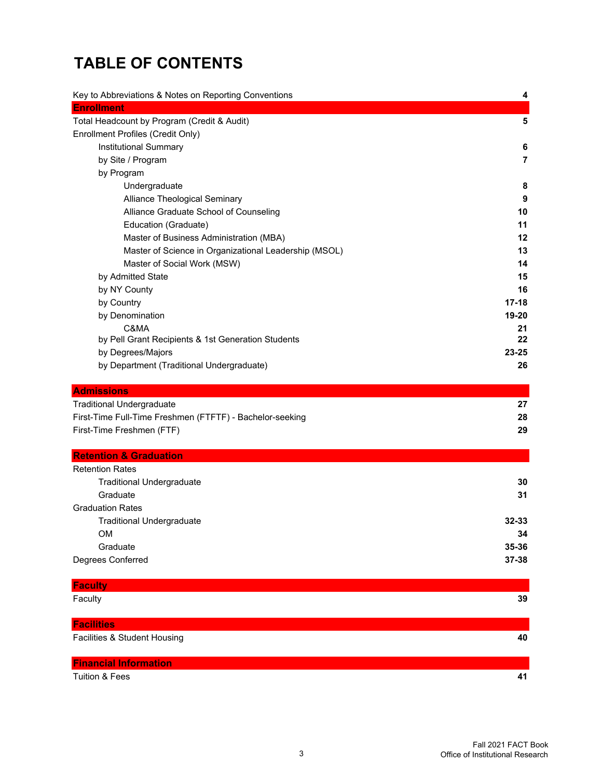# **TABLE OF CONTENTS**

| Key to Abbreviations & Notes on Reporting Conventions    | 4         |
|----------------------------------------------------------|-----------|
| <b>Enrollment</b>                                        |           |
| Total Headcount by Program (Credit & Audit)              | 5         |
| Enrollment Profiles (Credit Only)                        |           |
| Institutional Summary                                    | 6         |
| by Site / Program                                        | 7         |
| by Program                                               |           |
| Undergraduate                                            | 8         |
| Alliance Theological Seminary                            | 9         |
| Alliance Graduate School of Counseling                   | 10        |
| Education (Graduate)                                     | 11        |
| Master of Business Administration (MBA)                  | 12        |
| Master of Science in Organizational Leadership (MSOL)    | 13        |
| Master of Social Work (MSW)                              | 14        |
| by Admitted State                                        | 15        |
| by NY County                                             | 16        |
| by Country                                               | $17 - 18$ |
| by Denomination                                          | 19-20     |
| C&MA                                                     | 21        |
| by Pell Grant Recipients & 1st Generation Students       | 22        |
| by Degrees/Majors                                        | 23-25     |
| by Department (Traditional Undergraduate)                | 26        |
| <b>Admissions</b>                                        |           |
| <b>Traditional Undergraduate</b>                         | 27        |
| First-Time Full-Time Freshmen (FTFTF) - Bachelor-seeking | 28        |
| First-Time Freshmen (FTF)                                | 29        |
| <b>Retention &amp; Graduation</b>                        |           |
| <b>Retention Rates</b>                                   |           |
| <b>Traditional Undergraduate</b>                         | 30        |
| Graduate                                                 | 31        |
| <b>Graduation Rates</b>                                  |           |
| <b>Traditional Undergraduate</b>                         | 32-33     |
| <b>OM</b>                                                | 34        |
| Graduate                                                 | 35-36     |
| Degrees Conferred                                        | 37-38     |
| <b>Faculty</b>                                           |           |
| Faculty                                                  | 39        |
|                                                          |           |
| <b>Facilities</b>                                        |           |
| Facilities & Student Housing                             | 40        |
| <b>Financial Information</b>                             |           |
| Tuition & Fees                                           | 41        |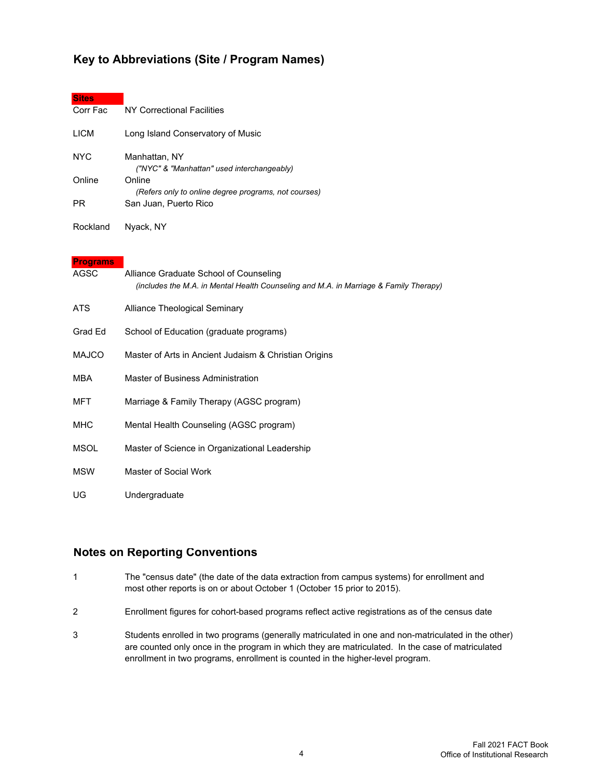#### **Key to Abbreviations (Site / Program Names)**

| <b>Sites</b>                      |                                                                                                                                                        |
|-----------------------------------|--------------------------------------------------------------------------------------------------------------------------------------------------------|
| Corr Fac                          | NY Correctional Facilities                                                                                                                             |
| <b>LICM</b>                       | Long Island Conservatory of Music                                                                                                                      |
| <b>NYC</b><br>Online<br><b>PR</b> | Manhattan, NY<br>("NYC" & "Manhattan" used interchangeably)<br>Online<br>(Refers only to online degree programs, not courses)<br>San Juan, Puerto Rico |
| Rockland                          | Nyack, NY                                                                                                                                              |
|                                   |                                                                                                                                                        |
| <b>Programs</b><br><b>AGSC</b>    | Alliance Graduate School of Counseling<br>(includes the M.A. in Mental Health Counseling and M.A. in Marriage & Family Therapy)                        |
| <b>ATS</b>                        | Alliance Theological Seminary                                                                                                                          |
| Grad Ed                           | School of Education (graduate programs)                                                                                                                |
| <b>MAJCO</b>                      | Master of Arts in Ancient Judaism & Christian Origins                                                                                                  |
| <b>MBA</b>                        | Master of Business Administration                                                                                                                      |
| <b>MFT</b>                        | Marriage & Family Therapy (AGSC program)                                                                                                               |
| <b>MHC</b>                        | Mental Health Counseling (AGSC program)                                                                                                                |
| <b>MSOL</b>                       | Master of Science in Organizational Leadership                                                                                                         |
| <b>MSW</b>                        | <b>Master of Social Work</b>                                                                                                                           |
| UG                                | Undergraduate                                                                                                                                          |

#### **Notes on Reporting Conventions**

- 1 The "census date" (the date of the data extraction from campus systems) for enrollment and most other reports is on or about October 1 (October 15 prior to 2015).
- 2 Enrollment figures for cohort-based programs reflect active registrations as of the census date
- 3 Students enrolled in two programs (generally matriculated in one and non-matriculated in the other) are counted only once in the program in which they are matriculated. In the case of matriculated enrollment in two programs, enrollment is counted in the higher-level program.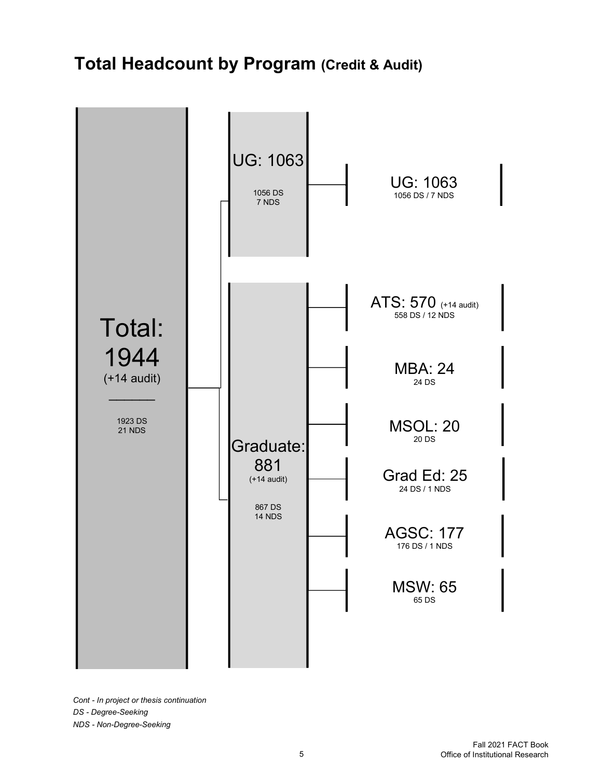# **Total Headcount by Program (Credit & Audit)**



*Cont - In project or thesis continuation DS - Degree-Seeking NDS - Non-Degree-Seeking*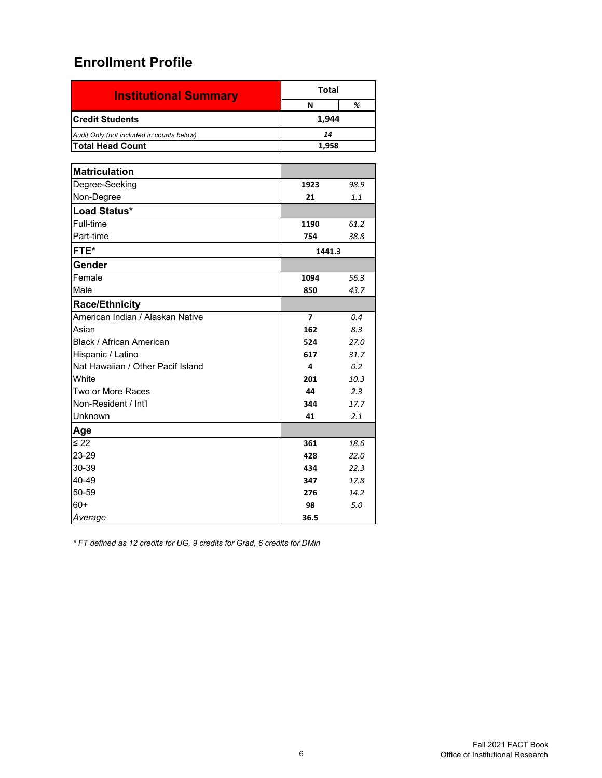| <b>Institutional Summary</b>              | <b>Total</b>   |      |
|-------------------------------------------|----------------|------|
|                                           | N              | %    |
| <b>Credit Students</b>                    | 1,944          |      |
| Audit Only (not included in counts below) | 14             |      |
| <b>Total Head Count</b>                   | 1,958          |      |
|                                           |                |      |
| <b>Matriculation</b>                      |                |      |
| Degree-Seeking                            | 1923           | 98.9 |
| Non-Degree                                | 21             | 1.1  |
| Load Status*                              |                |      |
| Full-time                                 | 1190           | 61.2 |
| Part-time                                 | 754            | 38.8 |
| FTE*                                      | 1441.3         |      |
| Gender                                    |                |      |
| Female                                    | 1094           | 56.3 |
| Male                                      | 850            | 43.7 |
| <b>Race/Ethnicity</b>                     |                |      |
| American Indian / Alaskan Native          | $\overline{ }$ | 0.4  |
| Asian                                     | 162            | 8.3  |
| Black / African American                  | 524            | 27.0 |
| Hispanic / Latino                         | 617            | 31.7 |
| Nat Hawaiian / Other Pacif Island         | 4              | 0.2  |
| White                                     | 201            | 10.3 |
| Two or More Races                         | 44             | 2.3  |
| Non-Resident / Int'l                      | 344            | 17.7 |
| Unknown                                   | 41             | 2.1  |
| Age                                       |                |      |
| $\leq 22$                                 | 361            | 18.6 |
| 23-29                                     | 428            | 22.0 |
| 30-39                                     | 434            | 22.3 |
| 40-49                                     | 347            | 17.8 |
| 50-59                                     | 276            | 14.2 |
| $60+$                                     | 98             | 5.0  |
| Average                                   | 36.5           |      |

*\* FT defined as 12 credits for UG, 9 credits for Grad, 6 credits for DMin*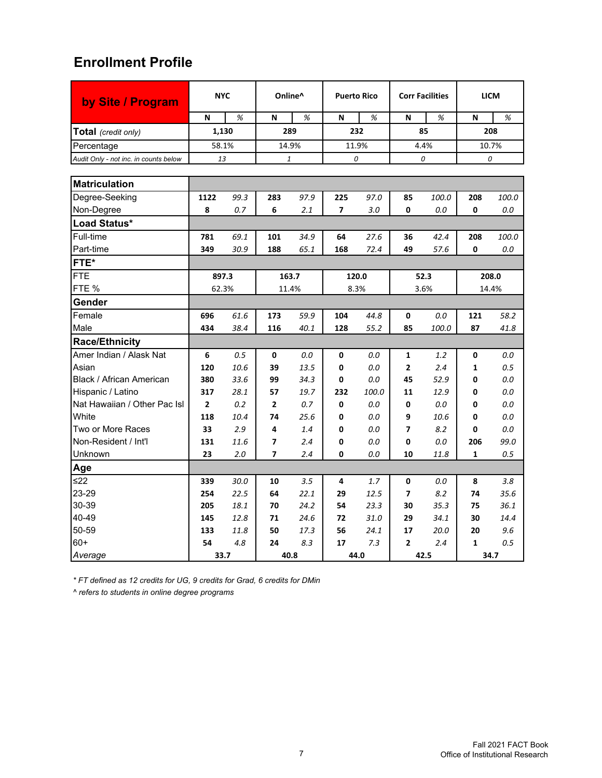| by Site / Program                     |                | <b>NYC</b><br>Online^ |                          | <b>Puerto Rico</b> |                          | <b>Corr Facilities</b> |                | <b>LICM</b> |              |       |
|---------------------------------------|----------------|-----------------------|--------------------------|--------------------|--------------------------|------------------------|----------------|-------------|--------------|-------|
|                                       | N              | %                     | N                        | %                  | N                        | %                      | N              | %           | N            | %     |
| Total (credit only)                   | 1,130          |                       |                          | 289                |                          | 232                    |                | 85          | 208          |       |
| Percentage                            | 58.1%          |                       |                          | 14.9%              |                          | 11.9%                  |                | 4.4%        | 10.7%        |       |
| Audit Only - not inc. in counts below | 13             |                       |                          | 1                  |                          | 0                      |                | 0           |              | 0     |
|                                       |                |                       |                          |                    |                          |                        |                |             |              |       |
| <b>Matriculation</b>                  |                |                       |                          |                    |                          |                        |                |             |              |       |
| Degree-Seeking                        | 1122           | 99.3                  | 283                      | 97.9               | 225                      | 97.0                   | 85             | 100.0       | 208          | 100.0 |
| Non-Degree                            | 8              | 0.7                   | 6                        | 2.1                | $\overline{\phantom{a}}$ | 3.0                    | 0              | 0.0         | 0            | 0.0   |
| Load Status*                          |                |                       |                          |                    |                          |                        |                |             |              |       |
| Full-time                             | 781            | 69.1                  | 101                      | 34.9               | 64                       | 27.6                   | 36             | 42.4        | 208          | 100.0 |
| Part-time                             | 349            | 30.9                  | 188                      | 65.1               | 168                      | 72.4                   | 49             | 57.6        | 0            | 0.0   |
| FTE*                                  |                |                       |                          |                    |                          |                        |                |             |              |       |
| <b>FTE</b>                            | 897.3          |                       |                          | 163.7              |                          | 120.0                  |                | 52.3        |              | 208.0 |
| FTE %                                 | 62.3%          |                       |                          | 11.4%              |                          | 8.3%                   | 3.6%           |             | 14.4%        |       |
| Gender                                |                |                       |                          |                    |                          |                        |                |             |              |       |
| Female                                | 696            | 61.6                  | 173                      | 59.9               | 104                      | 44.8                   | $\mathbf 0$    | 0.0         | 121          | 58.2  |
| Male                                  | 434            | 38.4                  | 116                      | 40.1               | 128                      | 55.2                   | 85             | 100.0       | 87           | 41.8  |
| <b>Race/Ethnicity</b>                 |                |                       |                          |                    |                          |                        |                |             |              |       |
| Amer Indian / Alask Nat               | 6              | 0.5                   | 0                        | 0.0                | 0                        | 0.0                    | $\mathbf{1}$   | 1.2         | 0            | 0.0   |
| Asian                                 | 120            | 10.6                  | 39                       | 13.5               | 0                        | 0.0                    | $\overline{2}$ | 2.4         | 1            | 0.5   |
| Black / African American              | 380            | 33.6                  | 99                       | 34.3               | 0                        | 0.0                    | 45             | 52.9        | 0            | 0.0   |
| Hispanic / Latino                     | 317            | 28.1                  | 57                       | 19.7               | 232                      | 100.0                  | 11             | 12.9        | 0            | 0.0   |
| Nat Hawaiian / Other Pac Isl          | $\overline{2}$ | 0.2                   | $\overline{2}$           | 0.7                | 0                        | $0.0\,$                | 0              | 0.0         | 0            | 0.0   |
| White                                 | 118            | 10.4                  | 74                       | 25.6               | 0                        | 0.0                    | 9              | 10.6        | 0            | 0.0   |
| Two or More Races                     | 33             | 2.9                   | 4                        | 1.4                | 0                        | 0.0                    | 7              | 8.2         | 0            | 0.0   |
| Non-Resident / Int'l                  | 131            | 11.6                  | 7                        | 2.4                | 0                        | 0.0                    | 0              | 0.0         | 206          | 99.0  |
| Unknown                               | 23             | 2.0                   | $\overline{\phantom{a}}$ | 2.4                | 0                        | 0.0                    | 10             | 11.8        | 1            | 0.5   |
| Age                                   |                |                       |                          |                    |                          |                        |                |             |              |       |
| ≤22                                   | 339            | 30.0                  | 10                       | 3.5                | 4                        | 1.7                    | 0              | 0.0         | 8            | 3.8   |
| 23-29                                 | 254            | 22.5                  | 64                       | 22.1               | 29                       | 12.5                   | 7              | 8.2         | 74           | 35.6  |
| 30-39                                 | 205            | 18.1                  | 70                       | 24.2               | 54                       | 23.3                   | 30             | 35.3        | 75           | 36.1  |
| 40-49                                 | 145            | 12.8                  | 71                       | 24.6               | 72                       | 31.0                   | 29             | 34.1        | 30           | 14.4  |
| 50-59                                 | 133            | 11.8                  | 50                       | 17.3               | 56                       | 24.1                   | 17             | 20.0        | 20           | 9.6   |
| $60+$                                 | 54             | 4.8                   | 24                       | 8.3                | 17                       | 7.3                    | $\overline{2}$ | 2.4         | $\mathbf{1}$ | 0.5   |
| Average                               | 33.7           |                       |                          | 40.8               |                          | 44.0                   |                | 42.5        | 34.7         |       |

*\* FT defined as 12 credits for UG, 9 credits for Grad, 6 credits for DMin*

*^ refers to students in online degree programs*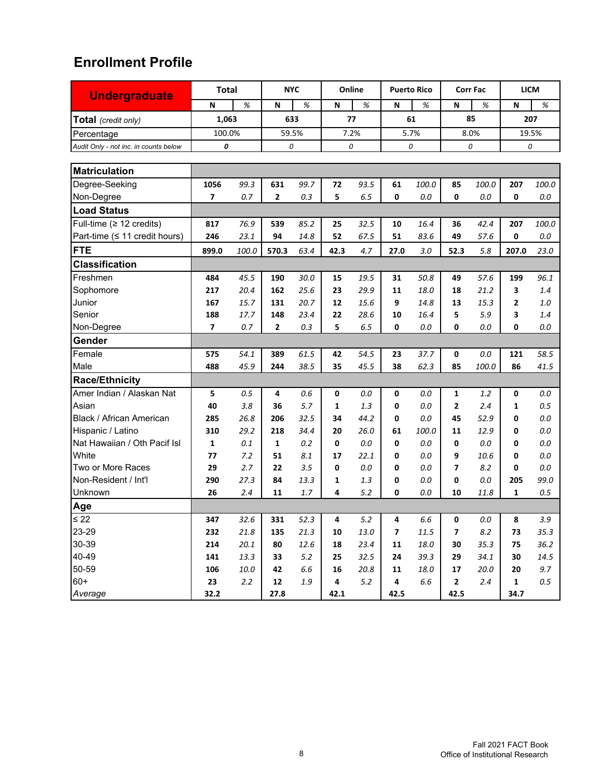| <b>Undergraduate</b>                  | <b>Total</b>   |       |                | <b>NYC</b> |              | Online |      | <b>Puerto Rico</b> |                | <b>Corr Fac</b> | <b>LICM</b>  |         |
|---------------------------------------|----------------|-------|----------------|------------|--------------|--------|------|--------------------|----------------|-----------------|--------------|---------|
|                                       | N              | %     | N              | %          | N            | %      | N    | %                  | N              | %               | $\mathbf N$  | %       |
| Total (credit only)                   | 1,063          |       | 633            |            | 77           |        | 61   |                    | 85             |                 | 207          |         |
| Percentage                            | 100.0%         |       | 59.5%          |            |              | 7.2%   |      | 5.7%               | 8.0%           |                 | 19.5%        |         |
| Audit Only - not inc. in counts below | 0              |       | 0              |            |              | 0      |      | 0                  |                | 0               |              | 0       |
|                                       |                |       |                |            |              |        |      |                    |                |                 |              |         |
| <b>Matriculation</b>                  |                |       |                |            |              |        |      |                    |                |                 |              |         |
| Degree-Seeking                        | 1056           | 99.3  | 631            | 99.7       | 72           | 93.5   | 61   | 100.0              | 85             | 100.0           | 207          | 100.0   |
| Non-Degree                            | 7              | 0.7   | $\mathbf{2}$   | 0.3        | 5            | 6.5    | 0    | 0.0                | 0              | 0.0             | 0            | $0.0\,$ |
| <b>Load Status</b>                    |                |       |                |            |              |        |      |                    |                |                 |              |         |
| Full-time ( $\geq$ 12 credits)        | 817            | 76.9  | 539            | 85.2       | 25           | 32.5   | 10   | 16.4               | 36             | 42.4            | 207          | 100.0   |
| Part-time (≤ 11 credit hours)         | 246            | 23.1  | 94             | 14.8       | 52           | 67.5   | 51   | 83.6               | 49             | 57.6            | 0            | 0.0     |
| <b>FTE</b>                            | 899.0          | 100.0 | 570.3          | 63.4       | 42.3         | 4.7    | 27.0 | 3.0                | 52.3           | 5.8             | 207.0        | 23.0    |
| <b>Classification</b>                 |                |       |                |            |              |        |      |                    |                |                 |              |         |
| Freshmen                              | 484            | 45.5  | 190            | 30.0       | 15           | 19.5   | 31   | 50.8               | 49             | 57.6            | 199          | 96.1    |
| Sophomore                             | 217            | 20.4  | 162            | 25.6       | 23           | 29.9   | 11   | 18.0               | 18             | 21.2            | 3            | 1.4     |
| Junior                                | 167            | 15.7  | 131            | 20.7       | 12           | 15.6   | 9    | 14.8               | 13             | 15.3            | 2            | 1.0     |
| Senior                                | 188            | 17.7  | 148            | 23.4       | 22           | 28.6   | 10   | 16.4               | 5              | 5.9             | 3            | 1.4     |
| Non-Degree                            | $\overline{ }$ | 0.7   | $\overline{2}$ | 0.3        | 5            | 6.5    | 0    | 0.0                | 0              | 0.0             | 0            | 0.0     |
| Gender                                |                |       |                |            |              |        |      |                    |                |                 |              |         |
| Female                                | 575            | 54.1  | 389            | 61.5       | 42           | 54.5   | 23   | 37.7               | 0              | $0.0\,$         | 121          | 58.5    |
| Male                                  | 488            | 45.9  | 244            | 38.5       | 35           | 45.5   | 38   | 62.3               | 85             | 100.0           | 86           | 41.5    |
| <b>Race/Ethnicity</b>                 |                |       |                |            |              |        |      |                    |                |                 |              |         |
| Amer Indian / Alaskan Nat             | 5              | 0.5   | 4              | 0.6        | 0            | 0.0    | 0    | 0.0                | 1              | 1.2             | 0            | 0.0     |
| Asian                                 | 40             | 3.8   | 36             | 5.7        | $\mathbf{1}$ | 1.3    | 0    | 0.0                | $\overline{2}$ | 2.4             | 1            | 0.5     |
| Black / African American              | 285            | 26.8  | 206            | 32.5       | 34           | 44.2   | 0    | 0.0                | 45             | 52.9            | 0            | 0.0     |
| Hispanic / Latino                     | 310            | 29.2  | 218            | 34.4       | 20           | 26.0   | 61   | 100.0              | 11             | 12.9            | 0            | $0.0\,$ |
| Nat Hawaiian / Oth Pacif Isl          | 1              | 0.1   | $\mathbf{1}$   | 0.2        | 0            | 0.0    | 0    | 0.0                | 0              | $0.0\,$         | 0            | $0.0\,$ |
| White                                 | 77             | 7.2   | 51             | 8.1        | 17           | 22.1   | 0    | 0.0                | 9              | 10.6            | 0            | 0.0     |
| Two or More Races                     | 29             | 2.7   | 22             | 3.5        | 0            | 0.0    | 0    | 0.0                | 7              | 8.2             | 0            | 0.0     |
| Non-Resident / Int'l                  | 290            | 27.3  | 84             | 13.3       | 1            | 1.3    | 0    | 0.0                | 0              | 0.0             | 205          | 99.0    |
| Unknown                               | 26             | 2.4   | 11             | 1.7        | 4            | 5.2    | 0    | 0.0                | 10             | 11.8            | 1            | 0.5     |
| Age                                   |                |       |                |            |              |        |      |                    |                |                 |              |         |
| $\leq 22$                             | 347            | 32.6  | 331            | 52.3       | 4            | 5.2    | 4    | 6.6                | 0              | 0.0             | 8            | 3.9     |
| 23-29                                 | 232            | 21.8  | 135            | 21.3       | 10           | 13.0   | 7    | 11.5               | 7              | 8.2             | 73           | 35.3    |
| 30-39                                 | 214            | 20.1  | 80             | 12.6       | 18           | 23.4   | 11   | 18.0               | 30             | 35.3            | 75           | 36.2    |
| 40-49                                 | 141            | 13.3  | 33             | 5.2        | 25           | 32.5   | 24   | 39.3               | 29             | 34.1            | 30           | 14.5    |
| 50-59                                 | 106            | 10.0  | 42             | 6.6        | 16           | 20.8   | 11   | 18.0               | 17             | 20.0            | 20           | 9.7     |
| $60+$                                 | 23             | 2.2   | 12             | 1.9        | 4            | 5.2    | 4    | $6.6\,$            | $\mathbf{2}$   | 2.4             | $\mathbf{1}$ | $0.5\,$ |
| Average                               | 32.2           |       | 27.8           |            | 42.1         |        | 42.5 |                    | 42.5           |                 | 34.7         |         |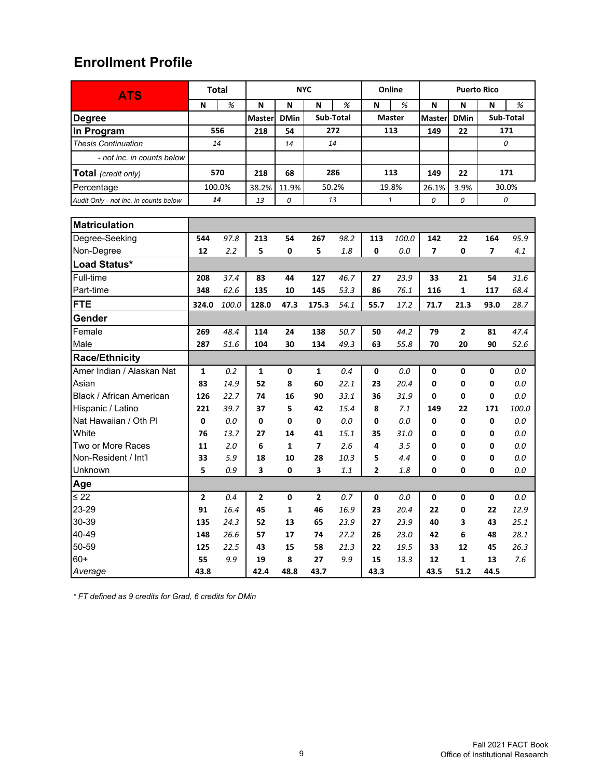| <b>ATS</b>                            |                | <b>Total</b> | <b>NYC</b>     |              | Online         |           | <b>Puerto Rico</b> |               |                          |              |                |           |
|---------------------------------------|----------------|--------------|----------------|--------------|----------------|-----------|--------------------|---------------|--------------------------|--------------|----------------|-----------|
|                                       | N              | %            | N              | N            | N              | %         | N                  | %             | N                        | N            | N              | %         |
| <b>Degree</b>                         |                |              | Master         | <b>DMin</b>  |                | Sub-Total |                    | <b>Master</b> | <b>Master</b>            | <b>DMin</b>  |                | Sub-Total |
| In Program                            |                | 556          | 218            | 54           |                | 272       |                    | 113           | 149                      | 22           |                | 171       |
| <b>Thesis Continuation</b>            | 14             |              |                | 14           |                | 14        |                    |               |                          |              |                | 0         |
| - not inc. in counts below            |                |              |                |              |                |           |                    |               |                          |              |                |           |
| Total (credit only)                   |                | 570          | 218            | 68           |                | 286       |                    | 113           | 149                      | 22           |                | 171       |
| Percentage                            |                | 100.0%       | 38.2%          | 11.9%        |                | 50.2%     |                    | 19.8%         | 26.1%                    | 3.9%         |                | 30.0%     |
| Audit Only - not inc. in counts below | 14             |              | 13             | 0            | 13             |           |                    | $\it 1$       | 0                        | 0            |                | 0         |
|                                       |                |              |                |              |                |           |                    |               |                          |              |                |           |
| <b>Matriculation</b>                  |                |              |                |              |                |           |                    |               |                          |              |                |           |
| Degree-Seeking                        | 544            | 97.8         | 213            | 54           | 267            | 98.2      | 113                | 100.0         | 142                      | 22           | 164            | 95.9      |
| Non-Degree                            | 12             | 2.2          | 5              | 0            | 5              | 1.8       | 0                  | 0.0           | $\overline{\phantom{a}}$ | 0            | $\overline{ }$ | 4.1       |
| Load Status*                          |                |              |                |              |                |           |                    |               |                          |              |                |           |
| Full-time                             | 208            | 37.4         | 83             | 44           | 127            | 46.7      | 27                 | 23.9          | 33                       | 21           | 54             | 31.6      |
| Part-time                             | 348            | 62.6         | 135            | 10           | 145            | 53.3      | 86                 | 76.1          | 116                      | 1            | 117            | 68.4      |
| <b>FTE</b>                            | 324.0          | 100.0        | 128.0          | 47.3         | 175.3          | 54.1      | 55.7               | 17.2          | 71.7                     | 21.3         | 93.0           | 28.7      |
| Gender                                |                |              |                |              |                |           |                    |               |                          |              |                |           |
| Female                                | 269            | 48.4         | 114            | 24           | 138            | 50.7      | 50                 | 44.2          | 79                       | 2            | 81             | 47.4      |
| Male                                  | 287            | 51.6         | 104            | 30           | 134            | 49.3      | 63                 | 55.8          | 70                       | 20           | 90             | 52.6      |
| <b>Race/Ethnicity</b>                 |                |              |                |              |                |           |                    |               |                          |              |                |           |
| Amer Indian / Alaskan Nat             | $\mathbf{1}$   | 0.2          | $\mathbf{1}$   | 0            | $\mathbf{1}$   | 0.4       | 0                  | 0.0           | 0                        | 0            | 0              | 0.0       |
| Asian                                 | 83             | 14.9         | 52             | 8            | 60             | 22.1      | 23                 | 20.4          | 0                        | 0            | 0              | 0.0       |
| Black / African American              | 126            | 22.7         | 74             | 16           | 90             | 33.1      | 36                 | 31.9          | 0                        | 0            | 0              | 0.0       |
| Hispanic / Latino                     | 221            | 39.7         | 37             | 5            | 42             | 15.4      | 8                  | 7.1           | 149                      | 22           | 171            | 100.0     |
| Nat Hawaiian / Oth PI                 | 0              | 0.0          | 0              | 0            | 0              | 0.0       | 0                  | 0.0           | 0                        | 0            | $\mathbf 0$    | 0.0       |
| White                                 | 76             | 13.7         | 27             | 14           | 41             | 15.1      | 35                 | 31.0          | 0                        | 0            | 0              | 0.0       |
| Two or More Races                     | 11             | 2.0          | 6              | $\mathbf{1}$ | $\overline{7}$ | 2.6       | 4                  | 3.5           | 0                        | 0            | 0              | 0.0       |
| Non-Resident / Int'l                  | 33             | 5.9          | 18             | 10           | 28             | 10.3      | 5                  | 4.4           | 0                        | 0            | 0              | 0.0       |
| Unknown                               | 5              | 0.9          | 3              | 0            | 3              | 1.1       | $\overline{2}$     | 1.8           | 0                        | 0            | 0              | 0.0       |
| Age                                   |                |              |                |              |                |           |                    |               |                          |              |                |           |
| $\leq$ 22                             | $\overline{2}$ | 0.4          | $\overline{2}$ | 0            | $\overline{2}$ | 0.7       | 0                  | 0.0           | 0                        | 0            | 0              | 0.0       |
| 23-29                                 | 91             | 16.4         | 45             | $\mathbf{1}$ | 46             | 16.9      | 23                 | 20.4          | 22                       | 0            | 22             | 12.9      |
| 30-39                                 | 135            | 24.3         | 52             | 13           | 65             | 23.9      | 27                 | 23.9          | 40                       | 3            | 43             | 25.1      |
| 40-49                                 | 148            | 26.6         | 57             | 17           | 74             | 27.2      | 26                 | 23.0          | 42                       | 6            | 48             | 28.1      |
| 50-59                                 | 125            | 22.5         | 43             | 15           | 58             | 21.3      | 22                 | 19.5          | 33                       | 12           | 45             | 26.3      |
| $60+$                                 | 55             | 9.9          | 19             | 8            | 27             | 9.9       | 15                 | 13.3          | 12                       | $\mathbf{1}$ | 13             | 7.6       |
| Average                               | 43.8           |              | 42.4           | 48.8         | 43.7           |           | 43.3               |               | 43.5                     | 51.2         | 44.5           |           |

*\* FT defined as 9 credits for Grad, 6 credits for DMin*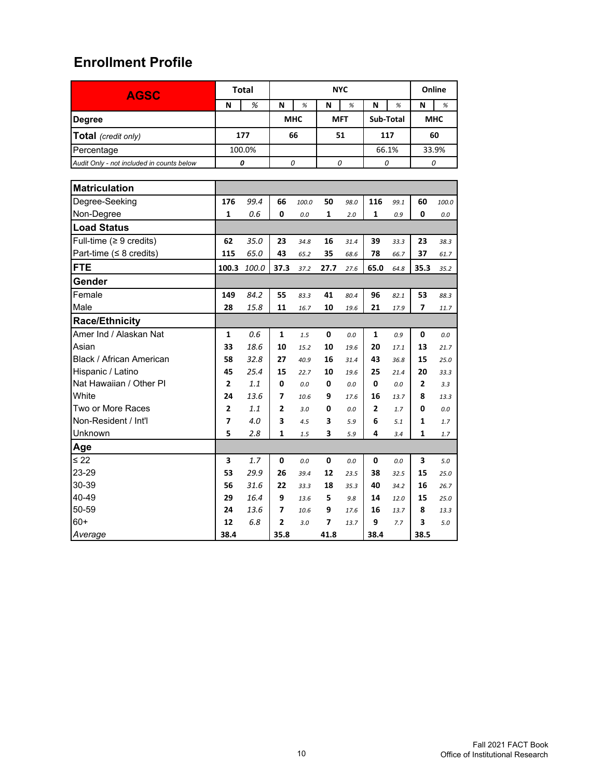| <b>AGSC</b>                               |                | <b>Total</b> |                | <b>NYC</b> |            |      |              |      |                | Online |  |
|-------------------------------------------|----------------|--------------|----------------|------------|------------|------|--------------|------|----------------|--------|--|
|                                           | N              | %            | N              | $\%$       | N          | $\%$ | N            | $\%$ | N              | %      |  |
| <b>Degree</b>                             |                |              | <b>MHC</b>     |            | <b>MFT</b> |      | Sub-Total    |      | <b>MHC</b>     |        |  |
| Total (credit only)                       |                | 177          | 66             |            | 51         |      | 117          |      | 60             |        |  |
| Percentage                                |                | 100.0%       |                |            |            |      | 66.1%        |      | 33.9%          |        |  |
| Audit Only - not included in counts below |                | 0            | 0              |            | 0          |      | 0            |      | 0              |        |  |
|                                           |                |              |                |            |            |      |              |      |                |        |  |
| <b>Matriculation</b>                      |                |              |                |            |            |      |              |      |                |        |  |
| Degree-Seeking                            | 176            | 99.4         | 66             | 100.0      | 50         | 98.0 | 116          | 99.1 | 60             | 100.0  |  |
| Non-Degree                                | 1              | 0.6          | 0              | 0.0        | 1          | 2.0  | 1            | 0.9  | 0              | 0.0    |  |
| <b>Load Status</b>                        |                |              |                |            |            |      |              |      |                |        |  |
| Full-time ( $\geq 9$ credits)             | 62             | 35.0         | 23             | 34.8       | 16         | 31.4 | 39           | 33.3 | 23             | 38.3   |  |
| Part-time (≤ 8 credits)                   | 115            | 65.0         | 43             | 65.2       | 35         | 68.6 | 78           | 66.7 | 37             | 61.7   |  |
| <b>FTE</b>                                | 100.3          | 100.0        | 37.3           | 37.2       | 27.7       | 27.6 | 65.0         | 64.8 | 35.3           | 35.2   |  |
| Gender                                    |                |              |                |            |            |      |              |      |                |        |  |
| Female                                    | 149            | 84.2         | 55             | 83.3       | 41         | 80.4 | 96           | 82.1 | 53             | 88.3   |  |
| Male                                      | 28             | 15.8         | 11             | 16.7       | 10         | 19.6 | 21           | 17.9 | 7              | 11.7   |  |
| <b>Race/Ethnicity</b>                     |                |              |                |            |            |      |              |      |                |        |  |
| Amer Ind / Alaskan Nat                    | 1              | 0.6          | 1              | 1.5        | 0          | 0.0  | 1            | 0.9  | 0              | 0.0    |  |
| Asian                                     | 33             | 18.6         | 10             | 15.2       | 10         | 19.6 | 20           | 17.1 | 13             | 21.7   |  |
| Black / African American                  | 58             | 32.8         | 27             | 40.9       | 16         | 31.4 | 43           | 36.8 | 15             | 25.0   |  |
| Hispanic / Latino                         | 45             | 25.4         | 15             | 22.7       | 10         | 19.6 | 25           | 21.4 | 20             | 33.3   |  |
| Nat Hawaiian / Other PI                   | $\overline{2}$ | 1.1          | 0              | 0.0        | 0          | 0.0  | 0            | 0.0  | $\overline{2}$ | 3.3    |  |
| White                                     | 24             | 13.6         | 7              | 10.6       | 9          | 17.6 | 16           | 13.7 | 8              | 13.3   |  |
| Two or More Races                         | 2              | 1.1          | $\overline{2}$ | 3.0        | 0          | 0.0  | $\mathbf{2}$ | 1.7  | 0              | 0.0    |  |
| Non-Resident / Int'l                      | 7              | 4.0          | 3              | 4.5        | 3          | 5.9  | 6            | 5.1  | 1              | 1.7    |  |
| Unknown                                   | 5              | 2.8          | 1              | 1.5        | 3          | 5.9  | 4            | 3.4  | 1              | 1.7    |  |
| Age                                       |                |              |                |            |            |      |              |      |                |        |  |
| $\leq 22$                                 | 3              | 1.7          | 0              | 0.0        | 0          | 0.0  | 0            | 0.0  | 3              | 5.0    |  |
| 23-29                                     | 53             | 29.9         | 26             | 39.4       | 12         | 23.5 | 38           | 32.5 | 15             | 25.0   |  |
| 30-39                                     | 56             | 31.6         | 22             | 33.3       | 18         | 35.3 | 40           | 34.2 | 16             | 26.7   |  |
| 40-49                                     | 29             | 16.4         | 9              | 13.6       | 5          | 9.8  | 14           | 12.0 | 15             | 25.0   |  |
| 50-59                                     | 24             | 13.6         | 7              | 10.6       | 9          | 17.6 | 16           | 13.7 | 8              | 13.3   |  |
| $60+$                                     | 12             | 6.8          | 2              | 3.0        | 7          | 13.7 | 9            | 7.7  | 3              | 5.0    |  |
| Average                                   | 38.4           |              | 35.8           |            | 41.8       |      | 38.4         |      | 38.5           |        |  |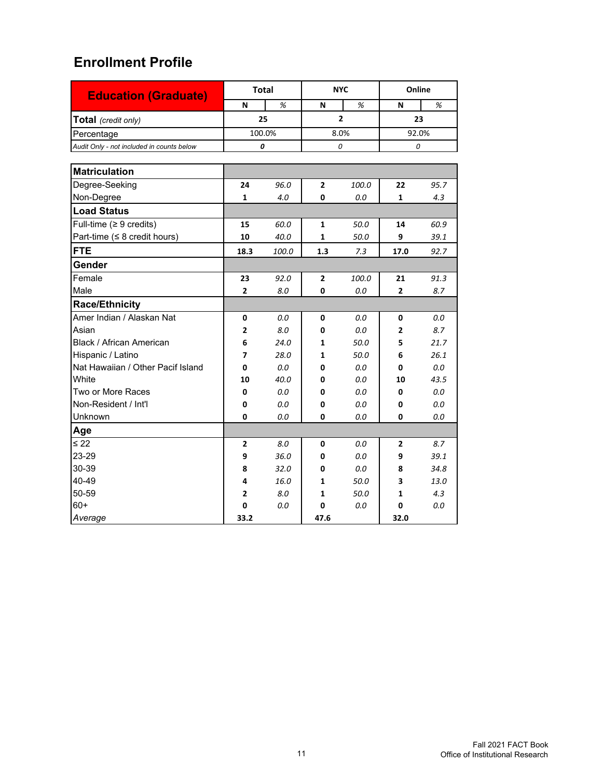| <b>Education (Graduate)</b>               |              | <b>Total</b> | <b>NYC</b> |                | Online         |         |  |
|-------------------------------------------|--------------|--------------|------------|----------------|----------------|---------|--|
|                                           | N            | %            | N          | %              | N              | %       |  |
| Total (credit only)                       |              | 25           |            | $\overline{2}$ |                | 23      |  |
| Percentage                                |              | 100.0%       | 8.0%       |                | 92.0%          |         |  |
| Audit Only - not included in counts below |              | 0            | 0          |                | 0              |         |  |
|                                           |              |              |            |                |                |         |  |
| <b>Matriculation</b>                      |              |              |            |                |                |         |  |
| Degree-Seeking                            | 24           | 96.0         | 2          | 100.0          | 22             | 95.7    |  |
| Non-Degree                                | $\mathbf{1}$ | 4.0          | 0          | 0.0            | $\mathbf{1}$   | 4.3     |  |
| <b>Load Status</b>                        |              |              |            |                |                |         |  |
| Full-time ( $\geq 9$ credits)             | 15           | 60.0         | 1          | 50.0           | 14             | 60.9    |  |
| Part-time ( $\leq 8$ credit hours)        | 10           | 40.0         | 1          | 50.0           | 9              | 39.1    |  |
| <b>FTE</b>                                | 18.3         | 100.0        | 1.3        | 7.3            | 17.0           | 92.7    |  |
| Gender                                    |              |              |            |                |                |         |  |
| Female                                    | 23           | 92.0         | 2          | 100.0          | 21             | 91.3    |  |
| Male                                      | $\mathbf{2}$ | 8.0          | 0          | 0.0            | $\overline{2}$ | 8.7     |  |
| <b>Race/Ethnicity</b>                     |              |              |            |                |                |         |  |
| Amer Indian / Alaskan Nat                 | 0            | 0.0          | 0          | 0.0            | 0              | 0.0     |  |
| Asian                                     | $\mathbf{2}$ | 8.0          | 0          | 0.0            | $\overline{2}$ | 8.7     |  |
| Black / African American                  | 6            | 24.0         | 1          | 50.0           | 5              | 21.7    |  |
| Hispanic / Latino                         | 7            | 28.0         | 1          | 50.0           | 6              | 26.1    |  |
| Nat Hawaiian / Other Pacif Island         | 0            | 0.0          | 0          | 0.0            | 0              | 0.0     |  |
| White                                     | 10           | 40.0         | 0          | 0.0            | 10             | 43.5    |  |
| Two or More Races                         | 0            | 0.0          | 0          | 0.0            | 0              | 0.0     |  |
| Non-Resident / Int'l                      | 0            | 0.0          | 0          | 0.0            | 0              | $0.0\,$ |  |
| Unknown                                   | 0            | 0.0          | 0          | 0.0            | 0              | 0.0     |  |
| Age                                       |              |              |            |                |                |         |  |
| $\leq 22$                                 | $\mathbf{2}$ | 8.0          | 0          | 0.0            | $\overline{2}$ | 8.7     |  |
| 23-29                                     | 9            | 36.0         | 0          | 0.0            | 9              | 39.1    |  |
| 30-39                                     | 8            | 32.0         | 0          | 0.0            | 8              | 34.8    |  |
| 40-49                                     | 4            | 16.0         | 1          | 50.0           | 3              | 13.0    |  |
| 50-59                                     | 2            | 8.0          | 1          | 50.0           | 1              | 4.3     |  |
| $60+$                                     | 0            | 0.0          | 0          | $0.0\,$        | 0              | 0.0     |  |
| Average                                   | 33.2         |              | 47.6       |                | 32.0           |         |  |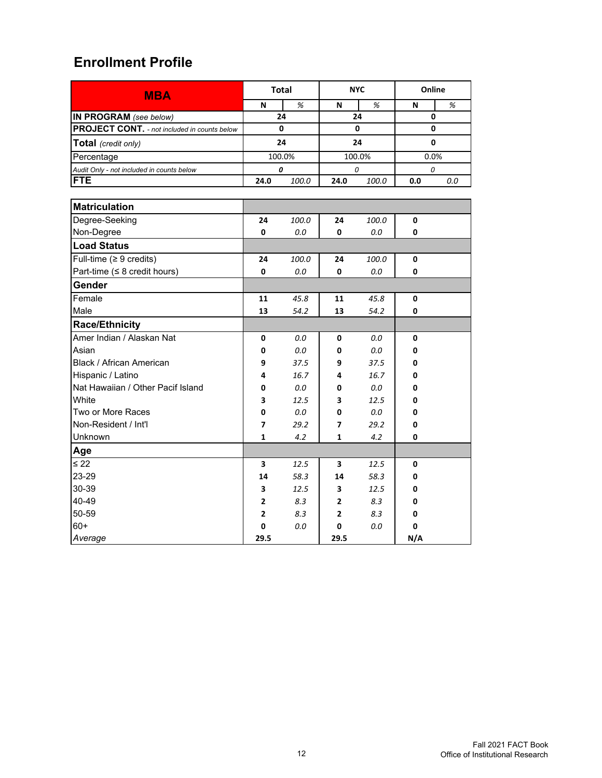| <b>MBA</b>                                          |      | <b>Total</b> |                | <b>NYC</b> | Online |     |
|-----------------------------------------------------|------|--------------|----------------|------------|--------|-----|
|                                                     | N    | %            | N              | %          | N      | %   |
| IN PROGRAM (see below)                              |      | 24           | 24             |            | 0      |     |
| <b>PROJECT CONT.</b> - not included in counts below |      | 0            | 0              |            | 0      |     |
| Total (credit only)                                 |      | 24           |                | 24         | 0      |     |
| Percentage                                          |      | 100.0%       |                | 100.0%     | 0.0%   |     |
| Audit Only - not included in counts below           |      | 0            | 0              |            | 0      |     |
| <b>FTE</b>                                          | 24.0 | 100.0        | 24.0           | 100.0      | 0.0    | 0.0 |
|                                                     |      |              |                |            |        |     |
| <b>Matriculation</b>                                |      |              |                |            |        |     |
| Degree-Seeking                                      | 24   | 100.0        | 24             | 100.0      | 0      |     |
| Non-Degree                                          | 0    | 0.0          | 0              | 0.0        | 0      |     |
| <b>Load Status</b>                                  |      |              |                |            |        |     |
| Full-time ( $\geq 9$ credits)                       | 24   | 100.0        | 24             | 100.0      | 0      |     |
| Part-time ( $\leq 8$ credit hours)                  | 0    | 0.0          | 0              | 0.0        | 0      |     |
| Gender                                              |      |              |                |            |        |     |
| Female                                              | 11   | 45.8         | 11             | 45.8       | 0      |     |
| Male                                                | 13   | 54.2         | 13             | 54.2       | 0      |     |
| <b>Race/Ethnicity</b>                               |      |              |                |            |        |     |
| Amer Indian / Alaskan Nat                           | 0    | 0.0          | 0              | 0.0        | 0      |     |
| Asian                                               | 0    | 0.0          | 0              | 0.0        | 0      |     |
| Black / African American                            | 9    | 37.5         | 9              | 37.5       | 0      |     |
| Hispanic / Latino                                   | 4    | 16.7         | 4              | 16.7       | 0      |     |
| Nat Hawaiian / Other Pacif Island                   | 0    | 0.0          | 0              | 0.0        | 0      |     |
| White                                               | 3    | 12.5         | 3              | 12.5       | 0      |     |
| Two or More Races                                   | 0    | 0.0          | 0              | 0.0        | 0      |     |
| Non-Resident / Int'l                                | 7    | 29.2         | 7              | 29.2       | 0      |     |
| Unknown                                             | 1    | 4.2          | 1              | 4.2        | 0      |     |
| Age                                                 |      |              |                |            |        |     |
| $\leq 22$                                           | 3    | 12.5         | 3              | 12.5       | 0      |     |
| 23-29                                               | 14   | 58.3         | 14             | 58.3       | 0      |     |
| 30-39                                               | 3    | 12.5         | 3              | 12.5       | 0      |     |
| 40-49                                               | 2    | 8.3          | 2              | 8.3        | 0      |     |
| 50-59                                               | 2    | 8.3          | $\overline{2}$ | 8.3        | 0      |     |
| $60+$                                               | 0    | 0.0          | 0              | 0.0        | 0      |     |
| Average                                             | 29.5 |              | 29.5           |            | N/A    |     |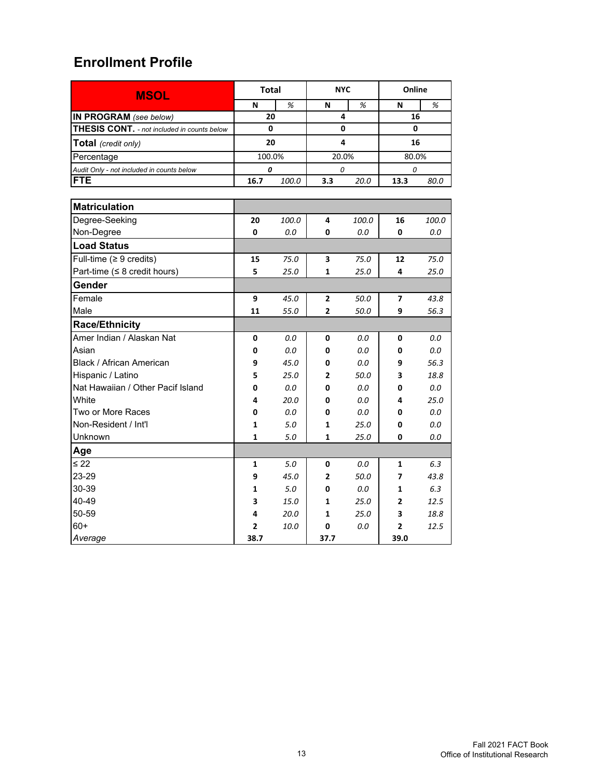| <b>MSOL</b>                                 | <b>Total</b>   |       | <b>NYC</b>   |       | Online       |         |  |
|---------------------------------------------|----------------|-------|--------------|-------|--------------|---------|--|
|                                             | N              | %     | N            | %     | N            | %       |  |
| IN PROGRAM (see below)                      | 20             |       | 4            |       | 16           |         |  |
| THESIS CONT. - not included in counts below | 0              |       | 0            |       | 0            |         |  |
| <b>Total</b> (credit only)                  | 20             |       | 4            |       | 16           |         |  |
| Percentage                                  | 100.0%         |       | 20.0%        |       | 80.0%        |         |  |
| Audit Only - not included in counts below   | 0              |       | 0            |       | 0            |         |  |
| <b>FTE</b>                                  | 16.7           | 100.0 | 3.3          | 20.0  | 13.3         | 80.0    |  |
|                                             |                |       |              |       |              |         |  |
| <b>Matriculation</b>                        |                |       |              |       |              |         |  |
| Degree-Seeking                              | 20             | 100.0 | 4            | 100.0 | 16           | 100.0   |  |
| Non-Degree                                  | 0              | 0.0   | $\mathbf{0}$ | 0.0   | $\mathbf{0}$ | 0.0     |  |
| <b>Load Status</b>                          |                |       |              |       |              |         |  |
| Full-time ( $\geq 9$ credits)               | 15             | 75.0  | 3            | 75.0  | 12           | 75.0    |  |
| Part-time ( $\leq 8$ credit hours)          | 5              | 25.0  | 1            | 25.0  | 4            | 25.0    |  |
| Gender                                      |                |       |              |       |              |         |  |
| Female                                      | 9              | 45.0  | 2            | 50.0  | 7            | 43.8    |  |
| Male                                        | 11             | 55.0  | 2            | 50.0  | 9            | 56.3    |  |
| Race/Ethnicity                              |                |       |              |       |              |         |  |
| Amer Indian / Alaskan Nat                   | 0              | 0.0   | 0            | 0.0   | 0            | 0.0     |  |
| Asian                                       | 0              | 0.0   | 0            | 0.0   | 0            | $0.0\,$ |  |
| Black / African American                    | 9              | 45.0  | 0            | 0.0   | 9            | 56.3    |  |
| Hispanic / Latino                           | 5              | 25.0  | 2            | 50.0  | 3            | 18.8    |  |
| Nat Hawaiian / Other Pacif Island           | 0              | 0.0   | 0            | 0.0   | 0            | 0.0     |  |
| White                                       | 4              | 20.0  | 0            | 0.0   | 4            | 25.0    |  |
| Two or More Races                           | 0              | 0.0   | 0            | 0.0   | 0            | $0.0\,$ |  |
| Non-Resident / Int'l                        | 1              | 5.0   | 1            | 25.0  | 0            | 0.0     |  |
| Unknown                                     | $\mathbf{1}$   | 5.0   | 1            | 25.0  | 0            | 0.0     |  |
| Age                                         |                |       |              |       |              |         |  |
| $\leq 22$                                   | $\mathbf{1}$   | 5.0   | 0            | 0.0   | $\mathbf{1}$ | 6.3     |  |
| 23-29                                       | 9              | 45.0  | $\mathbf{2}$ | 50.0  | 7            | 43.8    |  |
| 30-39                                       | 1              | 5.0   | 0            | 0.0   | 1            | 6.3     |  |
| 40-49                                       | 3              | 15.0  | 1            | 25.0  | $\mathbf{2}$ | 12.5    |  |
| 50-59                                       | 4              | 20.0  | 1            | 25.0  | 3            | 18.8    |  |
| $60+$                                       | $\overline{2}$ | 10.0  | 0            | 0.0   | 2            | 12.5    |  |
| Average                                     | 38.7           |       | 37.7         |       | 39.0         |         |  |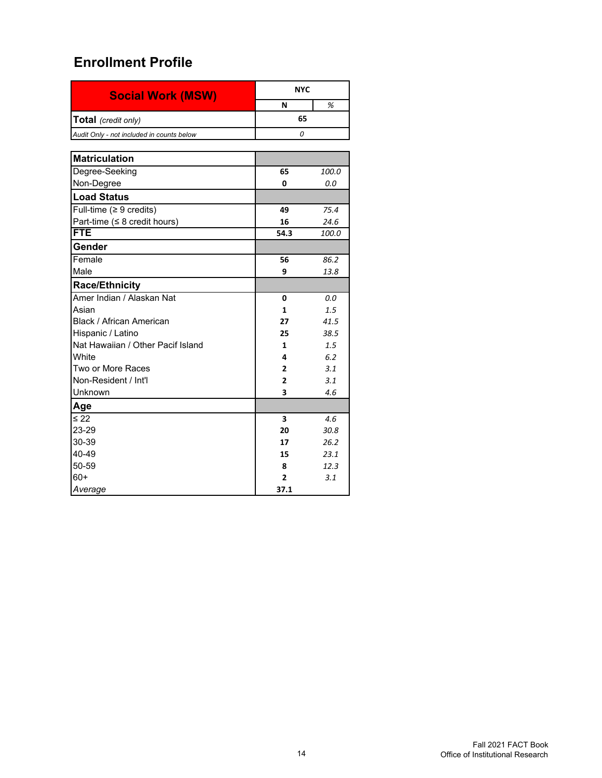| <b>Social Work (MSW)</b>                  |                         | <b>NYC</b> |  |  |  |  |
|-------------------------------------------|-------------------------|------------|--|--|--|--|
|                                           | N                       | %          |  |  |  |  |
| Total (credit only)                       | 65                      |            |  |  |  |  |
| Audit Only - not included in counts below | 0                       |            |  |  |  |  |
|                                           |                         |            |  |  |  |  |
| <b>Matriculation</b>                      |                         |            |  |  |  |  |
| Degree-Seeking                            | 65                      | 100.0      |  |  |  |  |
| Non-Degree                                | 0                       | 0.0        |  |  |  |  |
| <b>Load Status</b>                        |                         |            |  |  |  |  |
| Full-time ( $\geq 9$ credits)             | 49                      | 75.4       |  |  |  |  |
| Part-time ( $\leq 8$ credit hours)        | 16                      | 24.6       |  |  |  |  |
| <b>FTE</b>                                | 54.3                    | 100.0      |  |  |  |  |
| Gender                                    |                         |            |  |  |  |  |
| Female                                    | 56                      | 86.2       |  |  |  |  |
| Male                                      | 9                       | 13.8       |  |  |  |  |
| <b>Race/Ethnicity</b>                     |                         |            |  |  |  |  |
| Amer Indian / Alaskan Nat                 | 0                       | 0.0        |  |  |  |  |
| Asian                                     | 1                       | 1.5        |  |  |  |  |
| Black / African American                  | 27                      | 41.5       |  |  |  |  |
| Hispanic / Latino                         | 25                      | 38.5       |  |  |  |  |
| Nat Hawaiian / Other Pacif Island         | 1                       | 1.5        |  |  |  |  |
| White                                     | 4                       | 6.2        |  |  |  |  |
| Two or More Races                         | $\overline{2}$          | 3.1        |  |  |  |  |
| Non-Resident / Int'l                      | 2                       | 3.1        |  |  |  |  |
| Unknown                                   | 3                       | 4.6        |  |  |  |  |
| Age                                       |                         |            |  |  |  |  |
| $\leq 22$                                 | $\overline{\mathbf{3}}$ | 4.6        |  |  |  |  |
| 23-29                                     | 20                      | 30.8       |  |  |  |  |
| 30-39                                     | 17                      | 26.2       |  |  |  |  |
| 40-49                                     | 15                      | 23.1       |  |  |  |  |
| 50-59                                     | 8                       | 12.3       |  |  |  |  |
| 60+                                       | 2                       | 3.1        |  |  |  |  |
| Average                                   | 37.1                    |            |  |  |  |  |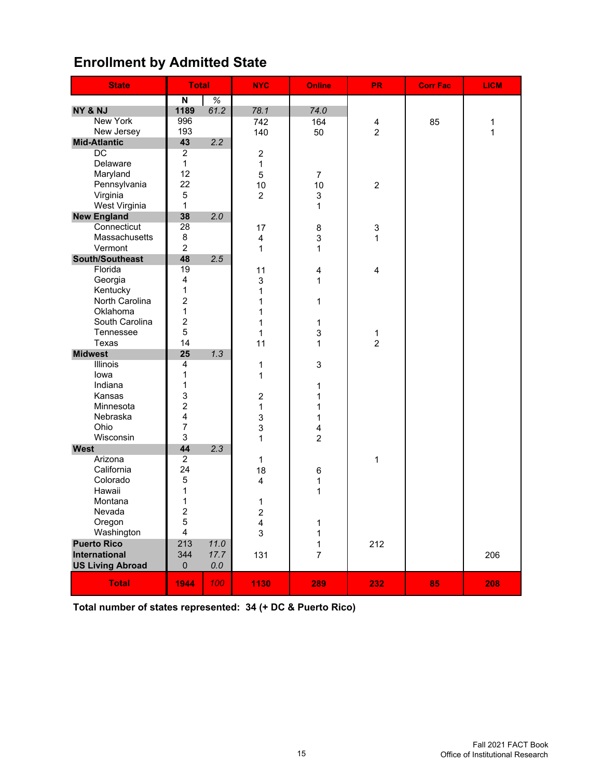## **Enrollment by Admitted State**

| <b>State</b>            | <b>Total</b>            |         | <b>NYC</b>       | <b>Online</b>             | <b>PR</b>      | <b>Corr Fac</b> |     |
|-------------------------|-------------------------|---------|------------------|---------------------------|----------------|-----------------|-----|
|                         | N                       | %       |                  |                           |                |                 |     |
| NY & NJ                 | 1189                    | 61.2    | 78.1             | 74.0                      |                |                 |     |
| <b>New York</b>         | 996                     |         | 742              | 164                       | 4              | 85              | 1   |
| New Jersey              | 193                     |         | 140              | 50                        | $\overline{c}$ |                 | 1   |
| <b>Mid-Atlantic</b>     | 43                      | 2.2     |                  |                           |                |                 |     |
| DC                      | $\overline{2}$          |         | $\overline{2}$   |                           |                |                 |     |
| Delaware                | $\mathbf{1}$            |         | 1                |                           |                |                 |     |
| Maryland                | 12                      |         | 5                | $\overline{7}$            |                |                 |     |
| Pennsylvania            | 22                      |         | 10               | 10                        | $\overline{c}$ |                 |     |
| Virginia                | 5                       |         | $\overline{2}$   | 3                         |                |                 |     |
| West Virginia           | $\mathbf{1}$            |         |                  | 1                         |                |                 |     |
| <b>New England</b>      | 38                      | 2.0     |                  |                           |                |                 |     |
| Connecticut             | 28                      |         | 17               | $\bf8$                    | 3              |                 |     |
| Massachusetts           | 8                       |         | 4                | 3                         | 1              |                 |     |
| Vermont                 | $\overline{2}$          |         | 1                | 1                         |                |                 |     |
| South/Southeast         | 48                      | 2.5     |                  |                           |                |                 |     |
| Florida                 | 19                      |         | 11               | $\overline{4}$            | 4              |                 |     |
| Georgia                 | 4                       |         | 3                | $\mathbf{1}$              |                |                 |     |
| Kentucky                | $\mathbf 1$             |         | 1                |                           |                |                 |     |
| North Carolina          | $\overline{c}$          |         | 1                | 1                         |                |                 |     |
| Oklahoma                | $\mathbf 1$             |         | 1                |                           |                |                 |     |
| South Carolina          | $\overline{2}$          |         | 1                | 1                         |                |                 |     |
| Tennessee               | 5                       |         | 1                | $\ensuremath{\mathsf{3}}$ | 1              |                 |     |
| Texas                   | 14                      |         | 11               | 1                         | $\overline{2}$ |                 |     |
| <b>Midwest</b>          | 25                      | 1.3     |                  |                           |                |                 |     |
| Illinois                | $\overline{4}$          |         | $\mathbf 1$      | 3                         |                |                 |     |
| lowa                    | $\mathbf 1$             |         | 1                |                           |                |                 |     |
| Indiana                 | $\mathbf 1$             |         |                  | 1                         |                |                 |     |
| Kansas                  | 3                       |         | $\boldsymbol{2}$ | 1                         |                |                 |     |
| Minnesota               | $\overline{2}$          |         | 1                | 1                         |                |                 |     |
| Nebraska                | $\overline{\mathbf{4}}$ |         | 3                | $\mathbf{1}$              |                |                 |     |
| Ohio                    | $\overline{7}$          |         | $\mathsf 3$      | $\overline{\mathbf{4}}$   |                |                 |     |
| Wisconsin               | 3                       |         | 1                | $\overline{c}$            |                |                 |     |
| <b>West</b>             | 44<br>$\overline{2}$    | 2.3     |                  |                           |                |                 |     |
| Arizona                 |                         |         | $\mathbf{1}$     |                           | 1              |                 |     |
| California              | 24                      |         | 18               | $\,6$                     |                |                 |     |
| Colorado                | 5<br>1                  |         | 4                | 1                         |                |                 |     |
| Hawaii<br>Montana       | 1                       |         |                  | 1                         |                |                 |     |
| Nevada                  | $\overline{2}$          |         | 1                |                           |                |                 |     |
| Oregon                  | $\mathbf 5$             |         | $\overline{c}$   |                           |                |                 |     |
| Washington              | 4                       |         | 4<br>3           | 1                         |                |                 |     |
| <b>Puerto Rico</b>      | 213                     | 11.0    |                  | 1                         |                |                 |     |
| International           | 344                     | 17.7    |                  | 1<br>$\overline{7}$       | 212            |                 | 206 |
| <b>US Living Abroad</b> | $\pmb{0}$               | $0.0\,$ | 131              |                           |                |                 |     |
|                         |                         |         |                  |                           |                |                 |     |
| <b>Total</b>            | 1944                    | 100     | 1130             | 289                       | 232            | 85              | 208 |

**Total number of states represented: 34 (+ DC & Puerto Rico)**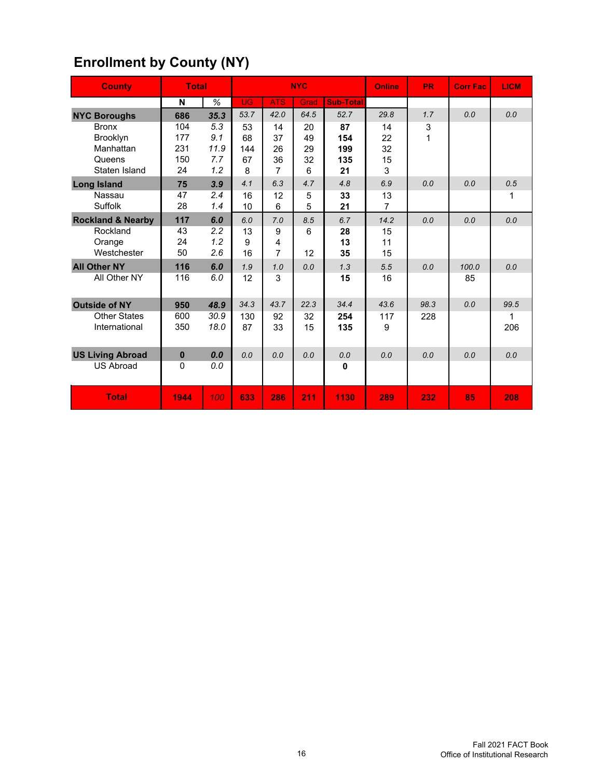| <b>County</b>                | <b>Total</b> |      |           |                | <b>NYC</b> |                  | Online         | <b>PR</b> | <b>Corr Fac</b> | <b>LICM</b> |
|------------------------------|--------------|------|-----------|----------------|------------|------------------|----------------|-----------|-----------------|-------------|
|                              | N            | %    | <b>UG</b> | <b>ATS</b>     | Grad       | <b>Sub-Total</b> |                |           |                 |             |
| <b>NYC Boroughs</b>          | 686          | 35.3 | 53.7      | 42.0           | 64.5       | 52.7             | 29.8           | 1.7       | 0.0             | 0.0         |
| <b>Bronx</b>                 | 104          | 5.3  | 53        | 14             | 20         | 87               | 14             | 3         |                 |             |
| <b>Brooklyn</b>              | 177          | 9.1  | 68        | 37             | 49         | 154              | 22             | 1         |                 |             |
| Manhattan                    | 231          | 11.9 | 144       | 26             | 29         | 199              | 32             |           |                 |             |
| Queens                       | 150          | 7.7  | 67        | 36             | 32         | 135              | 15             |           |                 |             |
| Staten Island                | 24           | 1.2  | 8         | $\overline{7}$ | 6          | 21               | 3              |           |                 |             |
| <b>Long Island</b>           | 75           | 3.9  | 4.1       | 6.3            | 4.7        | 4.8              | 6.9            | 0.0       | 0.0             | 0.5         |
| Nassau                       | 47           | 2.4  | 16        | 12             | 5          | 33               | 13             |           |                 | 1           |
| Suffolk                      | 28           | 1.4  | 10        | 6              | 5          | 21               | $\overline{7}$ |           |                 |             |
| <b>Rockland &amp; Nearby</b> | 117          | 6.0  | 6.0       | 7.0            | 8.5        | 6.7              | 14.2           | 0.0       | 0.0             | 0.0         |
| Rockland                     | 43           | 2.2  | 13        | 9              | 6          | 28               | 15             |           |                 |             |
| Orange                       | 24           | 1.2  | 9         | 4              |            | 13               | 11             |           |                 |             |
| Westchester                  | 50           | 2.6  | 16        | $\overline{7}$ | 12         | 35               | 15             |           |                 |             |
| <b>All Other NY</b>          | 116          | 6.0  | 1.9       | 1.0            | 0.0        | 1.3              | 5.5            | 0.0       | 100.0           | 0.0         |
| All Other NY                 | 116          | 6.0  | 12        | 3              |            | 15               | 16             |           | 85              |             |
| <b>Outside of NY</b>         | 950          | 48.9 | 34.3      | 43.7           | 22.3       | 34.4             | 43.6           | 98.3      | 0.0             | 99.5        |
| <b>Other States</b>          | 600          | 30.9 | 130       | 92             | 32         | 254              | 117            | 228       |                 | 1           |
| International                | 350          | 18.0 | 87        | 33             | 15         | 135              | 9              |           |                 | 206         |
|                              |              |      |           |                |            |                  |                |           |                 |             |
| <b>US Living Abroad</b>      | $\bf{0}$     | 0.0  | 0.0       | 0.0            | 0.0        | 0.0              | 0.0            | 0.0       | 0.0             | 0.0         |
| <b>US Abroad</b>             | 0            | 0.0  |           |                |            | 0                |                |           |                 |             |
|                              |              |      |           |                |            |                  |                |           |                 |             |
| <b>Total</b>                 | 1944         | 100  | 633       | 286            | 211        | 1130             | 289            | 232       | 85              | 208         |

# **Enrollment by County (NY)**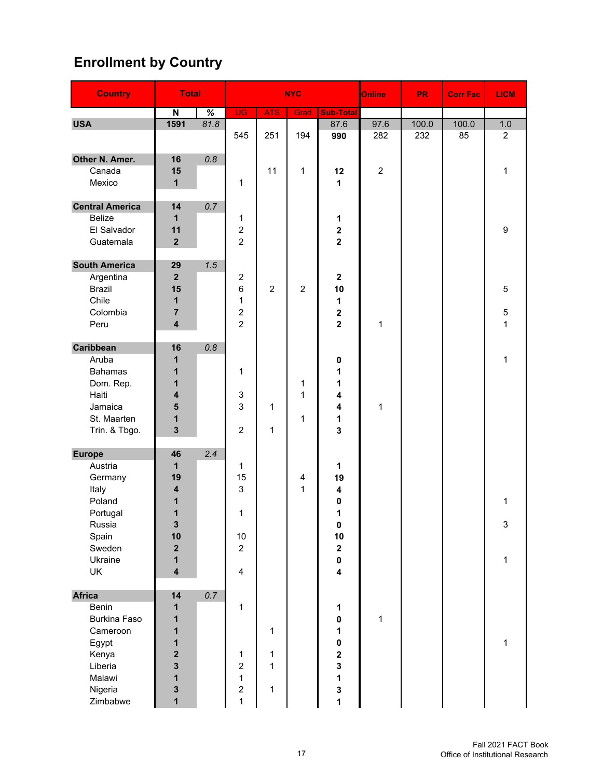# **Enrollment by Country**

| <b>Country</b>         | <b>Total</b>                            |      |                     |                | <b>NYC</b>              |                                      | Online           | <b>PR</b> | <b>Corr Fac</b> | <b>LICM</b>    |
|------------------------|-----------------------------------------|------|---------------------|----------------|-------------------------|--------------------------------------|------------------|-----------|-----------------|----------------|
|                        | $\boldsymbol{\mathsf{N}}$               | %    | <b>UG</b>           | <b>ATS</b>     | Grad                    | Sub-Total                            |                  |           |                 |                |
| <b>USA</b>             | 1591                                    | 81.8 |                     |                |                         | 87.6                                 | 97.6             | 100.0     | 100.0           | 1.0            |
|                        |                                         |      | 545                 | 251            | 194                     | 990                                  | 282              | 232       | 85              | $\overline{2}$ |
| Other N. Amer.         | 16                                      | 0.8  |                     |                |                         |                                      |                  |           |                 |                |
| Canada                 | 15                                      |      |                     | 11             | 1                       | 12                                   | $\boldsymbol{2}$ |           |                 | 1              |
| Mexico                 | $\mathbf{1}$                            |      | 1                   |                |                         | 1                                    |                  |           |                 |                |
| <b>Central America</b> | 14                                      | 0.7  |                     |                |                         |                                      |                  |           |                 |                |
| <b>Belize</b>          | $\mathbf{1}$                            |      | 1                   |                |                         | 1                                    |                  |           |                 |                |
| El Salvador            | 11                                      |      | $\overline{c}$      |                |                         | $\overline{\mathbf{c}}$              |                  |           |                 | 9              |
| Guatemala              | $\overline{2}$                          |      | $\overline{2}$      |                |                         | $\overline{\mathbf{2}}$              |                  |           |                 |                |
| <b>South America</b>   | 29                                      | 1.5  |                     |                |                         |                                      |                  |           |                 |                |
| Argentina              | $\overline{2}$                          |      | $\overline{c}$      |                |                         | $\boldsymbol{2}$                     |                  |           |                 |                |
| <b>Brazil</b>          | 15                                      |      | 6                   | $\overline{2}$ | $\overline{2}$          | 10                                   |                  |           |                 | 5              |
| Chile                  | $\mathbf{1}$                            |      | 1                   |                |                         | 1                                    |                  |           |                 |                |
| Colombia               | $\overline{7}$                          |      | $\overline{c}$      |                |                         | $\overline{\mathbf{2}}$              |                  |           |                 | $\mathbf 5$    |
| Peru                   | $\overline{\mathbf{4}}$                 |      | $\overline{2}$      |                |                         | $\overline{2}$                       | 1                |           |                 | $\mathbf{1}$   |
| Caribbean              | 16                                      | 0.8  |                     |                |                         |                                      |                  |           |                 |                |
| Aruba                  | 1                                       |      |                     |                |                         | 0                                    |                  |           |                 | $\mathbf{1}$   |
| <b>Bahamas</b>         | 1                                       |      | 1                   |                |                         | 1                                    |                  |           |                 |                |
| Dom. Rep.              | 1                                       |      |                     |                | 1                       | 1                                    |                  |           |                 |                |
| Haiti                  | $\overline{\mathbf{4}}$                 |      | 3                   |                | 1                       | 4                                    |                  |           |                 |                |
| Jamaica                | 5                                       |      | 3                   | 1              |                         | $\overline{\mathbf{4}}$              | 1                |           |                 |                |
| St. Maarten            | 1<br>$\overline{\mathbf{3}}$            |      | $\overline{2}$      |                | 1                       | 1<br>3                               |                  |           |                 |                |
| Trin. & Tbgo.          |                                         |      |                     | $\mathbf{1}$   |                         |                                      |                  |           |                 |                |
| <b>Europe</b>          | 46                                      | 2.4  |                     |                |                         |                                      |                  |           |                 |                |
| Austria                | $\mathbf{1}$                            |      | 1                   |                |                         | 1                                    |                  |           |                 |                |
| Germany                | 19                                      |      | 15                  |                | $\overline{\mathbf{4}}$ | 19                                   |                  |           |                 |                |
| Italy                  | $\overline{4}$                          |      | 3                   |                | 1                       | 4                                    |                  |           |                 |                |
| Poland                 | 1                                       |      |                     |                |                         | 0                                    |                  |           |                 | 1              |
| Portugal               | 1                                       |      | 1                   |                |                         | 1                                    |                  |           |                 |                |
| Russia                 | 3                                       |      |                     |                |                         | 0                                    |                  |           |                 | 3              |
| Spain                  | 10                                      |      | 10                  |                |                         | 10                                   |                  |           |                 |                |
| Sweden                 | $\mathbf 2$                             |      | $\overline{c}$      |                |                         | $\boldsymbol{2}$                     |                  |           |                 |                |
| Ukraine                | $\mathbf{1}$<br>$\overline{\mathbf{4}}$ |      | $\overline{4}$      |                |                         | $\pmb{0}$<br>$\overline{\mathbf{4}}$ |                  |           |                 | $\mathbf{1}$   |
| UK                     |                                         |      |                     |                |                         |                                      |                  |           |                 |                |
| <b>Africa</b>          | 14                                      | 0.7  |                     |                |                         |                                      |                  |           |                 |                |
| Benin                  | 1                                       |      | $\mathbf{1}$        |                |                         | 1                                    |                  |           |                 |                |
| <b>Burkina Faso</b>    | 1                                       |      |                     |                |                         | $\pmb{0}$                            | $\mathbf 1$      |           |                 |                |
| Cameroon               | 1                                       |      |                     | $\mathbf{1}$   |                         | $\mathbf{1}$                         |                  |           |                 |                |
| Egypt                  | 1                                       |      |                     |                |                         | $\mathbf 0$                          |                  |           |                 | $\mathbf{1}$   |
| Kenya                  | $\overline{\mathbf{2}}$                 |      | 1                   | $\mathbf{1}$   |                         | $\overline{\mathbf{2}}$              |                  |           |                 |                |
| Liberia<br>Malawi      | $\mathbf{3}$<br>$\mathbf{1}$            |      | $\overline{c}$<br>1 | $\mathbf{1}$   |                         | 3<br>$\overline{\mathbf{1}}$         |                  |           |                 |                |
| Nigeria                | 3                                       |      | $\overline{c}$      | 1              |                         | 3                                    |                  |           |                 |                |
| Zimbabwe               | $\mathbf{1}$                            |      | $\mathbf 1$         |                |                         | 1                                    |                  |           |                 |                |
|                        |                                         |      |                     |                |                         |                                      |                  |           |                 |                |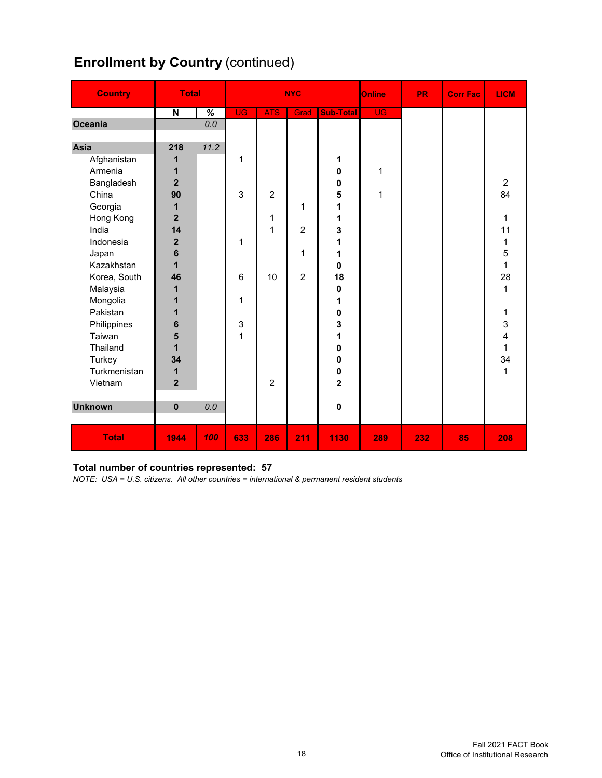| <b>Enrollment by Country (continued)</b> |  |
|------------------------------------------|--|
|                                          |  |

| <b>Country</b> | <b>Total</b>            |                          | <b>NYC</b> |                |                |                  | Online      | <b>PR</b> | <b>Corr Fac</b> | <b>LICM</b>    |
|----------------|-------------------------|--------------------------|------------|----------------|----------------|------------------|-------------|-----------|-----------------|----------------|
|                | $\overline{\mathsf{N}}$ | $\overline{\mathcal{U}}$ | <b>UG</b>  | <b>ATS</b>     | Grad           | <b>Sub-Total</b> | <b>UG</b>   |           |                 |                |
| Oceania        |                         | 0.0                      |            |                |                |                  |             |           |                 |                |
|                |                         |                          |            |                |                |                  |             |           |                 |                |
| Asia           | 218                     | 11.2                     |            |                |                |                  |             |           |                 |                |
| Afghanistan    | 1                       |                          | 1          |                |                | 1                |             |           |                 |                |
| Armenia        | 1                       |                          |            |                |                | 0                | 1           |           |                 |                |
| Bangladesh     | $\overline{2}$          |                          |            |                |                | 0                |             |           |                 | $\overline{c}$ |
| China          | 90                      |                          | 3          | $\overline{2}$ |                | 5                | $\mathbf 1$ |           |                 | 84             |
| Georgia        | 1                       |                          |            |                | 1              | 1                |             |           |                 |                |
| Hong Kong      | $\overline{2}$          |                          |            | 1              |                | 1                |             |           |                 | $\mathbf{1}$   |
| India          | 14                      |                          |            | 1              | $\overline{2}$ | 3                |             |           |                 | 11             |
| Indonesia      | $\overline{\mathbf{2}}$ |                          | 1          |                |                | 1                |             |           |                 | 1              |
| Japan          | 6                       |                          |            |                | 1              | 1                |             |           |                 | 5              |
| Kazakhstan     | $\mathbf 1$             |                          |            |                |                | 0                |             |           |                 | $\mathbf{1}$   |
| Korea, South   | 46                      |                          | 6          | 10             | $\overline{2}$ | 18               |             |           |                 | 28             |
| Malaysia       | 1                       |                          |            |                |                | 0                |             |           |                 | $\mathbf{1}$   |
| Mongolia       | 1                       |                          | 1          |                |                | 1                |             |           |                 |                |
| Pakistan       | 1                       |                          |            |                |                | $\pmb{0}$        |             |           |                 | 1              |
| Philippines    | $6\phantom{1}$          |                          | 3          |                |                | 3                |             |           |                 | 3              |
| Taiwan         | 5                       |                          | 1          |                |                | 1                |             |           |                 | 4              |
| Thailand       | 1                       |                          |            |                |                | 0                |             |           |                 | $\mathbf{1}$   |
| Turkey         | 34                      |                          |            |                |                | 0                |             |           |                 | 34             |
| Turkmenistan   | 1                       |                          |            |                |                | $\pmb{0}$        |             |           |                 | $\mathbf{1}$   |
| Vietnam        | $\overline{2}$          |                          |            | $\overline{2}$ |                | $\overline{2}$   |             |           |                 |                |
|                |                         |                          |            |                |                |                  |             |           |                 |                |
| <b>Unknown</b> | $\mathbf 0$             | 0.0                      |            |                |                | $\mathbf 0$      |             |           |                 |                |
|                |                         |                          |            |                |                |                  |             |           |                 |                |
| <b>Total</b>   | 1944                    | 100                      | 633        | 286            | 211            | 1130             | 289         | 232       | 85              | 208            |

#### **Total number of countries represented: 57**

*NOTE: USA = U.S. citizens. All other countries = international & permanent resident students*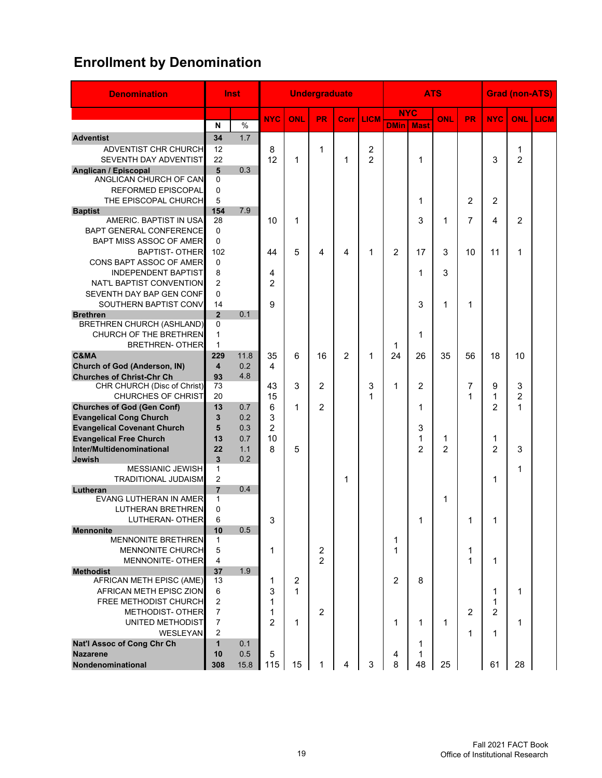# **Enrollment by Denomination**

| <b>Denomination</b>                       |                                         | <b>Inst</b> |                |                | <b>Undergraduate</b>    |                |             |                |                | <b>ATS</b>     |                |                | <b>Grad (non-ATS)</b> |             |
|-------------------------------------------|-----------------------------------------|-------------|----------------|----------------|-------------------------|----------------|-------------|----------------|----------------|----------------|----------------|----------------|-----------------------|-------------|
|                                           |                                         |             | <b>NYC</b>     | ONL            | <b>PR</b>               | Corr           | <b>LICM</b> |                | <b>NYC</b>     | ONL            | PR.            | <b>NYC</b>     | <b>ONL</b>            | <b>LICM</b> |
|                                           | N                                       | $\%$        |                |                |                         |                |             | <b>DMin</b>    | <b>Mast</b>    |                |                |                |                       |             |
| <b>Adventist</b>                          | 34                                      | 1.7         |                |                |                         |                |             |                |                |                |                |                |                       |             |
| ADVENTIST CHR CHURCH                      | 12                                      |             | 8              |                | 1                       |                | 2           |                |                |                |                |                | 1                     |             |
| SEVENTH DAY ADVENTIST                     | 22                                      |             | 12             | 1              |                         | 1              | 2           |                | 1              |                |                | 3              | $\overline{2}$        |             |
| Anglican / Episcopal                      | 5                                       | 0.3         |                |                |                         |                |             |                |                |                |                |                |                       |             |
| ANGLICAN CHURCH OF CAN                    | 0                                       |             |                |                |                         |                |             |                |                |                |                |                |                       |             |
| REFORMED EPISCOPAL                        | 0                                       |             |                |                |                         |                |             |                |                |                |                |                |                       |             |
| THE EPISCOPAL CHURCH                      | 5                                       |             |                |                |                         |                |             |                | 1              |                | $\overline{2}$ | $\overline{2}$ |                       |             |
| <b>Baptist</b>                            | 154                                     | 7.9         |                |                |                         |                |             |                |                |                |                |                |                       |             |
| AMERIC, BAPTIST IN USA                    | 28                                      |             | 10             | 1              |                         |                |             |                | 3              | 1              | 7              | 4              | 2                     |             |
| <b>BAPT GENERAL CONFERENCE</b>            | $\Omega$                                |             |                |                |                         |                |             |                |                |                |                |                |                       |             |
| BAPT MISS ASSOC OF AMER                   | $\Omega$                                |             |                |                |                         |                |             |                |                |                |                |                |                       |             |
| <b>BAPTIST-OTHER</b>                      | 102                                     |             | 44             | 5              | 4                       | 4              | 1           | $\overline{2}$ | 17             | 3              | 10             | 11             | 1                     |             |
| CONS BAPT ASSOC OF AMER                   | 0                                       |             |                |                |                         |                |             |                |                |                |                |                |                       |             |
| <b>INDEPENDENT BAPTIST</b>                | 8                                       |             | 4              |                |                         |                |             |                | 1              | 3              |                |                |                       |             |
| NAT'L BAPTIST CONVENTION                  | $\overline{2}$                          |             | $\overline{2}$ |                |                         |                |             |                |                |                |                |                |                       |             |
| SEVENTH DAY BAP GEN CONF                  | $\Omega$                                |             |                |                |                         |                |             |                |                |                |                |                |                       |             |
| SOUTHERN BAPTIST CONV                     | 14                                      |             | 9              |                |                         |                |             |                | 3              | 1              | 1              |                |                       |             |
| <b>Brethren</b>                           | $\overline{2}$                          | 0.1         |                |                |                         |                |             |                |                |                |                |                |                       |             |
| <b>BRETHREN CHURCH (ASHLAND)</b>          | 0                                       |             |                |                |                         |                |             |                |                |                |                |                |                       |             |
| CHURCH OF THE BRETHREN                    | $\mathbf{1}$                            |             |                |                |                         |                |             |                | 1              |                |                |                |                       |             |
| <b>BRETHREN- OTHER</b>                    | $\mathbf{1}$                            |             |                |                |                         |                |             | 1              |                |                |                |                |                       |             |
| C&MA                                      | 229                                     | 11.8        | 35             | 6              | 16                      | $\overline{2}$ | 1           | 24             | 26             | 35             | 56             | 18             | 10                    |             |
| <b>Church of God (Anderson, IN)</b>       | $\overline{\mathbf{4}}$                 | 0.2         | 4              |                |                         |                |             |                |                |                |                |                |                       |             |
| <b>Churches of Christ-Chr Ch</b>          | 93                                      | 4.8         |                |                |                         |                |             |                |                |                |                |                |                       |             |
| CHR CHURCH (Disc of Christ)               | 73                                      |             | 43             | 3              | $\overline{2}$          |                | 3           | 1              | 2              |                | 7              | 9              | 3                     |             |
| <b>CHURCHES OF CHRIST</b>                 | 20                                      |             | 15             |                |                         |                | 1           |                |                |                | 1              | 1              | 2                     |             |
| <b>Churches of God (Gen Conf)</b>         | 13                                      | 0.7         | 6              | 1              | $\overline{2}$          |                |             |                | 1              |                |                | $\overline{2}$ | 1                     |             |
| <b>Evangelical Cong Church</b>            | 3                                       | 0.2         | 3              |                |                         |                |             |                |                |                |                |                |                       |             |
| <b>Evangelical Covenant Church</b>        | 5                                       | 0.3         | $\overline{2}$ |                |                         |                |             |                | 3              |                |                |                |                       |             |
| <b>Evangelical Free Church</b>            | 13                                      | 0.7         | 10             |                |                         |                |             |                | 1              | 1              |                | 1              |                       |             |
| Inter/Multidenominational                 | 22                                      | 1.1         | 8              | 5              |                         |                |             |                | $\overline{2}$ | $\overline{2}$ |                | $\overline{2}$ | 3                     |             |
| <b>Jewish</b><br>MESSIANIC JEWISH         | $\overline{\mathbf{3}}$<br>$\mathbf{1}$ | 0.2         |                |                |                         |                |             |                |                |                |                |                |                       |             |
| <b>TRADITIONAL JUDAISM</b>                | 2                                       |             |                |                |                         |                |             |                |                |                |                |                | 1                     |             |
|                                           | $\overline{7}$                          | 0.4         |                |                |                         | 1              |             |                |                |                |                | 1              |                       |             |
| Lutheran<br><b>EVANG LUTHERAN IN AMER</b> | 1                                       |             |                |                |                         |                |             |                |                | 1              |                |                |                       |             |
| <b>LUTHERAN BRETHREN</b>                  | 0                                       |             |                |                |                         |                |             |                |                |                |                |                |                       |             |
| LUTHERAN- OTHER                           | 6                                       |             | 3              |                |                         |                |             |                | 1              |                | 1              | 1              |                       |             |
| <b>Mennonite</b>                          | 10                                      | 0.5         |                |                |                         |                |             |                |                |                |                |                |                       |             |
| MENNONITE BRETHREN                        | 1                                       |             |                |                |                         |                |             | 1              |                |                |                |                |                       |             |
| MENNONITE CHURCH                          | 5                                       |             | 1              |                | $\overline{\mathbf{c}}$ |                |             | 1              |                |                | 1              |                |                       |             |
| MENNONITE- OTHER                          | 4                                       |             |                |                | $\overline{2}$          |                |             |                |                |                | 1              | 1              |                       |             |
| <b>Methodist</b>                          | 37                                      | 1.9         |                |                |                         |                |             |                |                |                |                |                |                       |             |
| AFRICAN METH EPISC (AME)                  | 13                                      |             | 1              | $\overline{c}$ |                         |                |             | $\overline{c}$ | 8              |                |                |                |                       |             |
| AFRICAN METH EPISC ZION                   | 6                                       |             | 3              | 1              |                         |                |             |                |                |                |                | 1              | 1                     |             |
| FREE METHODIST CHURCH                     | $\mathbf 2$                             |             | 1              |                |                         |                |             |                |                |                |                | 1              |                       |             |
| <b>METHODIST- OTHER</b>                   | $\overline{7}$                          |             | 1              |                | $\overline{2}$          |                |             |                |                |                | 2              | 2              |                       |             |
| UNITED METHODIST                          | $\overline{7}$                          |             | $\overline{2}$ | $\mathbf{1}$   |                         |                |             | 1              | 1              | 1              |                |                | 1                     |             |
| WESLEYAN                                  | 2                                       |             |                |                |                         |                |             |                |                |                | 1              | 1              |                       |             |
| <b>Nat'l Assoc of Cong Chr Ch</b>         | $\mathbf{1}$                            | 0.1         |                |                |                         |                |             |                | 1              |                |                |                |                       |             |
| <b>Nazarene</b>                           | 10                                      | 0.5         | 5              |                |                         |                |             | 4              | 1              |                |                |                |                       |             |
| Nondenominational                         | 308                                     | 15.8        | 115            | 15             | 1                       | 4              | 3           | 8              | 48             | 25             |                | 61             | 28                    |             |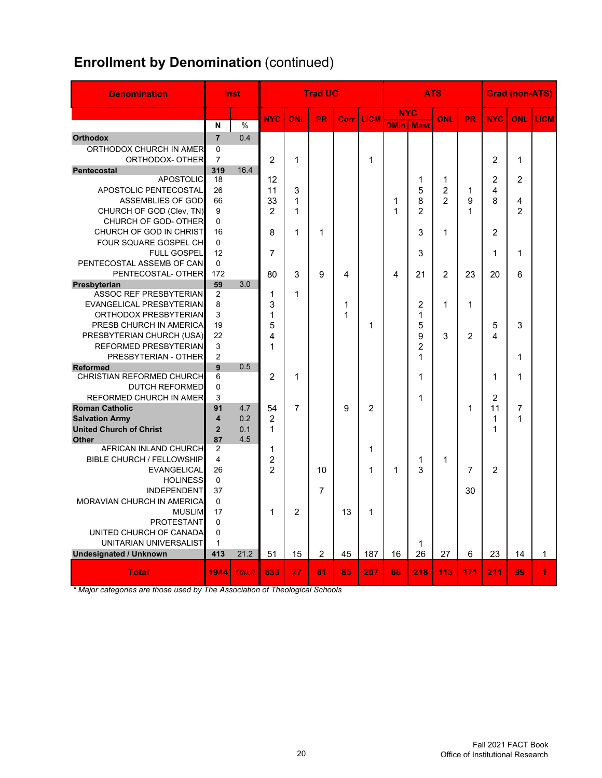# **Enrollment by Denomination (continued)**

| <b>Denomination</b>                        |                            | Inst          | <b>Trad UG</b><br><b>ATS</b> |                | <b>Grad (non-ATS)</b> |        |                |              |                |                |                |                |                |              |
|--------------------------------------------|----------------------------|---------------|------------------------------|----------------|-----------------------|--------|----------------|--------------|----------------|----------------|----------------|----------------|----------------|--------------|
|                                            |                            |               | <b>NYC</b>                   | ONL            | <b>PR</b>             | Corr I | <b>LICM</b>    |              | <b>NYC</b>     | ONL            | <b>PR</b>      | <b>NYC</b>     | ONL            | <b>LICM</b>  |
|                                            | N                          | $\frac{0}{0}$ |                              |                |                       |        |                | <b>DMinI</b> | <b>Mast</b>    |                |                |                |                |              |
| <b>Orthodox</b>                            | $\overline{7}$             | 0.4           |                              |                |                       |        |                |              |                |                |                |                |                |              |
| ORTHODOX CHURCH IN AMER<br>ORTHODOX- OTHER | $\Omega$<br>$\overline{7}$ |               | 2                            |                |                       |        |                |              |                |                |                |                |                |              |
| <b>Pentecostal</b>                         | 319                        | 16.4          |                              | 1              |                       |        | 1              |              |                |                |                | $\overline{2}$ | 1              |              |
| <b>APOSTOLIC</b>                           | 18                         |               | 12                           |                |                       |        |                |              | 1              | 1              |                | $\overline{2}$ | $\mathcal{P}$  |              |
| APOSTOLIC PENTECOSTAL                      | 26                         |               | 11                           | 3              |                       |        |                |              | 5              | $\overline{2}$ | 1              | 4              |                |              |
| ASSEMBLIES OF GOD                          | 66                         |               | 33                           | 1              |                       |        |                | 1            | 8              | $\overline{2}$ | 9              | 8              | 4              |              |
| CHURCH OF GOD (Clev, TN)                   | 9                          |               | 2                            | 1              |                       |        |                | 1            | $\mathfrak{p}$ |                | 1              |                | $\overline{2}$ |              |
| CHURCH OF GOD- OTHER                       | $\mathbf 0$                |               |                              |                |                       |        |                |              |                |                |                |                |                |              |
| CHURCH OF GOD IN CHRIST                    | 16                         |               | 8                            | 1              | 1                     |        |                |              | 3              | 1              |                | $\overline{2}$ |                |              |
| FOUR SQUARE GOSPEL CH                      | $\mathbf 0$                |               |                              |                |                       |        |                |              |                |                |                |                |                |              |
| <b>FULL GOSPEL</b>                         | 12                         |               | 7                            |                |                       |        |                |              | 3              |                |                | 1              | 1              |              |
| PENTECOSTAL ASSEMB OF CAN                  | $\mathbf 0$                |               |                              |                |                       |        |                |              |                |                |                |                |                |              |
| PENTECOSTAL- OTHER                         | 172                        |               | 80                           | 3              | 9                     | 4      |                | 4            | 21             | $\overline{2}$ | 23             | 20             | 6              |              |
| Presbyterian                               | 59                         | 3.0           |                              |                |                       |        |                |              |                |                |                |                |                |              |
| ASSOC REF PRESBYTERIAN                     | 2                          |               | 1                            | 1              |                       |        |                |              |                |                |                |                |                |              |
| EVANGELICAL PRESBYTERIAN                   | 8                          |               | 3                            |                |                       | 1      |                |              | 2              | 1              | 1              |                |                |              |
| ORTHODOX PRESBYTERIAN                      | 3                          |               | 1                            |                |                       | 1      |                |              | 1              |                |                |                |                |              |
| PRESB CHURCH IN AMERICA                    | 19                         |               | 5                            |                |                       |        | 1              |              | 5              |                |                | 5              | 3              |              |
| PRESBYTERIAN CHURCH (USA)                  | 22                         |               | 4                            |                |                       |        |                |              | 9              | 3              | $\mathfrak{p}$ | 4              |                |              |
| REFORMED PRESBYTERIAN                      | 3                          |               | 1                            |                |                       |        |                |              | $\overline{c}$ |                |                |                |                |              |
| PRESBYTERIAN - OTHER                       | 2                          |               |                              |                |                       |        |                |              | 1              |                |                |                | 1              |              |
| <b>Reformed</b>                            | 9                          | 0.5           |                              |                |                       |        |                |              |                |                |                |                |                |              |
| <b>CHRISTIAN REFORMED CHURCH</b>           | 6                          |               | $\overline{c}$               | 1              |                       |        |                |              | 1              |                |                | 1              | 1              |              |
| <b>DUTCH REFORMED</b>                      | $\mathbf 0$                |               |                              |                |                       |        |                |              |                |                |                |                |                |              |
| <b>REFORMED CHURCH IN AMER</b>             | 3                          |               |                              |                |                       |        |                |              | 1              |                |                | $\overline{2}$ |                |              |
| <b>Roman Catholic</b>                      | 91                         | 4.7           | 54                           | $\overline{7}$ |                       | 9      | $\mathfrak{p}$ |              |                |                | 1              | 11             | $\overline{7}$ |              |
| <b>Salvation Army</b>                      | $\overline{\mathbf{4}}$    | 0.2           | $\overline{2}$               |                |                       |        |                |              |                |                |                | 1              | 1              |              |
| <b>United Church of Christ</b>             | $\overline{2}$             | 0.1           | 1                            |                |                       |        |                |              |                |                |                | 1              |                |              |
| <b>Other</b>                               | 87                         | 4.5           |                              |                |                       |        |                |              |                |                |                |                |                |              |
| AFRICAN INLAND CHURCH                      | 2                          |               | 1                            |                |                       |        | 1              |              |                |                |                |                |                |              |
| <b>BIBLE CHURCH / FELLOWSHIP</b>           | $\overline{4}$             |               | $\overline{2}$               |                |                       |        |                |              | 1              | 1              |                |                |                |              |
| <b>EVANGELICAL</b>                         | 26                         |               | $\mathfrak{p}$               |                | 10                    |        | 1              | 1            | 3              |                | $\overline{7}$ | $\overline{2}$ |                |              |
| <b>HOLINESS</b>                            | $\mathbf 0$                |               |                              |                |                       |        |                |              |                |                |                |                |                |              |
| <b>INDEPENDENT</b>                         | 37                         |               |                              |                | $\overline{7}$        |        |                |              |                |                | 30             |                |                |              |
| MORAVIAN CHURCH IN AMERICA                 | $\Omega$                   |               |                              |                |                       |        |                |              |                |                |                |                |                |              |
| <b>MUSLIM</b>                              | 17                         |               | 1                            | $\overline{2}$ |                       | 13     | $\mathbf 1$    |              |                |                |                |                |                |              |
| <b>PROTESTANT</b>                          | $\mathbf 0$                |               |                              |                |                       |        |                |              |                |                |                |                |                |              |
| UNITED CHURCH OF CANADA                    | $\mathbf{0}$               |               |                              |                |                       |        |                |              |                |                |                |                |                |              |
| UNITARIAN UNIVERSALIST                     | $\mathbf{1}$               |               |                              |                |                       |        |                |              | 1              |                |                |                |                |              |
| <b>Undesignated / Unknown</b>              | 413                        | 21.2          | 51                           | 15             | $\overline{2}$        | 45     | 187            | 16           | 26             | 27             | 6              | 23             | 14             | $\mathbf{1}$ |
| <b>Total</b>                               | 1944                       | 100.0         | 633                          | 77             | 61                    | 85     | 207            | 68           | 218            | 113            | 171            | 211            | 99             | 4            |

*\* Major categories are those used by The Association of Theological Schools*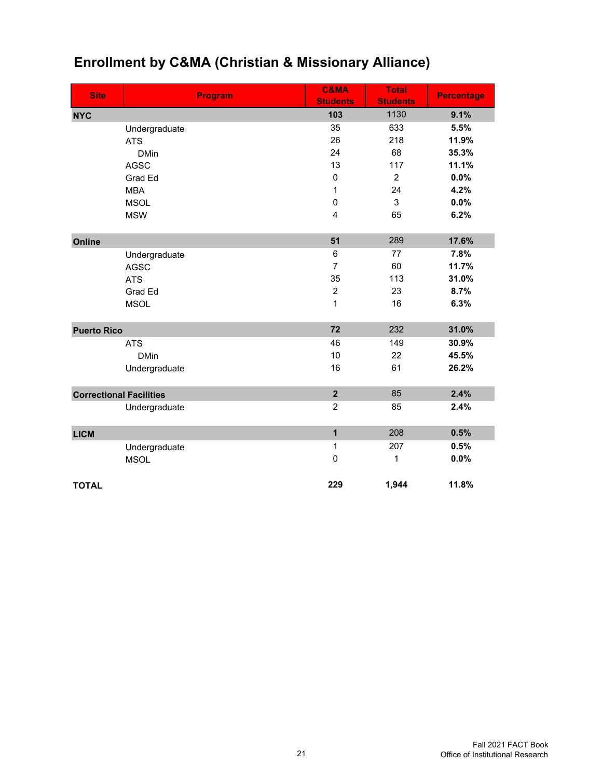| <b>Site</b>                    | Program       | <b>C&amp;MA</b><br><b>Students</b> | <b>Total</b><br><b>Students</b> | <b>Percentage</b> |
|--------------------------------|---------------|------------------------------------|---------------------------------|-------------------|
| <b>NYC</b>                     |               | 103                                | 1130                            | 9.1%              |
|                                | Undergraduate | 35                                 | 633                             | 5.5%              |
|                                | <b>ATS</b>    | 26                                 | 218                             | 11.9%             |
|                                | <b>DMin</b>   | 24                                 | 68                              | 35.3%             |
|                                | <b>AGSC</b>   | 13                                 | 117                             | 11.1%             |
|                                | Grad Ed       | $\mathbf 0$                        | $\overline{2}$                  | 0.0%              |
|                                | <b>MBA</b>    | 1                                  | 24                              | 4.2%              |
|                                | <b>MSOL</b>   | $\mathbf 0$                        | 3                               | 0.0%              |
|                                | <b>MSW</b>    | 4                                  | 65                              | 6.2%              |
| Online                         |               | 51                                 | 289                             | 17.6%             |
|                                | Undergraduate | 6                                  | 77                              | 7.8%              |
|                                | <b>AGSC</b>   | $\overline{7}$                     | 60                              | 11.7%             |
|                                | <b>ATS</b>    | 35                                 | 113                             | 31.0%             |
|                                | Grad Ed       | $\overline{c}$                     | 23                              | 8.7%              |
|                                | <b>MSOL</b>   | 1                                  | 16                              | 6.3%              |
| <b>Puerto Rico</b>             |               | 72                                 | 232                             | 31.0%             |
|                                | <b>ATS</b>    | 46                                 | 149                             | 30.9%             |
|                                | <b>DMin</b>   | 10                                 | 22                              | 45.5%             |
|                                | Undergraduate | 16                                 | 61                              | 26.2%             |
| <b>Correctional Facilities</b> |               | $\overline{\mathbf{2}}$            | 85                              | 2.4%              |
|                                | Undergraduate | $\overline{2}$                     | 85                              | 2.4%              |
| <b>LICM</b>                    |               | $\mathbf{1}$                       | 208                             | 0.5%              |
|                                | Undergraduate | 1                                  | 207                             | 0.5%              |
|                                | <b>MSOL</b>   | $\mathbf 0$                        | 1                               | 0.0%              |
| <b>TOTAL</b>                   |               | 229                                | 1,944                           | 11.8%             |

# **Enrollment by C&MA (Christian & Missionary Alliance)**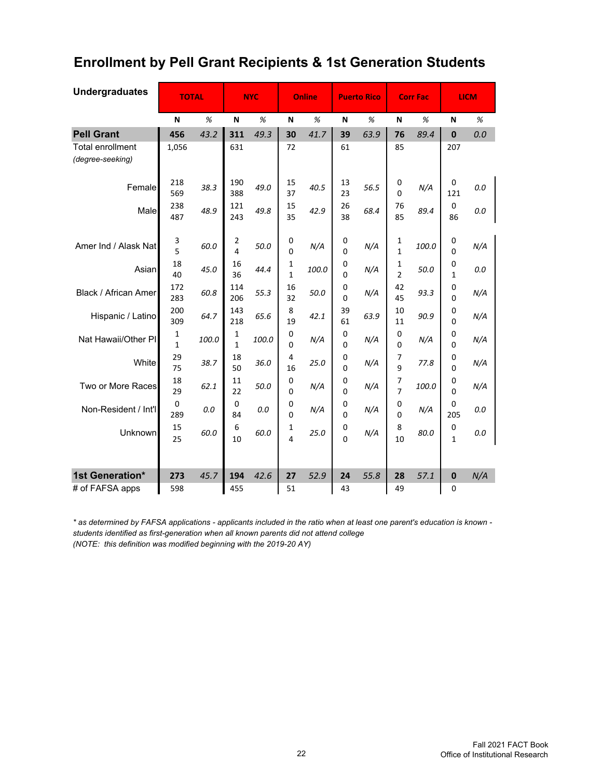## **Enrollment by Pell Grant Recipients & 1st Generation Students**

| <b>Undergraduates</b>                       | <b>TOTAL</b> |       |                  | <b>NYC</b> |                              | Online |                  | <b>Puerto Rico</b> | <b>Corr Fac</b>     |       |               | <b>LICM</b> |
|---------------------------------------------|--------------|-------|------------------|------------|------------------------------|--------|------------------|--------------------|---------------------|-------|---------------|-------------|
|                                             | N            | %     | N                | %          | N                            | %      | N                | %                  | N                   | %     | N             | %           |
| <b>Pell Grant</b>                           | 456          | 43.2  | 311              | 49.3       | 30                           | 41.7   | 39               | 63.9               | 76                  | 89.4  | $\bf{0}$      | 0.0         |
| <b>Total enrollment</b><br>(degree-seeking) | 1,056        |       | 631              |            | 72                           |        | 61               |                    | 85                  |       | 207           |             |
| Female                                      | 218<br>569   | 38.3  | 190<br>388       | 49.0       | 15<br>37                     | 40.5   | 13<br>23         | 56.5               | 0<br>0              | N/A   | 0<br>121      | 0.0         |
| Male                                        | 238<br>487   | 48.9  | 121<br>243       | 49.8       | 15<br>35                     | 42.9   | 26<br>38         | 68.4               | 76<br>85            | 89.4  | 0<br>86       | 0.0         |
| Amer Ind / Alask Nat                        | 3<br>5       | 60.0  | 2<br>4           | 50.0       | 0<br>0                       | N/A    | 0<br>0           | N/A                | 1<br>1              | 100.0 | 0<br>0        | N/A         |
| Asian                                       | 18<br>40     | 45.0  | 16<br>36         | 44.4       | $\mathbf{1}$<br>$\mathbf{1}$ | 100.0  | 0<br>0           | N/A                | 1<br>$\overline{2}$ | 50.0  | 0<br>1        | 0.0         |
| Black / African Amer                        | 172<br>283   | 60.8  | 114<br>206       | 55.3       | 16<br>32                     | 50.0   | 0<br>0           | N/A                | 42<br>45            | 93.3  | 0<br>0        | N/A         |
| Hispanic / Latino                           | 200<br>309   | 64.7  | 143<br>218       | 65.6       | 8<br>19                      | 42.1   | 39<br>61         | 63.9               | 10<br>11            | 90.9  | 0<br>0        | N/A         |
| Nat Hawaii/Other PI                         | 1<br>1       | 100.0 | 1<br>$\mathbf 1$ | 100.0      | 0<br>0                       | N/A    | 0<br>0           | N/A                | 0<br>0              | N/A   | 0<br>0        | N/A         |
| White                                       | 29<br>75     | 38.7  | 18<br>50         | 36.0       | 4<br>16                      | 25.0   | 0<br>0           | N/A                | 7<br>9              | 77.8  | 0<br>0        | N/A         |
| Two or More Races                           | 18<br>29     | 62.1  | 11<br>22         | 50.0       | 0<br>0                       | N/A    | 0<br>$\mathbf 0$ | N/A                | 7<br>7              | 100.0 | 0<br>$\Omega$ | N/A         |
| Non-Resident / Int'l                        | 0<br>289     | 0.0   | 0<br>84          | 0.0        | 0<br>0                       | N/A    | 0<br>0           | N/A                | 0<br>0              | N/A   | 0<br>205      | 0.0         |
| Unknown                                     | 15<br>25     | 60.0  | 6<br>10          | 60.0       | 1<br>4                       | 25.0   | 0<br>0           | N/A                | 8<br>10             | 80.0  | 0<br>1        | 0.0         |
| 1st Generation*                             | 273          | 45.7  | 194              | 42.6       | 27                           | 52.9   | 24               | 55.8               | 28                  | 57.1  | $\mathbf 0$   | N/A         |
| # of FAFSA apps                             | 598          |       | 455              |            | 51                           |        | 43               |                    | 49                  |       | $\Omega$      |             |

*\* as determined by FAFSA applications - applicants included in the ratio when at least one parent's education is known students identified as first-generation when all known parents did not attend college (NOTE: this definition was modified beginning with the 2019-20 AY)*

> Fall 2021 FACT Book Office of Institutional Research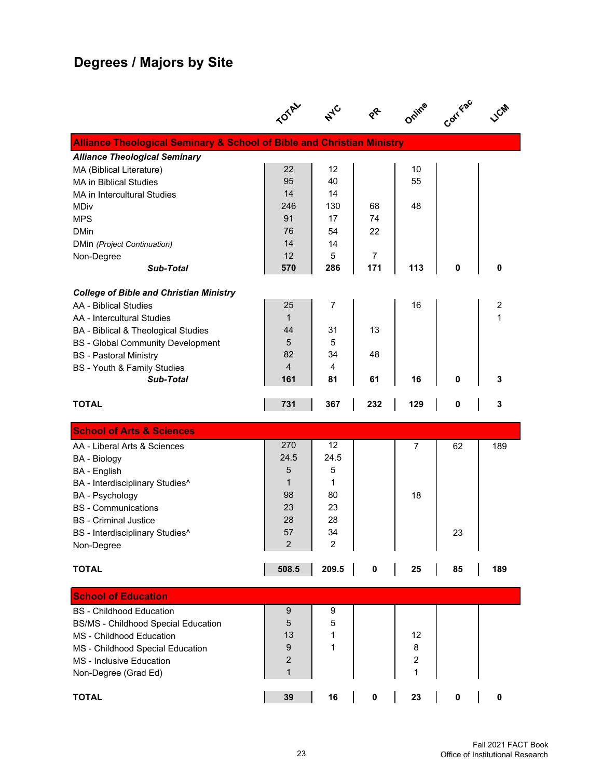# **Degrees / Majors by Site**

|                                                                                   |                         | $A^{\mathcal{C}}$ | $\gamma^2$            | Online | Corr Fac |     |
|-----------------------------------------------------------------------------------|-------------------------|-------------------|-----------------------|--------|----------|-----|
| <b>Alliance Theological Seminary &amp; School of Bible and Christian Ministry</b> |                         |                   |                       |        |          |     |
| <b>Alliance Theological Seminary</b>                                              |                         |                   |                       |        |          |     |
| MA (Biblical Literature)                                                          | 22                      | 12                |                       | 10     |          |     |
| <b>MA in Biblical Studies</b>                                                     | 95                      | 40                |                       | 55     |          |     |
| <b>MA in Intercultural Studies</b>                                                | 14                      | 14                |                       |        |          |     |
| <b>MDiv</b>                                                                       | 246                     | 130               | 68                    | 48     |          |     |
| <b>MPS</b>                                                                        | 91                      | 17                | 74                    |        |          |     |
| <b>DMin</b>                                                                       | 76                      | 54                | 22                    |        |          |     |
| DMin (Project Continuation)                                                       | 14                      | 14                |                       |        |          |     |
| Non-Degree                                                                        | 12                      | 5                 | $\overline{7}$<br>171 |        | 0        | 0   |
| <b>Sub-Total</b>                                                                  | 570                     | 286               |                       | 113    |          |     |
| <b>College of Bible and Christian Ministry</b>                                    |                         |                   |                       |        |          |     |
| AA - Biblical Studies                                                             | 25                      | 7                 |                       | 16     |          | 2   |
| AA - Intercultural Studies                                                        | $\mathbf{1}$            |                   |                       |        |          | 1   |
| BA - Biblical & Theological Studies                                               | 44                      | 31                | 13                    |        |          |     |
| <b>BS</b> - Global Community Development                                          | 5                       | 5                 |                       |        |          |     |
| <b>BS</b> - Pastoral Ministry                                                     | 82                      | 34                | 48                    |        |          |     |
| <b>BS</b> - Youth & Family Studies                                                | $\overline{4}$          | $\overline{4}$    |                       |        |          |     |
| <b>Sub-Total</b>                                                                  | 161                     | 81                | 61                    | 16     | 0        | 3   |
| <b>TOTAL</b>                                                                      | 731                     | 367               | 232                   | 129    | 0        | 3   |
| <b>School of Arts &amp; Sciences</b>                                              |                         |                   |                       |        |          |     |
| AA - Liberal Arts & Sciences                                                      | 270                     | 12                |                       | 7      | 62       | 189 |
| <b>BA</b> - Biology                                                               | 24.5                    | 24.5              |                       |        |          |     |
| <b>BA</b> - English                                                               | 5                       | 5                 |                       |        |          |     |
| BA - Interdisciplinary Studies^                                                   | $\mathbf{1}$            | 1                 |                       |        |          |     |
| <b>BA</b> - Psychology                                                            | 98                      | 80                |                       | 18     |          |     |
| <b>BS</b> - Communications                                                        | 23                      | 23                |                       |        |          |     |
| <b>BS</b> - Criminal Justice                                                      | 28                      | 28                |                       |        |          |     |
| BS - Interdisciplinary Studies <sup>^</sup>                                       | 57                      | 34                |                       |        | 23       |     |
| Non-Degree                                                                        | $\boldsymbol{2}$        | 2                 |                       |        |          |     |
| <b>TOTAL</b>                                                                      | 508.5                   | 209.5             | 0                     | 25     | 85       | 189 |
| <b>School of Education</b>                                                        |                         |                   |                       |        |          |     |
| <b>BS</b> - Childhood Education                                                   | 9                       | 9                 |                       |        |          |     |
| <b>BS/MS - Childhood Special Education</b>                                        | 5                       | 5                 |                       |        |          |     |
| MS - Childhood Education                                                          | 13                      | 1                 |                       | 12     |          |     |
| MS - Childhood Special Education                                                  | 9                       | 1                 |                       | 8      |          |     |
| MS - Inclusive Education                                                          | $\overline{\mathbf{c}}$ |                   |                       | 2      |          |     |
| Non-Degree (Grad Ed)                                                              | $\mathbf{1}$            |                   |                       | 1      |          |     |
| <b>TOTAL</b>                                                                      | 39                      | 16                | 0                     | 23     | 0        | 0   |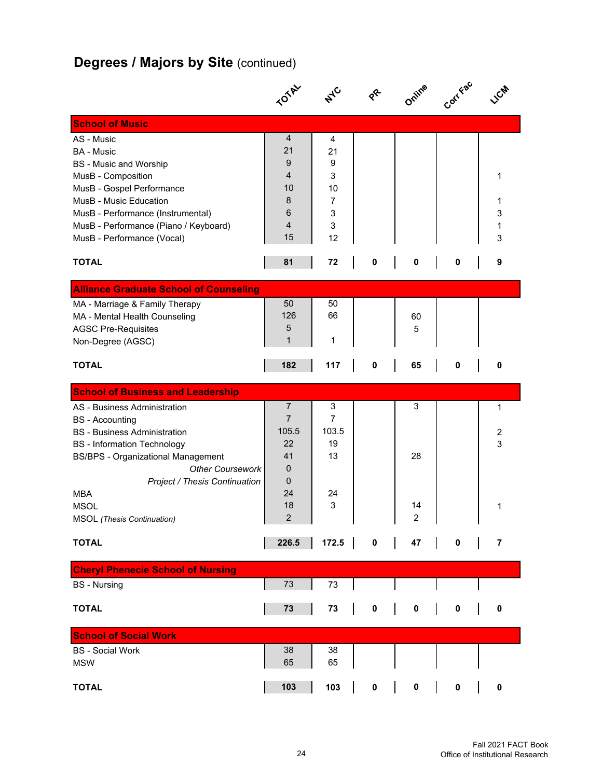# **Degrees / Majors by Site (continued)**

|                                               | <b>TOTAL</b>            |                |             | Online         | Corr Fac |                |
|-----------------------------------------------|-------------------------|----------------|-------------|----------------|----------|----------------|
| <b>School of Music</b>                        |                         |                |             |                |          |                |
| AS - Music                                    | 4                       | 4              |             |                |          |                |
| <b>BA</b> - Music                             | 21                      | 21             |             |                |          |                |
| <b>BS</b> - Music and Worship                 | 9                       | 9              |             |                |          |                |
| MusB - Composition                            | 4                       | 3              |             |                |          | 1              |
| MusB - Gospel Performance                     | 10                      | 10             |             |                |          |                |
| MusB - Music Education                        | 8                       | $\overline{7}$ |             |                |          | 1              |
| MusB - Performance (Instrumental)             | 6                       | 3              |             |                |          | 3              |
| MusB - Performance (Piano / Keyboard)         | $\overline{4}$          | 3              |             |                |          | 1              |
| MusB - Performance (Vocal)                    | 15                      | 12             |             |                |          | 3              |
| <b>TOTAL</b>                                  | 81                      | 72             | 0           | 0              | 0        | 9              |
| <b>Alliance Graduate School of Counseling</b> |                         |                |             |                |          |                |
| MA - Marriage & Family Therapy                | 50                      | 50             |             |                |          |                |
| MA - Mental Health Counseling                 | 126                     | 66             |             | 60             |          |                |
| <b>AGSC Pre-Requisites</b>                    | 5                       |                |             | 5              |          |                |
| Non-Degree (AGSC)                             | 1                       | 1              |             |                |          |                |
| <b>TOTAL</b>                                  | 182                     | 117            | 0           | 65             | 0        | 0              |
| <b>School of Business and Leadership</b>      |                         |                |             |                |          |                |
| AS - Business Administration                  | $\overline{7}$          | 3              |             | 3              |          | 1              |
| <b>BS</b> - Accounting                        | $\overline{7}$          | 7              |             |                |          |                |
| <b>BS</b> - Business Administration           | 105.5                   | 103.5          |             |                |          | 2              |
| <b>BS</b> - Information Technology            | 22                      | 19             |             |                |          | 3              |
| <b>BS/BPS - Organizational Management</b>     | 41                      | 13             |             | 28             |          |                |
| <b>Other Coursework</b>                       | 0                       |                |             |                |          |                |
| <b>Project / Thesis Continuation</b>          | 0                       |                |             |                |          |                |
| <b>MBA</b>                                    | 24                      | 24             |             |                |          |                |
| <b>MSOL</b>                                   | 18                      | 3              |             | 14             |          | 1              |
| <b>MSOL</b> (Thesis Continuation)             | $\overline{\mathbf{c}}$ |                |             | $\overline{c}$ |          |                |
| <b>TOTAL</b>                                  | 226.5                   | 172.5          | $\mathbf 0$ | 47             | 0        | $\overline{7}$ |
| <b>Cheryl Phenecie School of Nursing</b>      |                         |                |             |                |          |                |
| <b>BS</b> - Nursing                           | 73                      | 73             |             |                |          |                |
|                                               |                         |                |             |                |          |                |
| <b>TOTAL</b>                                  | 73                      | 73             | $\pmb{0}$   | 0              | 0        | 0              |
| <b>School of Social Work</b>                  |                         |                |             |                |          |                |
| <b>BS</b> - Social Work                       | 38                      | 38             |             |                |          |                |
| <b>MSW</b>                                    | 65                      | 65             |             |                |          |                |
|                                               |                         |                |             |                |          |                |
| <b>TOTAL</b>                                  | 103                     | 103            | $\pmb{0}$   | 0              | 0        | 0              |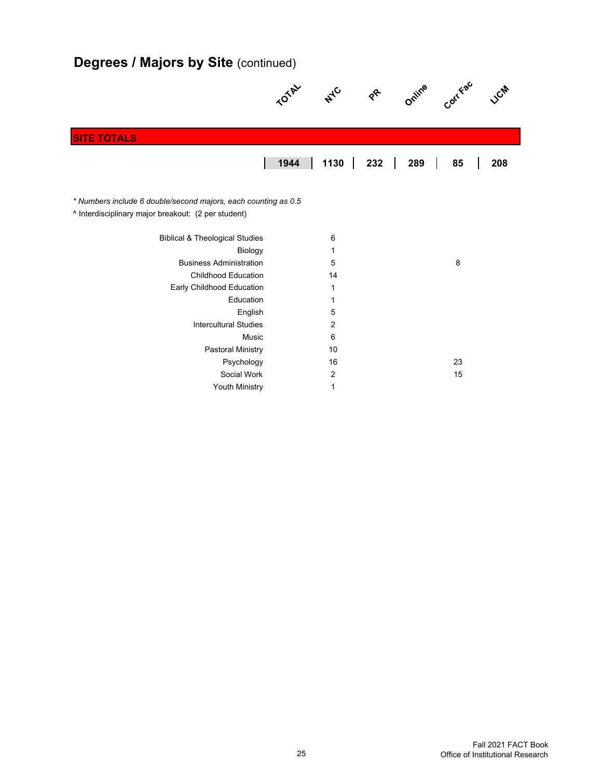# **Degrees / Majors by Site (continued)**

|                                                                                                                       | <b>01AV</b> | $A^{\mathcal{C}}$ | $\gamma^2$ | Online | Corr Fac | <b>CM</b> |
|-----------------------------------------------------------------------------------------------------------------------|-------------|-------------------|------------|--------|----------|-----------|
|                                                                                                                       |             |                   |            |        |          |           |
| <b>SITE TOTALS</b>                                                                                                    |             |                   |            |        |          |           |
|                                                                                                                       | 1944        | 1130              | 232        | 289    | 85       | 208       |
| * Numbers include 6 double/second majors, each counting as 0.5<br>^ Interdisciplinary major breakout: (2 per student) |             |                   |            |        |          |           |
| <b>Biblical &amp; Theological Studies</b>                                                                             |             | 6                 |            |        |          |           |
| Biology                                                                                                               |             | 1                 |            |        |          |           |
| <b>Business Administration</b>                                                                                        |             | 5                 |            |        | 8        |           |
| <b>Childhood Education</b>                                                                                            |             | 14                |            |        |          |           |
| Early Childhood Education                                                                                             |             | 1                 |            |        |          |           |
| Education                                                                                                             |             | 1                 |            |        |          |           |
| English                                                                                                               |             | 5                 |            |        |          |           |
| <b>Intercultural Studies</b>                                                                                          |             | 2                 |            |        |          |           |
| Music                                                                                                                 |             | 6                 |            |        |          |           |
| <b>Pastoral Ministry</b>                                                                                              |             | 10                |            |        |          |           |
| Psychology                                                                                                            |             | 16                |            |        | 23       |           |
| Social Work                                                                                                           |             | 2                 |            |        | 15       |           |
| Youth Ministry                                                                                                        |             | 1                 |            |        |          |           |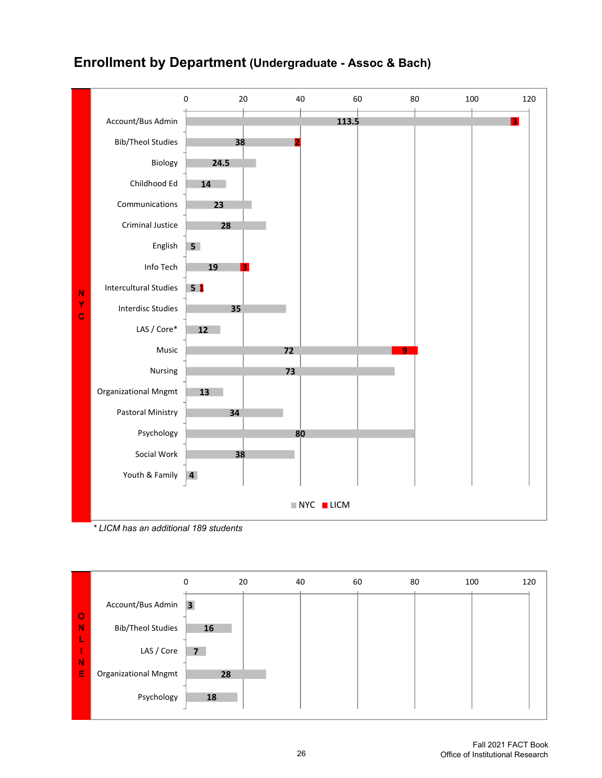

#### **Enrollment by Department (Undergraduate - Assoc & Bach)**

*\* LICM has an additional 189 students*

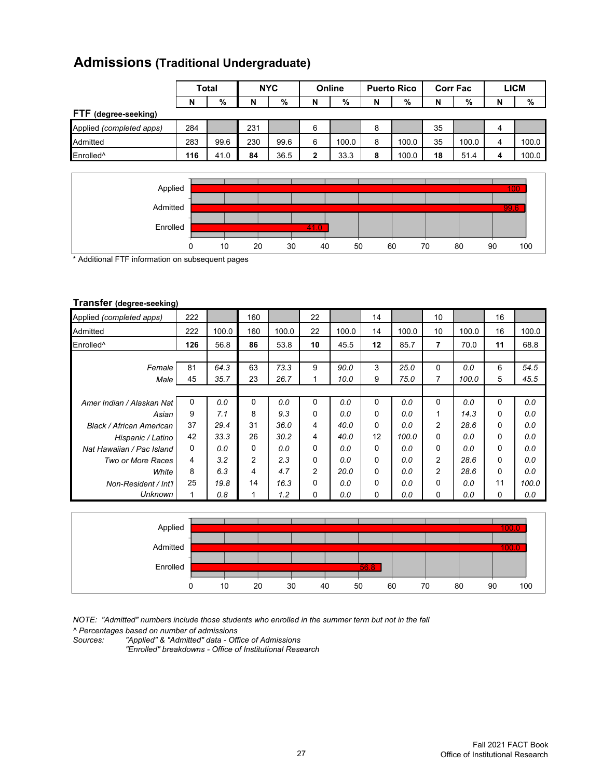|                          |     | Total | <b>NYC</b> |      | Online |       | <b>Puerto Rico</b> |       | <b>Corr Fac</b> |       | <b>LICM</b> |       |
|--------------------------|-----|-------|------------|------|--------|-------|--------------------|-------|-----------------|-------|-------------|-------|
|                          | N   | %     | N          | %    | N      | %     | N                  | %     | N               | %     | N           | %     |
| FTF (degree-seeking)     |     |       |            |      |        |       |                    |       |                 |       |             |       |
| Applied (completed apps) | 284 |       | 231        |      | 6      |       | 8                  |       | 35              |       | 4           |       |
| Admitted                 | 283 | 99.6  | 230        | 99.6 | 6      | 100.0 | 8                  | 100.0 | 35              | 100.0 |             | 100.0 |
| Enrolled <sup>^</sup>    | 116 | 41.0  | 84         | 36.5 | 2      | 33.3  | 8                  | 100.0 | 18              | 51.4  |             | 100.0 |

## **Admissions (Traditional Undergraduate)**



\* Additional FTF information on subsequent pages

#### **Transfer (degree-seeking)**

| Applied (completed apps)        | 222 |       | 160      |       | 22       |       | 14 |       | 10       |       | 16       |       |
|---------------------------------|-----|-------|----------|-------|----------|-------|----|-------|----------|-------|----------|-------|
| Admitted                        | 222 | 100.0 | 160      | 100.0 | 22       | 100.0 | 14 | 100.0 | 10       | 100.0 | 16       | 100.0 |
| Enrolled <sup>^</sup>           | 126 | 56.8  | 86       | 53.8  | 10       | 45.5  | 12 | 85.7  | 7        | 70.0  | 11       | 68.8  |
|                                 |     |       |          |       |          |       |    |       |          |       |          |       |
| Female                          | 81  | 64.3  | 63       | 73.3  | 9        | 90.0  | 3  | 25.0  | 0        | 0.0   | 6        | 54.5  |
| Male                            | 45  | 35.7  | 23       | 26.7  |          | 10.0  | 9  | 75.0  | 7        | 100.0 | 5        | 45.5  |
|                                 |     |       |          |       |          |       |    |       |          |       |          |       |
| Amer Indian / Alaskan Nat       | 0   | 0.0   | $\Omega$ | 0.0   | $\Omega$ | 0.0   | 0  | 0.0   | 0        | 0.0   | $\Omega$ | 0.0   |
| Asian                           | 9   | 7.1   | 8        | 9.3   | 0        | 0.0   | 0  | 0.0   | 1        | 14.3  | $\Omega$ | 0.0   |
| <b>Black / African American</b> | 37  | 29.4  | 31       | 36.0  | 4        | 40.0  | 0  | 0.0   | 2        | 28.6  | $\Omega$ | 0.0   |
| Hispanic / Latino               | 42  | 33.3  | 26       | 30.2  | 4        | 40.0  | 12 | 100.0 | $\Omega$ | 0.0   | $\Omega$ | 0.0   |
| Nat Hawaiian / Pac Island       | 0   | 0.0   | 0        | 0.0   | 0        | 0.0   | 0  | 0.0   | 0        | 0.0   | 0        | 0.0   |
| Two or More Races               | 4   | 3.2   | 2        | 2.3   | 0        | 0.0   | 0  | 0.0   | 2        | 28.6  | $\Omega$ | 0.0   |
| White                           | 8   | 6.3   | 4        | 4.7   | 2        | 20.0  | 0  | 0.0   | 2        | 28.6  | $\Omega$ | 0.0   |
| Non-Resident / Int'l            | 25  | 19.8  | 14       | 16.3  | 0        | 0.0   | 0  | 0.0   | $\Omega$ | 0.0   | 11       | 100.0 |
| Unknown                         |     | 0.8   |          | 1.2   | 0        | 0.0   | 0  | 0.0   | 0        | 0.0   | 0        | 0.0   |



*NOTE: "Admitted" numbers include those students who enrolled in the summer term but not in the fall*

*^ Percentages based on number of admissions Sources: "Applied" & "Admitted" data - Office of Admissions*

*"Enrolled" breakdowns - Office of Institutional Research*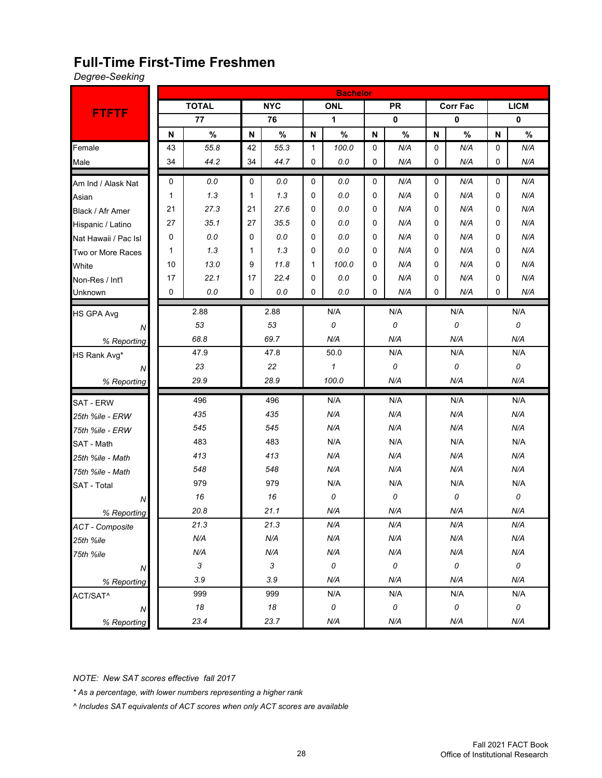#### **Full-Time First-Time Freshmen**

*Degree-Seeking*

|                        |    |                           |          |              |          | <b>Bachelor</b> |             |           |          |           |              |             |
|------------------------|----|---------------------------|----------|--------------|----------|-----------------|-------------|-----------|----------|-----------|--------------|-------------|
|                        |    | <b>TOTAL</b>              |          | <b>NYC</b>   |          | <b>ONL</b>      |             | <b>PR</b> |          | Corr Fac  |              | <b>LICM</b> |
| <b>FTFTF</b>           |    | 77                        |          | 76           |          | 1               |             | 0         |          | $\pmb{0}$ |              | 0           |
|                        | N  | $\%$                      | N        | $\%$         | N        | $\%$            | N           | $\%$      | N        | $\%$      | $\mathsf{N}$ | $\%$        |
| Female                 | 43 | 55.8                      | 42       | 55.3         | 1        | 100.0           | $\mathbf 0$ | N/A       | 0        | N/A       | 0            | N/A         |
| Male                   | 34 | 44.2                      | 34       | 44.7         | 0        | 0.0             | 0           | N/A       | 0        | N/A       | 0            | N/A         |
| Am Ind / Alask Nat     | 0  | 0.0                       | 0        | 0.0          | 0        | 0.0             | $\mathbf 0$ | N/A       | 0        | N/A       | 0            | N/A         |
| Asian                  | 1  | 1.3                       | 1        | 1.3          | 0        | 0.0             | $\Omega$    | N/A       | $\Omega$ | N/A       | $\Omega$     | N/A         |
| Black / Afr Amer       | 21 | 27.3                      | 21       | 27.6         | 0        | 0.0             | $\Omega$    | N/A       | 0        | N/A       |              | N/A         |
| Hispanic / Latino      | 27 | 35.1                      | 27       | 35.5         | 0        | 0.0             | $\Omega$    | N/A       | 0        | N/A       |              | N/A         |
| Nat Hawaii / Pac Isl   | 0  | 0.0                       | 0        | 0.0          | 0        | 0.0             | $\Omega$    | N/A       | 0        | N/A       | 0            | N/A         |
| Two or More Races      | 1  | 1.3                       | 1        | 1.3          | 0        | 0.0             | $\Omega$    | N/A       | 0        | N/A       | 0            | N/A         |
| White                  | 10 | 13.0                      | 9        | 11.8         | 1        | 100.0           | 0           | N/A       | 0        | N/A       | 0            | N/A         |
| Non-Res / Int'l        | 17 | 22.1                      | 17       | 22.4         | 0        | 0.0             | $\Omega$    | N/A       | 0        | N/A       | 0            | N/A         |
| Unknown                | 0  | 0.0                       | 0<br>0.0 |              | 0<br>0.0 |                 | 0<br>N/A    |           | 0<br>N/A |           | 0            | N/A         |
| <b>HS GPA Avg</b>      |    | 2.88                      |          | 2.88         |          | N/A             |             | N/A       |          | N/A       |              | N/A         |
| N                      |    | 53                        |          | 53           |          | 0               |             | 0         |          | 0         |              | 0           |
| % Reporting            |    | 68.8                      |          | 69.7         |          | N/A             |             | N/A       |          | N/A       |              | N/A         |
| HS Rank Avg*           |    | 47.9                      |          | 47.8         | 50.0     |                 | N/A         |           | N/A      |           |              | N/A         |
| N                      |    | 23                        | 22       |              |          | $\mathbf{1}$    |             | 0         | 0        |           |              | 0           |
| % Reporting            |    | 29.9                      |          | 28.9         | 100.0    |                 |             | N/A       |          | N/A       |              | N/A         |
| <b>SAT - ERW</b>       |    | 496                       |          | 496          | N/A      |                 |             | N/A       | N/A      |           |              | N/A         |
| 25th %ile - ERW        |    | 435                       |          | 435          |          | N/A             | N/A         |           |          | N/A       |              | N/A         |
| 75th %ile - ERW        |    | 545                       |          | 545          |          | N/A             |             | N/A       |          | N/A       |              | N/A         |
| SAT - Math             |    | 483                       |          | 483          |          | N/A             |             | N/A       |          | N/A       |              | N/A         |
| 25th %ile - Math       |    | 413                       |          | 413          |          | N/A             |             | N/A       |          | N/A       |              | N/A         |
| 75th %ile - Math       |    | 548                       |          | 548          |          | N/A             |             | N/A       |          | N/A       |              | N/A         |
| <b>SAT - Total</b>     |    | 979                       |          | 979          |          | N/A             |             | N/A       |          | N/A       |              | N/A         |
| N                      |    | 16                        |          | 16           |          | 0               |             | 0         |          | 0         |              | 0           |
| % Reporting            |    | 20.8                      |          | 21.1         |          | N/A             |             | N/A       |          | N/A       |              | N/A         |
| <b>ACT</b> - Composite |    | 21.3                      |          | 21.3         |          | N/A             |             | N/A       |          | N/A       |              | N/A         |
| 25th %ile              |    | N/A                       |          | N/A          |          | N/A             |             | N/A       |          | N/A       |              | N/A         |
| 75th %ile              |    | N/A                       |          | N/A          |          | N/A             |             | N/A       |          | N/A       |              | N/A         |
| Ν                      |    | $\ensuremath{\mathsf{3}}$ |          | $\mathbf{3}$ |          | 0               |             | 0         |          | $\cal O$  |              | $\cal O$    |
| % Reporting            |    | 3.9                       |          | 3.9          |          | N/A             |             | N/A       |          | N/A       |              | N/A         |
| ACT/SAT^               |    | 999                       |          | 999          |          | N/A             |             | N/A       |          | N/A       |              | N/A         |
| ${\cal N}$             |    | 18                        |          | 18           |          | 0               |             | 0         |          | 0         |              | 0           |
| % Reporting            |    | 23.4                      |          | 23.7         |          | N/A             |             | N/A       |          | N/A       |              | N/A         |

*NOTE: New SAT scores effective fall 2017*

*\* As a percentage, with lower numbers representing a higher rank*

*^ Includes SAT equivalents of ACT scores when only ACT scores are available*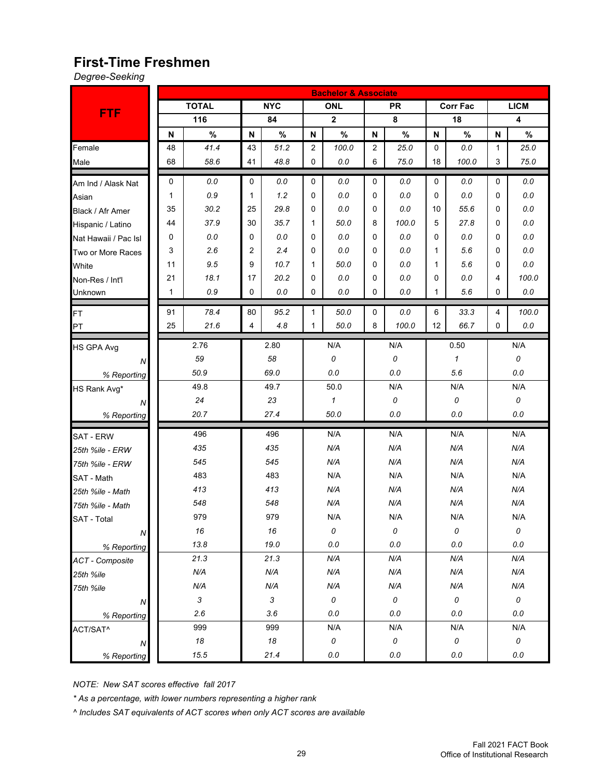#### **First-Time Freshmen**

*Degree-Seeking*

|                        |    |              | <b>Bachelor &amp; Associate</b> |                |                      |             |                |       |             |                 |              |             |
|------------------------|----|--------------|---------------------------------|----------------|----------------------|-------------|----------------|-------|-------------|-----------------|--------------|-------------|
|                        |    | <b>TOTAL</b> |                                 | <b>NYC</b>     |                      | <b>ONL</b>  |                | PR.   |             | <b>Corr Fac</b> |              | <b>LICM</b> |
| <b>FTF</b>             |    | 116          |                                 | 84             |                      | $\mathbf 2$ |                | 8     |             | 18              |              | 4           |
|                        | N  | $\%$         | N                               | $\%$           | N                    | $\%$        | N              | $\%$  | N           | $\%$            | $\mathsf{N}$ | $\%$        |
| Female                 | 48 | 41.4         | 43                              | 51.2           | 2                    | 100.0       | $\overline{2}$ | 25.0  | $\mathbf 0$ | 0.0             | $\mathbf{1}$ | 25.0        |
| Male                   | 68 | 58.6         | 41                              | 48.8           | 0                    | 0.0         | 6              | 75.0  | 18          | 100.0           | 3            | 75.0        |
| Am Ind / Alask Nat     | 0  | $0.0\,$      | 0                               | 0.0            | 0                    | 0.0         | 0              | 0.0   | $\mathbf 0$ | 0.0             | 0            | 0.0         |
| Asian                  | 1  | 0.9          | 1                               | 1.2            | 0                    | 0.0         | 0              | 0.0   | $\Omega$    | 0.0             | 0            | 0.0         |
| Black / Afr Amer       | 35 | 30.2         | 25                              | 29.8           | 0                    | 0.0         | $\Omega$       | 0.0   | 10          | 55.6            | 0            | $0.0\,$     |
| Hispanic / Latino      | 44 | 37.9         | 30                              | 35.7           | 1                    | 50.0        | 8              | 100.0 | 5           | 27.8            | 0            | $0.0\,$     |
| Nat Hawaii / Pac Isl   | 0  | 0.0          | 0                               | 0.0            | 0                    | 0.0         | 0              | 0.0   | $\Omega$    | 0.0             | 0            | $0.0\,$     |
| Two or More Races      | 3  | 2.6          | 2                               | 2.4            | 0                    | 0.0         | $\Omega$       | 0.0   | 1           | 5.6             | 0            | $0.0\,$     |
| White                  | 11 | 9.5          | 9                               | 10.7           | 1                    | 50.0        | 0              | 0.0   | 1           | 5.6             | 0            | 0.0         |
| Non-Res / Int'l        | 21 | 18.1         | 17                              | 20.2           | 0                    | 0.0         | 0              | 0.0   | 0           | 0.0             | 4            | 100.0       |
| Unknown                | 1  | 0.9          | 0                               | 0.0            | 0                    | 0.0         | 0              | 0.0   | 1           | 5.6             | 0            | 0.0         |
| FT                     | 91 | 78.4         | 80                              | 95.2           | 1                    | 50.0        | 0              | 0.0   | 6           | 33.3            | 4            | 100.0       |
| PT                     | 25 | 21.6         | 4                               | 4.8            | 50.0<br>$\mathbf{1}$ |             | 8              | 100.0 | 12<br>66.7  |                 | 0            | 0.0         |
| HS GPA Avg             |    | 2.76         |                                 | 2.80           |                      | N/A         |                | N/A   |             | 0.50            |              | N/A         |
| Ν                      |    | 59           |                                 | 58             |                      | 0           |                | 0     |             | $\mathbf{1}$    |              | 0           |
| % Reporting            |    | 50.9         |                                 | 69.0           |                      | 0.0         |                | 0.0   | 5.6         |                 |              | $0.0\,$     |
| HS Rank Avg*           |    | 49.8         |                                 | 49.7           | 50.0                 |             | N/A            |       | N/A         |                 |              | N/A         |
| N                      |    | 24           |                                 | 23             | $\mathbf{1}$         |             | 0              |       | 0           |                 |              | 0           |
| % Reporting            |    | 20.7         |                                 | 27.4           |                      | 50.0        | 0.0            |       | 0.0         |                 |              | $0.0\,$     |
| <b>SAT - ERW</b>       |    | 496          |                                 | 496            |                      | N/A         |                | N/A   |             | N/A             |              | N/A         |
| 25th %ile - ERW        |    | 435          |                                 | 435            |                      | N/A         |                | N/A   |             | N/A             |              | N/A         |
| 75th %ile - ERW        |    | 545          |                                 | 545            |                      | N/A         |                | N/A   |             | N/A             |              | N/A         |
| SAT - Math             |    | 483          |                                 | 483            |                      | N/A         |                | N/A   |             | N/A             |              | N/A         |
| 25th %ile - Math       |    | 413          |                                 | 413            |                      | N/A         |                | N/A   |             | N/A             |              | N/A         |
| 75th %ile - Math       |    | 548          |                                 | 548            |                      | N/A         |                | N/A   |             | N/A             |              | N/A         |
| <b>SAT - Total</b>     |    | 979          |                                 | 979            |                      | N/A         |                | N/A   |             | N/A             |              | N/A         |
| ${\cal N}$             |    | 16           |                                 | 16             |                      | 0           |                | 0     |             | 0               |              | 0           |
| % Reporting            |    | 13.8         |                                 | 19.0           |                      | $0.0$       |                | 0.0   |             | 0.0             |              | $0.0\,$     |
| <b>ACT</b> - Composite |    | 21.3         |                                 | 21.3           |                      | N/A         |                | N/A   |             | N/A             |              | N/A         |
| 25th %ile              |    | N/A          |                                 | N/A            |                      | N/A         |                | N/A   |             | N/A             |              | N/A         |
| 75th %ile              |    | N/A          | N/A                             |                |                      | N/A         |                | N/A   |             | N/A             |              | N/A         |
| Ν                      |    | 3            |                                 | $\mathfrak{Z}$ |                      | $\cal O$    |                | 0     |             | $\cal O$        |              | $\cal O$    |
| % Reporting            |    | 2.6          |                                 | 3.6            |                      | 0.0         |                | 0.0   |             | 0.0             |              | 0.0         |
| ACT/SAT^               |    | 999          |                                 | 999            |                      | N/A         |                | N/A   |             | N/A             |              | N/A         |
| ${\cal N}$             |    | $18\,$       |                                 | 18             |                      | 0           |                | 0     |             | $\cal O$        |              | $\cal O$    |
| % Reporting            |    | 15.5         |                                 | 21.4           |                      | 0.0         |                | 0.0   |             | $0.0\,$         |              | 0.0         |

*NOTE: New SAT scores effective fall 2017*

*\* As a percentage, with lower numbers representing a higher rank*

*^ Includes SAT equivalents of ACT scores when only ACT scores are available*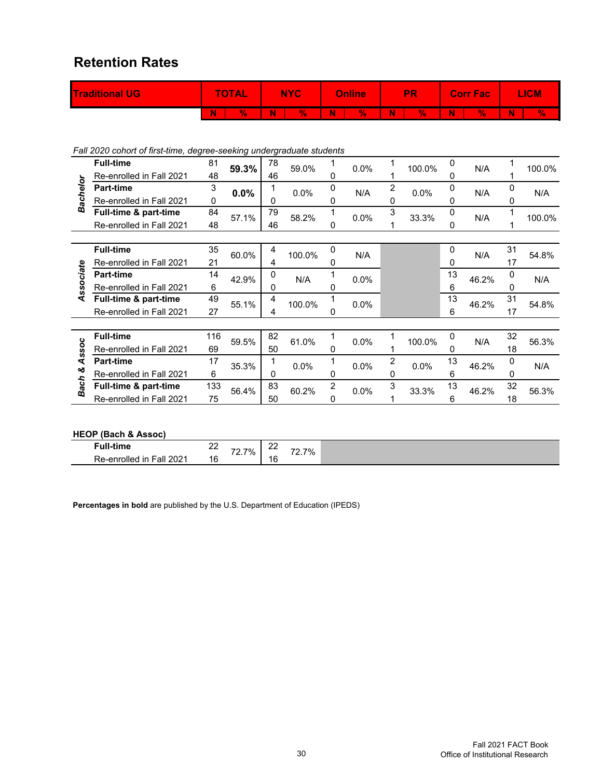#### **Retention Rates**

| <b>Traditional UG/</b> |   | <b>TOTAL</b> |   | <b>NYC</b> |   | <b>Online</b> |   | PR |   | <b>Corr Fac</b> | <b>ICM</b> |    |
|------------------------|---|--------------|---|------------|---|---------------|---|----|---|-----------------|------------|----|
|                        | N | 70           | W |            | N | V.            | W | V. | N | V.              | N          | Y. |

*Fall 2020 cohort of first-time, degree-seeking undergraduate students*

|             | <b>Full-time</b>         | 81  | 59.3% | 78 | 59.0%  |   | 0.0% |                | 100.0% | 0           | N/A   |    | 100.0% |
|-------------|--------------------------|-----|-------|----|--------|---|------|----------------|--------|-------------|-------|----|--------|
|             | Re-enrolled in Fall 2021 | 48  |       | 46 |        | 0 |      |                |        | 0           |       |    |        |
| Bachelor    | <b>Part-time</b>         | 3   | 0.0%  |    | 0.0%   | 0 | N/A  | $\overline{2}$ | 0.0%   | 0           | N/A   | 0  | N/A    |
|             | Re-enrolled in Fall 2021 | 0   |       | 0  |        | 0 |      | 0              |        | 0           |       | 0  |        |
|             | Full-time & part-time    | 84  | 57.1% | 79 | 58.2%  |   | 0.0% | 3              | 33.3%  | 0           | N/A   |    | 100.0% |
|             | Re-enrolled in Fall 2021 | 48  |       | 46 |        | 0 |      |                |        | 0           |       |    |        |
|             |                          |     |       |    |        |   |      |                |        |             |       |    |        |
|             | <b>Full-time</b>         | 35  | 60.0% | 4  | 100.0% | 0 | N/A  |                |        | $\mathbf 0$ | N/A   | 31 | 54.8%  |
|             | Re-enrolled in Fall 2021 | 21  |       | 4  |        | 0 |      |                |        | 0           |       | 17 |        |
| Associate   | <b>Part-time</b>         | 14  | 42.9% | 0  | N/A    | 1 | 0.0% |                |        | 13          | 46.2% | 0  | N/A    |
|             | Re-enrolled in Fall 2021 | 6   |       | 0  |        | 0 |      |                |        | 6           |       | 0  |        |
|             | Full-time & part-time    | 49  | 55.1% | 4  | 100.0% | 1 | 0.0% |                |        | 13          | 46.2% | 31 | 54.8%  |
|             | Re-enrolled in Fall 2021 | 27  |       | 4  |        | 0 |      |                |        | 6           |       | 17 |        |
|             |                          |     |       |    |        |   |      |                |        |             |       |    |        |
|             | <b>Full-time</b>         | 116 | 59.5% | 82 | 61.0%  |   | 0.0% |                | 100.0% | 0           | N/A   | 32 | 56.3%  |
| Assoc       | Re-enrolled in Fall 2021 | 69  |       | 50 |        | 0 |      |                |        | 0           |       | 18 |        |
|             | <b>Part-time</b>         | 17  | 35.3% |    | 0.0%   | 1 | 0.0% | $\overline{2}$ | 0.0%   | 13          | 46.2% | 0  | N/A    |
| త           | Re-enrolled in Fall 2021 | 6   |       | 0  |        | 0 |      | 0              |        | 6           |       | 0  |        |
| <b>Bach</b> | Full-time & part-time    | 133 | 56.4% | 83 | 60.2%  | 2 | 0.0% | 3              | 33.3%  | 13          | 46.2% | 32 | 56.3%  |
|             | Re-enrolled in Fall 2021 | 75  |       | 50 |        | 0 |      |                |        | 6           |       | 18 |        |
|             |                          |     |       |    |        |   |      |                |        |             |       |    |        |

#### **HEOP (Bach & Assoc)**

| ≁ull<br>tim.                     | n r<br>$- -$ | 70<br>7% | $\sim$<br>--- | 7%<br>$\overline{\phantom{a}}$ |
|----------------------------------|--------------|----------|---------------|--------------------------------|
| 202<br>Re-enrolled<br>-all<br>ın | ۔ ا<br>b     | $\sim$   | 16            | .                              |

**Percentages in bold** are published by the U.S. Department of Education (IPEDS)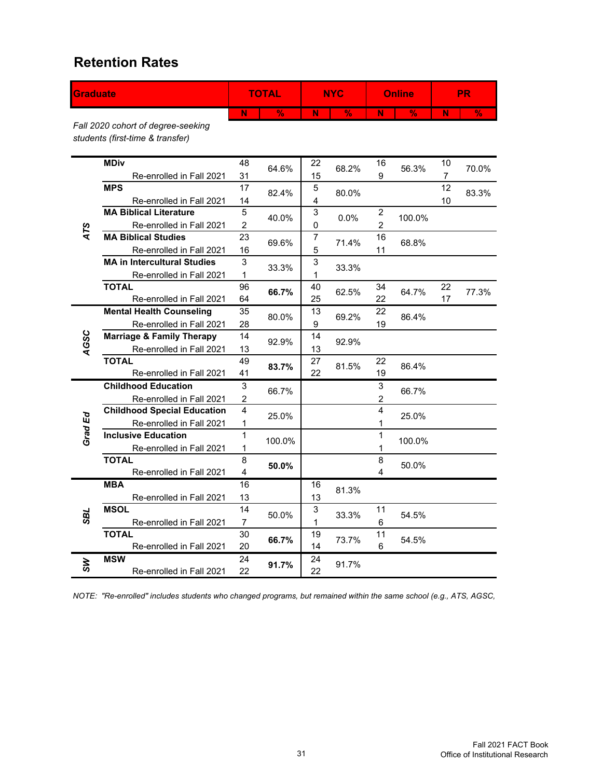#### **Retention Rates**

| <b>Graduate</b> |                                                                        |                           | <b>TOTAL</b>  |                  | <b>NYC</b>               |                         | <b>Online</b> |                | <b>PR</b>                |
|-----------------|------------------------------------------------------------------------|---------------------------|---------------|------------------|--------------------------|-------------------------|---------------|----------------|--------------------------|
|                 |                                                                        | N                         | $\frac{9}{6}$ | N                | $\overline{\frac{9}{6}}$ | $\overline{\mathsf{N}}$ | $\frac{9}{6}$ | N              | $\overline{\frac{9}{6}}$ |
|                 | Fall 2020 cohort of degree-seeking<br>students (first-time & transfer) |                           |               |                  |                          |                         |               |                |                          |
|                 | <b>MDiv</b>                                                            | 48                        | 64.6%         | 22               | 68.2%                    | 16                      | 56.3%         | 10             | 70.0%                    |
|                 | Re-enrolled in Fall 2021                                               | 31                        |               | 15               |                          | 9                       |               | $\overline{7}$ |                          |
|                 | <b>MPS</b>                                                             | 17                        | 82.4%         | 5                | 80.0%                    |                         |               | 12             | 83.3%                    |
|                 | Re-enrolled in Fall 2021                                               | 14                        |               | 4                |                          |                         |               | 10             |                          |
|                 | <b>MA Biblical Literature</b>                                          | 5                         | 40.0%         | 3                | $0.0\%$                  | $\boldsymbol{2}$        | 100.0%        |                |                          |
| ATS             | Re-enrolled in Fall 2021<br><b>MA Biblical Studies</b>                 | $\boldsymbol{2}$<br>23    |               | $\mathbf 0$<br>7 |                          | $\overline{c}$<br>16    |               |                |                          |
|                 |                                                                        |                           | 69.6%         | 5                | 71.4%                    |                         | 68.8%         |                |                          |
|                 | Re-enrolled in Fall 2021<br><b>MA in Intercultural Studies</b>         | 16<br>3                   |               | 3                |                          | 11                      |               |                |                          |
|                 | Re-enrolled in Fall 2021                                               | 1                         | 33.3%         | 1                | 33.3%                    |                         |               |                |                          |
|                 | <b>TOTAL</b>                                                           | 96                        |               | 40               |                          | 34                      |               | 22             |                          |
|                 | Re-enrolled in Fall 2021                                               | 64                        | 66.7%         | 25               | 62.5%                    | 22                      | 64.7%         | 17             | 77.3%                    |
|                 | <b>Mental Health Counseling</b>                                        | 35                        |               | 13               |                          | 22                      |               |                |                          |
|                 | Re-enrolled in Fall 2021                                               | 28                        | 80.0%         | 9                | 69.2%                    | 19                      | 86.4%         |                |                          |
|                 | <b>Marriage &amp; Family Therapy</b>                                   | 14                        |               | 14               |                          |                         |               |                |                          |
| AGSC            | Re-enrolled in Fall 2021                                               | 13                        | 92.9%         | 13               | 92.9%                    |                         |               |                |                          |
|                 | <b>TOTAL</b>                                                           | 49                        |               | 27               |                          | 22                      |               |                |                          |
|                 | Re-enrolled in Fall 2021                                               | 41                        | 83.7%         | 22               | 81.5%                    | 19                      | 86.4%         |                |                          |
|                 | <b>Childhood Education</b>                                             | $\ensuremath{\mathsf{3}}$ |               |                  |                          | $\mathsf 3$             |               |                |                          |
|                 | Re-enrolled in Fall 2021                                               | $\boldsymbol{2}$          | 66.7%         |                  |                          | $\boldsymbol{2}$        | 66.7%         |                |                          |
|                 | <b>Childhood Special Education</b>                                     | $\overline{\mathbf{4}}$   |               |                  |                          | $\overline{4}$          |               |                |                          |
| Grad Ed         | Re-enrolled in Fall 2021                                               | 1                         | 25.0%         |                  |                          | 1                       | 25.0%         |                |                          |
|                 | <b>Inclusive Education</b>                                             | 1                         | 100.0%        |                  |                          | 1                       | 100.0%        |                |                          |
|                 | Re-enrolled in Fall 2021                                               | 1                         |               |                  |                          | 1                       |               |                |                          |
|                 | <b>TOTAL</b>                                                           | 8                         | 50.0%         |                  |                          | 8                       | 50.0%         |                |                          |
|                 | Re-enrolled in Fall 2021                                               | $\overline{\mathbf{4}}$   |               |                  |                          | 4                       |               |                |                          |
|                 | <b>MBA</b>                                                             | 16                        |               | 16               | 81.3%                    |                         |               |                |                          |
|                 | Re-enrolled in Fall 2021                                               | 13                        |               | 13               |                          |                         |               |                |                          |
| TES             | <b>MSOL</b>                                                            | 14                        | 50.0%         | 3                | 33.3%                    | 11                      | 54.5%         |                |                          |
|                 | Re-enrolled in Fall 2021                                               | $\overline{7}$            |               | 1                |                          | 6                       |               |                |                          |
|                 | <b>TOTAL</b>                                                           | 30                        | 66.7%         | 19               | 73.7%                    | 11                      | 54.5%         |                |                          |
|                 | Re-enrolled in Fall 2021                                               | 20                        |               | 14               |                          | 6                       |               |                |                          |
| ZУ              | <b>MSW</b>                                                             | 24                        | 91.7%         | 24               | 91.7%                    |                         |               |                |                          |
|                 | Re-enrolled in Fall 2021                                               | 22                        |               | 22               |                          |                         |               |                |                          |

*NOTE: "Re-enrolled" includes students who changed programs, but remained within the same school (e.g., ATS, AGSC,*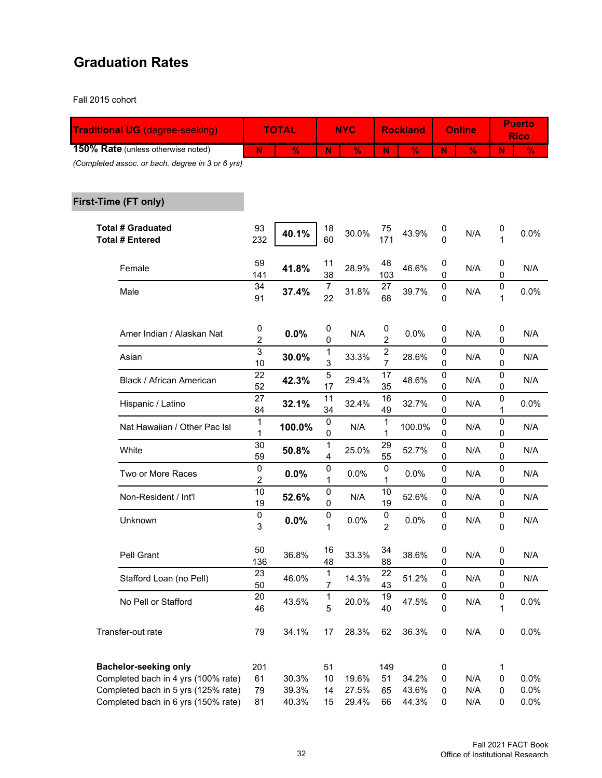#### **Graduation Rates**

Fall 2015 cohort

| <b>Traditional UG (degree-seeking)</b>                                     |                     | <b>TOTAL</b>   |                       | <b>NYC</b>     |                                    | <b>Rockland</b> |                  | <b>Online</b> |        | <b>Puerto</b><br><b>Rico</b> |
|----------------------------------------------------------------------------|---------------------|----------------|-----------------------|----------------|------------------------------------|-----------------|------------------|---------------|--------|------------------------------|
| 150% Rate (unless otherwise noted)                                         | N                   | $\%$           | N                     | $\%$           | N.                                 | $\frac{9}{6}$   | N                | $\frac{9}{6}$ | N      | $\frac{9}{6}$                |
| (Completed assoc. or bach. degree in 3 or 6 yrs)                           |                     |                |                       |                |                                    |                 |                  |               |        |                              |
| First-Time (FT only)                                                       |                     |                |                       |                |                                    |                 |                  |               |        |                              |
| <b>Total # Graduated</b><br><b>Total # Entered</b>                         | 93<br>232           | 40.1%          | 18<br>60              | 30.0%          | 75<br>171                          | 43.9%           | 0<br>0           | N/A           | 0<br>1 | 0.0%                         |
| Female                                                                     | 59<br>141           | 41.8%          | 11<br>38              | 28.9%          | 48<br>103                          | 46.6%           | 0<br>0           | N/A           | 0<br>0 | N/A                          |
| Male                                                                       | 34<br>91            | 37.4%          | 7<br>22               | 31.8%          | 27<br>68                           | 39.7%           | 0<br>0           | N/A           | 0<br>1 | 0.0%                         |
| Amer Indian / Alaskan Nat                                                  | 0<br>2              | 0.0%           | $\boldsymbol{0}$<br>0 | N/A            | 0<br>2                             | 0.0%            | 0<br>0           | N/A           | 0<br>0 | N/A                          |
| Asian                                                                      | 3<br>10             | 30.0%          | 1<br>3                | 33.3%          | $\boldsymbol{2}$<br>$\overline{7}$ | 28.6%           | 0<br>0           | N/A           | 0<br>0 | N/A                          |
| Black / African American                                                   | 22<br>52            | 42.3%          | 5<br>17               | 29.4%          | 17<br>35                           | 48.6%           | 0<br>0           | N/A           | 0<br>0 | N/A                          |
| Hispanic / Latino                                                          | 27<br>84            | 32.1%          | 11<br>34              | 32.4%          | 16<br>49                           | 32.7%           | 0<br>0           | N/A           | 0<br>1 | 0.0%                         |
| Nat Hawaiian / Other Pac Isl                                               | 1<br>1              | 100.0%         | 0<br>0                | N/A            | 1<br>1                             | 100.0%          | 0<br>0           | N/A           | 0<br>0 | N/A                          |
| White                                                                      | 30<br>59            | 50.8%          | 1<br>4                | 25.0%          | 29<br>55                           | 52.7%           | 0<br>0           | N/A           | 0<br>0 | N/A                          |
| Two or More Races                                                          | 0<br>$\overline{c}$ | 0.0%           | 0<br>1                | 0.0%           | 0<br>1                             | 0.0%            | 0<br>0           | N/A           | 0<br>0 | N/A                          |
| Non-Resident / Int'l                                                       | 10<br>19            | 52.6%          | 0<br>0                | N/A            | 10<br>19                           | 52.6%           | 0<br>0           | N/A           | 0<br>0 | N/A                          |
| Unknown                                                                    | 0<br>3              | 0.0%           | 0<br>1                | 0.0%           | 0<br>$\overline{2}$                | 0.0%            | 0<br>0           | N/A           | 0<br>0 | N/A                          |
| Pell Grant                                                                 | 50<br>136           | 36.8%          | 16<br>48              | 33.3%          | 34<br>88                           | 38.6%           | 0<br>0           | N/A           | 0<br>0 | N/A                          |
| Stafford Loan (no Pell)                                                    | 23<br>50            | 46.0%          | 1<br>$\overline{7}$   | 14.3%          | 22<br>43                           | 51.2%           | 0<br>0           | N/A           | 0<br>0 | N/A                          |
| No Pell or Stafford                                                        | 20<br>46            | 43.5%          | 1<br>5                | 20.0%          | 19<br>40                           | 47.5%           | 0<br>$\mathsf 0$ | N/A           | 0<br>1 | 0.0%                         |
| Transfer-out rate                                                          | 79                  | 34.1%          | 17                    | 28.3%          | 62                                 | 36.3%           | $\pmb{0}$        | N/A           | 0      | 0.0%                         |
| <b>Bachelor-seeking only</b>                                               | 201                 |                | 51                    |                | 149                                |                 | 0                |               | 1      |                              |
| Completed bach in 4 yrs (100% rate)                                        | 61                  | 30.3%          | 10                    | 19.6%          | 51                                 | 34.2%           | $\pmb{0}$        | N/A           | 0      | 0.0%                         |
| Completed bach in 5 yrs (125% rate)<br>Completed bach in 6 yrs (150% rate) | 79<br>81            | 39.3%<br>40.3% | 14<br>15              | 27.5%<br>29.4% | 65<br>66                           | 43.6%<br>44.3%  | 0<br>0           | N/A<br>N/A    | 0<br>0 | 0.0%<br>0.0%                 |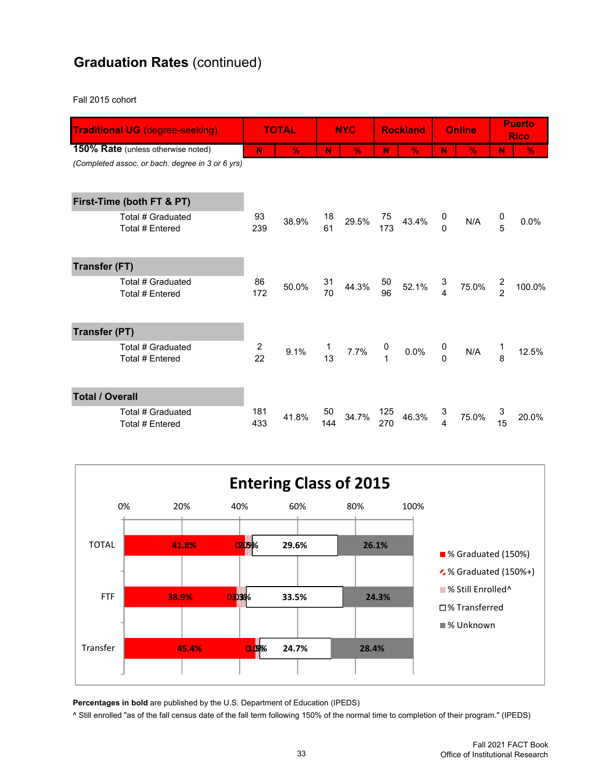### **Graduation Rates** (continued)

Fall 2015 cohort

|                                                  | <b>Traditional UG (degree-seeking)</b><br>150% Rate (unless otherwise noted) |                      | <b>TOTAL</b>  |                | <b>NYC</b>    |                                       | <b>Rockland</b> |                                  | <b>Online</b> | <b>Puerto</b><br><b>Rico</b> |        |
|--------------------------------------------------|------------------------------------------------------------------------------|----------------------|---------------|----------------|---------------|---------------------------------------|-----------------|----------------------------------|---------------|------------------------------|--------|
|                                                  |                                                                              | N                    | $\frac{9}{6}$ | N              | $\frac{9}{6}$ | N                                     | $\frac{9}{6}$   | Ν                                | $\frac{9}{6}$ | Ν                            | %      |
| (Completed assoc. or bach. degree in 3 or 6 yrs) |                                                                              |                      |               |                |               |                                       |                 |                                  |               |                              |        |
|                                                  | First-Time (both FT & PT)                                                    |                      |               |                |               |                                       |                 |                                  |               |                              |        |
|                                                  | Total # Graduated<br>Total # Entered                                         | 93<br>239            | 38.9%         | 18<br>61       | 29.5%         | 75<br>173                             | 43.4%           | $\begin{matrix}0\\0\end{matrix}$ | N/A           | $\frac{0}{5}$                | 0.0%   |
| <b>Transfer (FT)</b>                             |                                                                              |                      |               |                |               |                                       |                 |                                  |               |                              |        |
|                                                  | Total # Graduated<br>Total # Entered                                         | 86<br>172            | 50.0%         | 31<br>70       | 44.3%         | 50<br>96                              | 52.1%           | 3<br>$\overline{4}$              | 75.0%         | $\frac{2}{2}$                | 100.0% |
| <b>Transfer (PT)</b>                             |                                                                              |                      |               |                |               |                                       |                 |                                  |               |                              |        |
|                                                  | Total # Graduated<br>Total # Entered                                         | $\overline{c}$<br>22 | 9.1%          | $\frac{1}{13}$ | 7.7%          | $\begin{array}{c} 0 \\ 1 \end{array}$ | $0.0\%$         | $\begin{matrix}0\\0\end{matrix}$ | N/A           | 1<br>8                       | 12.5%  |
| <b>Total / Overall</b>                           |                                                                              |                      |               |                |               |                                       |                 |                                  |               |                              |        |
|                                                  | Total # Graduated<br>Total # Entered                                         | 181<br>433           | 41.8%         | 50<br>144      | 34.7%         | 125<br>270                            | 46.3%           | 3<br>$\overline{4}$              | 75.0%         | 3<br>15                      | 20.0%  |



**Percentages in bold** are published by the U.S. Department of Education (IPEDS)

^ Still enrolled "as of the fall census date of the fall term following 150% of the normal time to completion of their program." (IPEDS)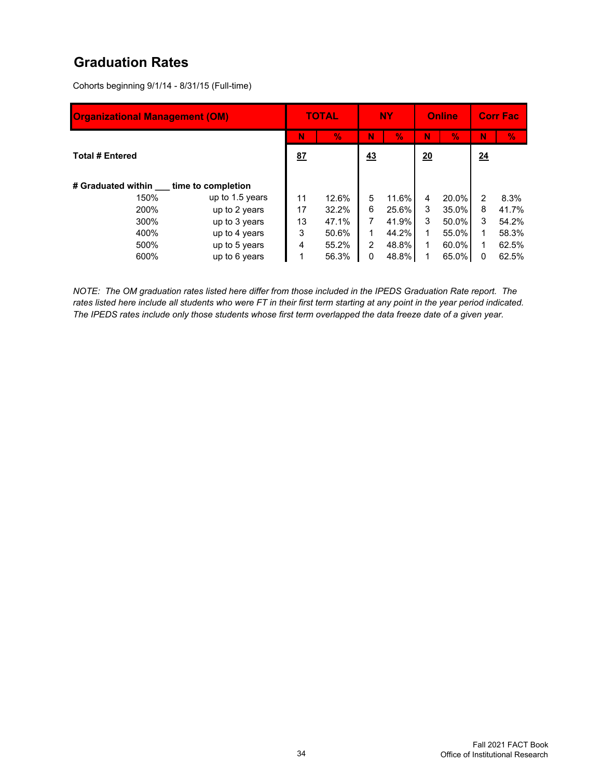#### **Graduation Rates**

Cohorts beginning 9/1/14 - 8/31/15 (Full-time)

| <b>Organizational Management (OM)</b> |                 |    | <b>TOTAL</b> | <b>NY</b>     |       | <b>Online</b> |          |                | <b>Corr Fac</b> |
|---------------------------------------|-----------------|----|--------------|---------------|-------|---------------|----------|----------------|-----------------|
|                                       |                 | N  | V.           | N             | V.    | N             | $\%$     | N              | y.              |
| <b>Total # Entered</b>                | 87              |    | 43           |               | 20    |               | 24       |                |                 |
| # Graduated within time to completion |                 |    |              |               |       |               |          |                |                 |
| 150%                                  | up to 1.5 years | 11 | 12.6%        | 5             | 11.6% | 4             | 20.0%    | $\mathfrak{p}$ | 8.3%            |
| 200%                                  | up to 2 years   | 17 | 32.2%        | 6             | 25.6% | 3             | $35.0\%$ | 8              | 41.7%           |
| 300%                                  | up to 3 years   | 13 | 47.1%        | 7             | 41.9% | 3             | 50.0%    | 3              | 54.2%           |
| 400%<br>up to 4 years                 |                 | 3  | 50.6%        |               | 44.2% | 1             | 55.0%    | 1              | 58.3%           |
| 500%                                  | up to 5 years   |    | 55.2%        | $\mathcal{P}$ | 48.8% | 1             | $60.0\%$ |                | 62.5%           |
| 600%                                  | up to 6 years   |    | 56.3%        | 0             | 48.8% |               | 65.0%    | 0              | 62.5%           |

*NOTE: The OM graduation rates listed here differ from those included in the IPEDS Graduation Rate report. The rates listed here include all students who were FT in their first term starting at any point in the year period indicated. The IPEDS rates include only those students whose first term overlapped the data freeze date of a given year.*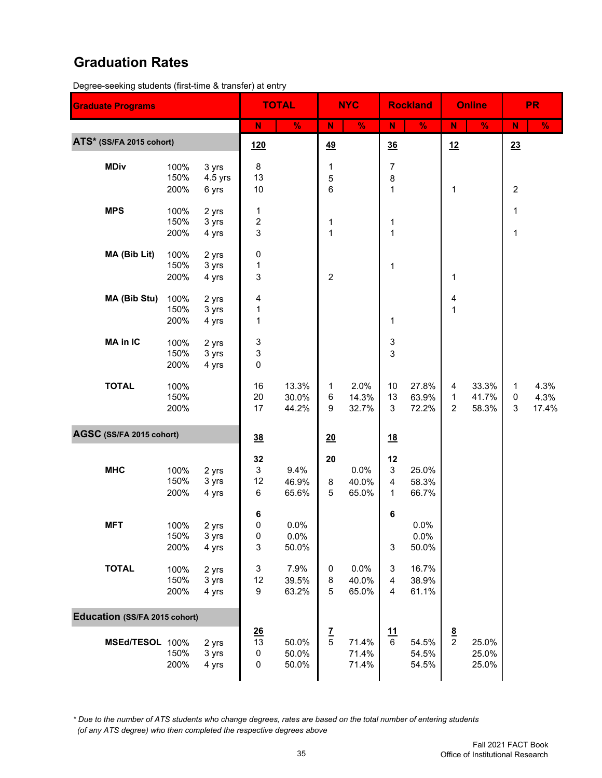#### **Graduation Rates**

Degree-seeking students (first-time & transfer) at entry

| <b>Graduate Programs</b>             |                      |                             |                          | <b>TOTAL</b>            |                  | <b>NYC</b>              |                                  | <b>Rockland</b>         |                                     | <b>Online</b>           |                              | <b>PR</b>             |
|--------------------------------------|----------------------|-----------------------------|--------------------------|-------------------------|------------------|-------------------------|----------------------------------|-------------------------|-------------------------------------|-------------------------|------------------------------|-----------------------|
|                                      |                      |                             | ${\bf N}$                | $\frac{9}{6}$           | ${\bf N}$        | $\frac{9}{6}$           | N                                | $\frac{9}{6}$           | ${\bf N}$                           | $\%$                    | $\mathbf N$                  | $\frac{9}{6}$         |
| ATS* (SS/FA 2015 cohort)             |                      |                             | <u>120</u>               |                         | 49               |                         | 36                               |                         | 12                                  |                         | 23                           |                       |
| <b>MDiv</b>                          | 100%<br>150%<br>200% | 3 yrs<br>$4.5$ yrs<br>6 yrs | 8<br>13<br>10            |                         | 1<br>5<br>6      |                         | $\boldsymbol{7}$<br>$\bf 8$<br>1 |                         | 1                                   |                         | $\overline{c}$               |                       |
| <b>MPS</b>                           | 100%<br>150%<br>200% | 2 yrs<br>3 yrs<br>4 yrs     | 1<br>2<br>3              |                         | 1<br>$\mathbf 1$ |                         | 1<br>1                           |                         |                                     |                         | 1<br>$\mathbf{1}$            |                       |
| MA (Bib Lit)                         | 100%<br>150%<br>200% | 2 yrs<br>3 yrs<br>4 yrs     | 0<br>1<br>3              |                         | $\overline{c}$   |                         | 1                                |                         | 1                                   |                         |                              |                       |
| MA (Bib Stu)                         | 100%<br>150%<br>200% | 2 yrs<br>3 yrs<br>4 yrs     | 4<br>$\mathbf{1}$<br>1   |                         |                  |                         | 1                                |                         | 4<br>$\mathbf 1$                    |                         |                              |                       |
| <b>MA in IC</b>                      | 100%<br>150%<br>200% | 2 yrs<br>3 yrs<br>4 yrs     | 3<br>3<br>0              |                         |                  |                         | 3<br>3                           |                         |                                     |                         |                              |                       |
| <b>TOTAL</b>                         | 100%<br>150%<br>200% |                             | 16<br>20<br>17           | 13.3%<br>30.0%<br>44.2% | 1<br>6<br>9      | 2.0%<br>14.3%<br>32.7%  | 10<br>13<br>3                    | 27.8%<br>63.9%<br>72.2% | 4<br>$\mathbf{1}$<br>$\overline{2}$ | 33.3%<br>41.7%<br>58.3% | 1<br>$\pmb{0}$<br>$\sqrt{3}$ | 4.3%<br>4.3%<br>17.4% |
| AGSC (SS/FA 2015 cohort)             |                      |                             | 38                       |                         | 20               |                         | <u>18</u>                        |                         |                                     |                         |                              |                       |
| <b>MHC</b>                           | 100%<br>150%<br>200% | 2 yrs<br>3 yrs<br>4 yrs     | 32<br>3<br>12<br>6       | 9.4%<br>46.9%<br>65.6%  | 20<br>8<br>5     | 0.0%<br>40.0%<br>65.0%  | 12<br>$\mathsf 3$<br>4<br>1      | 25.0%<br>58.3%<br>66.7% |                                     |                         |                              |                       |
| <b>MFT</b>                           | 100%<br>150%<br>200% | 2 yrs<br>3 yrs<br>4 yrs     | 6<br>0<br>$\pmb{0}$<br>3 | 0.0%<br>0.0%<br>50.0%   |                  |                         | 6<br>$\mathsf 3$                 | 0.0%<br>0.0%<br>50.0%   |                                     |                         |                              |                       |
| <b>TOTAL</b>                         | 100%<br>150%<br>200% | 2 yrs<br>3 yrs<br>4 yrs     | 3<br>12<br>9             | 7.9%<br>39.5%<br>63.2%  | 0<br>8<br>5      | 0.0%<br>40.0%<br>65.0%  | 3<br>$\overline{4}$<br>4         | 16.7%<br>38.9%<br>61.1% |                                     |                         |                              |                       |
| <b>Education (SS/FA 2015 cohort)</b> |                      |                             |                          |                         |                  |                         |                                  |                         |                                     |                         |                              |                       |
| MSEd/TESOL 100%                      | 150%<br>200%         | 2 yrs<br>3 yrs<br>4 yrs     | 26<br>13<br>0<br>0       | 50.0%<br>50.0%<br>50.0% | $rac{7}{5}$      | 71.4%<br>71.4%<br>71.4% | 11<br>$6\phantom{a}$             | 54.5%<br>54.5%<br>54.5% | $\frac{8}{2}$                       | 25.0%<br>25.0%<br>25.0% |                              |                       |

*\* Due to the number of ATS students who change degrees, rates are based on the total number of entering students (of any ATS degree) who then completed the respective degrees above*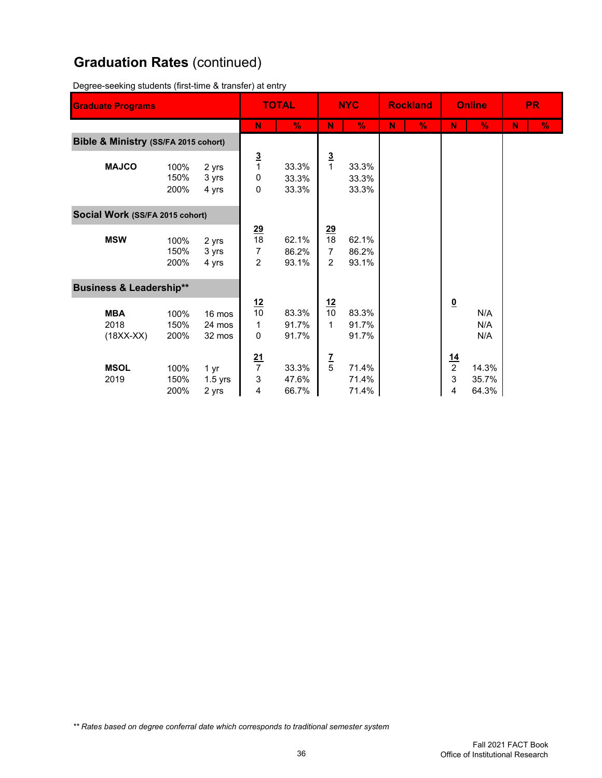## **Graduation Rates** (continued)

Degree-seeking students (first-time & transfer) at entry

| <b>Graduate Programs</b>             |                      |                            |                                        | <b>TOTAL</b>            |                           | <b>NYC</b>              |    | <b>Rockland</b> | <b>Online</b>                       |                         | <b>PR</b> |               |
|--------------------------------------|----------------------|----------------------------|----------------------------------------|-------------------------|---------------------------|-------------------------|----|-----------------|-------------------------------------|-------------------------|-----------|---------------|
|                                      |                      |                            | N                                      | $\frac{9}{6}$           | N                         | $\frac{9}{6}$           | N. | $\frac{9}{6}$   | N                                   | $\frac{9}{6}$           | N         | $\frac{9}{6}$ |
| Bible & Ministry (SS/FA 2015 cohort) |                      |                            |                                        |                         |                           |                         |    |                 |                                     |                         |           |               |
| <b>MAJCO</b>                         | 100%<br>150%<br>200% | 2 yrs<br>3 yrs<br>4 yrs    | $\frac{3}{1}$<br>0<br>0                | 33.3%<br>33.3%<br>33.3% | $\frac{3}{1}$             | 33.3%<br>33.3%<br>33.3% |    |                 |                                     |                         |           |               |
| Social Work (SS/FA 2015 cohort)      |                      |                            |                                        |                         |                           |                         |    |                 |                                     |                         |           |               |
| <b>MSW</b>                           | 100%<br>150%<br>200% | 2 yrs<br>3 yrs<br>4 yrs    | $\frac{29}{18}$<br>$\overline{7}$<br>2 | 62.1%<br>86.2%<br>93.1% | $\frac{29}{18}$<br>7<br>2 | 62.1%<br>86.2%<br>93.1% |    |                 |                                     |                         |           |               |
| <b>Business &amp; Leadership**</b>   |                      |                            |                                        |                         |                           |                         |    |                 |                                     |                         |           |               |
| <b>MBA</b><br>2018<br>$(18XX-XX)$    | 100%<br>150%<br>200% | 16 mos<br>24 mos<br>32 mos | $\frac{12}{10}$<br>1<br>$\pmb{0}$      | 83.3%<br>91.7%<br>91.7% | $\frac{12}{10}$<br>1      | 83.3%<br>91.7%<br>91.7% |    |                 | $\underline{\mathbf{0}}$            | N/A<br>N/A<br>N/A       |           |               |
| <b>MSOL</b><br>2019                  | 100%<br>150%<br>200% | 1 yr<br>$1.5$ yrs<br>2 yrs | $\frac{21}{7}$<br>3<br>4               | 33.3%<br>47.6%<br>66.7% | $rac{7}{5}$               | 71.4%<br>71.4%<br>71.4% |    |                 | $\frac{14}{2}$<br>$\mathbf{3}$<br>4 | 14.3%<br>35.7%<br>64.3% |           |               |

*\*\* Rates based on degree conferral date which corresponds to traditional semester system*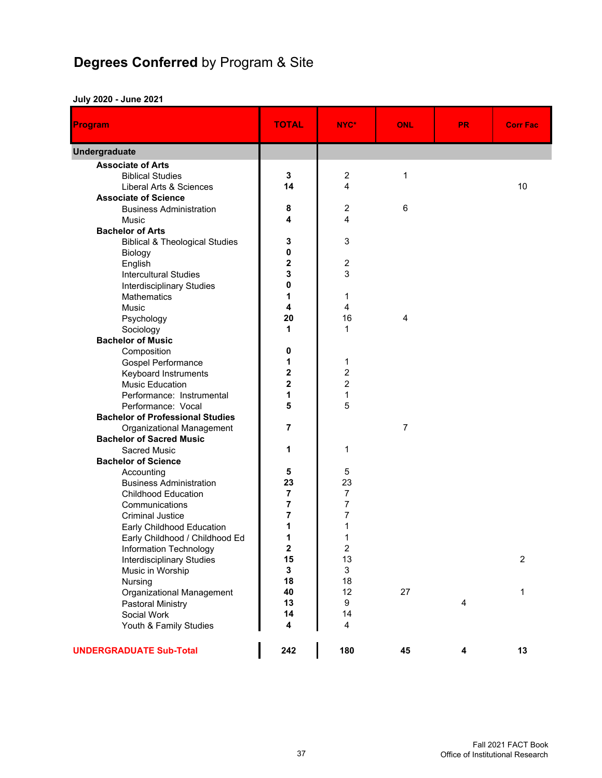# **Degrees Conferred** by Program & Site

#### **July 2020 - June 2021**

| <b>Program</b>                                  | <b>TOTAL</b>                 | NYC*                    | <b>ONL</b>     | <b>PR</b> | <b>Corr Fac</b> |
|-------------------------------------------------|------------------------------|-------------------------|----------------|-----------|-----------------|
| Undergraduate                                   |                              |                         |                |           |                 |
| <b>Associate of Arts</b>                        |                              |                         |                |           |                 |
| <b>Biblical Studies</b>                         | 3                            | $\overline{c}$          | $\mathbf{1}$   |           |                 |
| Liberal Arts & Sciences                         | 14                           | $\overline{4}$          |                |           | 10              |
| <b>Associate of Science</b>                     |                              |                         |                |           |                 |
| <b>Business Administration</b>                  | 8                            | $\overline{c}$          | 6              |           |                 |
| <b>Music</b>                                    | 4                            | 4                       |                |           |                 |
| <b>Bachelor of Arts</b>                         |                              |                         |                |           |                 |
| <b>Biblical &amp; Theological Studies</b>       | 3                            | 3                       |                |           |                 |
| Biology                                         | 0                            |                         |                |           |                 |
| English                                         | $\overline{\mathbf{c}}$      | $\overline{c}$          |                |           |                 |
| <b>Intercultural Studies</b>                    | 3                            | 3                       |                |           |                 |
| <b>Interdisciplinary Studies</b>                | 0                            |                         |                |           |                 |
| Mathematics                                     | 1                            | 1                       |                |           |                 |
| Music                                           | 4                            | 4                       |                |           |                 |
| Psychology                                      | 20                           | 16                      | 4              |           |                 |
| Sociology                                       | 1                            | $\mathbf{1}$            |                |           |                 |
| <b>Bachelor of Music</b>                        |                              |                         |                |           |                 |
| Composition                                     | 0                            |                         |                |           |                 |
| <b>Gospel Performance</b>                       | 1                            | 1                       |                |           |                 |
| Keyboard Instruments                            | 2                            | $\overline{c}$          |                |           |                 |
| <b>Music Education</b>                          | $\overline{\mathbf{c}}$<br>1 | $\overline{c}$          |                |           |                 |
| Performance: Instrumental                       | 5                            | $\mathbf{1}$            |                |           |                 |
| Performance: Vocal                              |                              | 5                       |                |           |                 |
| <b>Bachelor of Professional Studies</b>         | 7                            |                         | $\overline{7}$ |           |                 |
| Organizational Management                       |                              |                         |                |           |                 |
| <b>Bachelor of Sacred Music</b><br>Sacred Music | 1                            | 1                       |                |           |                 |
| <b>Bachelor of Science</b>                      |                              |                         |                |           |                 |
| Accounting                                      | 5                            | 5                       |                |           |                 |
| <b>Business Administration</b>                  | 23                           | 23                      |                |           |                 |
| <b>Childhood Education</b>                      | $\overline{7}$               | $\overline{7}$          |                |           |                 |
| Communications                                  | 7                            | 7                       |                |           |                 |
| <b>Criminal Justice</b>                         | 7                            | $\overline{7}$          |                |           |                 |
| Early Childhood Education                       | 1                            | 1                       |                |           |                 |
| Early Childhood / Childhood Ed                  | 1                            | 1                       |                |           |                 |
| Information Technology                          | $\mathbf 2$                  | $\overline{\mathbf{c}}$ |                |           |                 |
| <b>Interdisciplinary Studies</b>                | 15                           | 13                      |                |           | $\overline{2}$  |
| Music in Worship                                | 3                            | 3                       |                |           |                 |
| Nursing                                         | 18                           | 18                      |                |           |                 |
| Organizational Management                       | 40                           | 12                      | 27             |           | 1               |
| Pastoral Ministry                               | 13                           | 9                       |                | 4         |                 |
| Social Work                                     | 14                           | 14                      |                |           |                 |
| Youth & Family Studies                          | 4                            | 4                       |                |           |                 |
|                                                 |                              |                         |                |           |                 |
| <b>UNDERGRADUATE Sub-Total</b>                  | 242                          | 180                     | 45             | 4         | 13              |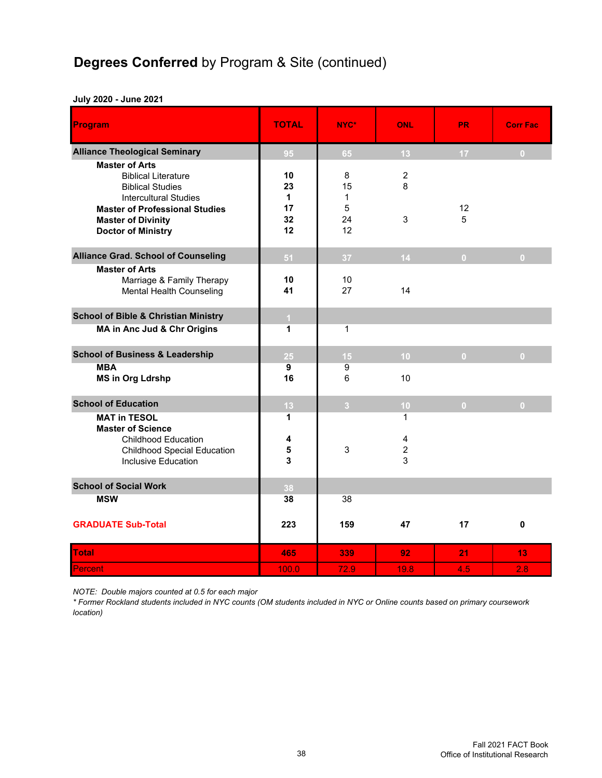## **Degrees Conferred** by Program & Site (continued)

#### **July 2020 - June 2021**

| Program                                                                                                                                                                                                           | <b>TOTAL</b>                    | NYC*                                     | <b>ONL</b>                    | <b>PR</b>      | <b>Corr Fac</b> |
|-------------------------------------------------------------------------------------------------------------------------------------------------------------------------------------------------------------------|---------------------------------|------------------------------------------|-------------------------------|----------------|-----------------|
| <b>Alliance Theological Seminary</b>                                                                                                                                                                              | 95                              | 65                                       | 13                            | 17             | $\overline{0}$  |
| <b>Master of Arts</b><br><b>Biblical Literature</b><br><b>Biblical Studies</b><br><b>Intercultural Studies</b><br><b>Master of Professional Studies</b><br><b>Master of Divinity</b><br><b>Doctor of Ministry</b> | 10<br>23<br>1<br>17<br>32<br>12 | 8<br>15<br>$\mathbf{1}$<br>5<br>24<br>12 | $\overline{c}$<br>8<br>3      | 12<br>5        |                 |
| <b>Alliance Grad. School of Counseling</b>                                                                                                                                                                        | 51                              | 37                                       | 14                            | $\overline{0}$ | $\overline{0}$  |
| <b>Master of Arts</b><br>Marriage & Family Therapy<br>Mental Health Counseling                                                                                                                                    | 10<br>41                        | 10<br>27                                 | 14                            |                |                 |
| <b>School of Bible &amp; Christian Ministry</b><br>MA in Anc Jud & Chr Origins                                                                                                                                    | $\mathbf{1}$<br>1               | 1                                        |                               |                |                 |
| <b>School of Business &amp; Leadership</b>                                                                                                                                                                        | 25                              | 15                                       | 10                            | $\mathbf{0}$   | $\overline{0}$  |
| <b>MBA</b><br><b>MS in Org Ldrshp</b>                                                                                                                                                                             | 9<br>16                         | 9<br>6                                   | 10                            |                |                 |
| <b>School of Education</b>                                                                                                                                                                                        | 13                              | $\overline{3}$                           | 10                            | $\mathbf{0}$   | $\overline{0}$  |
| <b>MAT in TESOL</b><br><b>Master of Science</b><br><b>Childhood Education</b><br><b>Childhood Special Education</b><br>Inclusive Education                                                                        | 1<br>4<br>5<br>3                | 3                                        | 1<br>4<br>$\overline{c}$<br>3 |                |                 |
| <b>School of Social Work</b>                                                                                                                                                                                      | 38                              |                                          |                               |                |                 |
| <b>MSW</b>                                                                                                                                                                                                        | 38                              | 38                                       |                               |                |                 |
| <b>GRADUATE Sub-Total</b>                                                                                                                                                                                         | 223                             | 159                                      | 47                            | 17             | $\mathbf 0$     |
| <b>Total</b>                                                                                                                                                                                                      | 465                             | 339                                      | 92                            | 21             | 13              |
| Percent                                                                                                                                                                                                           | 100.0                           | 72.9                                     | 19.8                          | 4.5            | 2.8             |

*NOTE: Double majors counted at 0.5 for each major*

*\* Former Rockland students included in NYC counts (OM students included in NYC or Online counts based on primary coursework location)*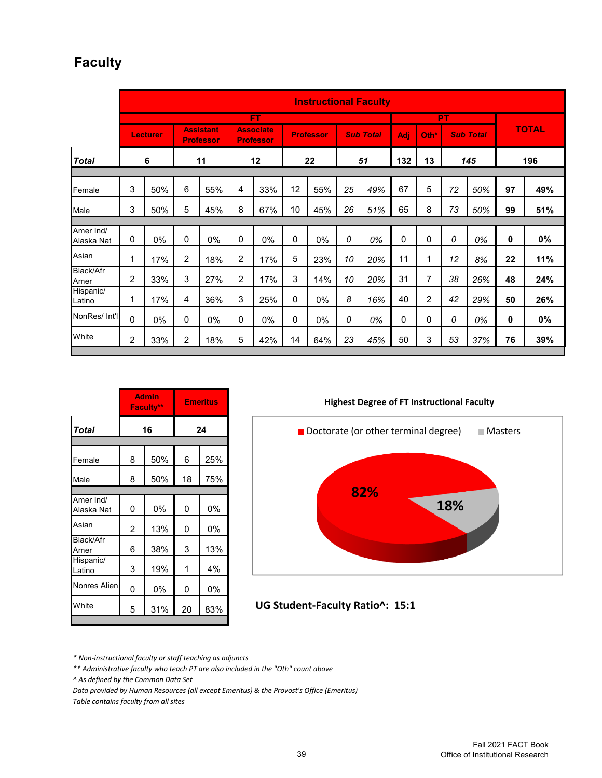### **Faculty**

|                         | <b>Instructional Faculty</b> |                 |                |                                      |                |                                      |    |                  |    |                  |             |                |    |                  |              |              |
|-------------------------|------------------------------|-----------------|----------------|--------------------------------------|----------------|--------------------------------------|----|------------------|----|------------------|-------------|----------------|----|------------------|--------------|--------------|
|                         |                              |                 |                |                                      |                | FT                                   |    |                  |    |                  |             |                | PT |                  |              |              |
|                         |                              | <b>Lecturer</b> |                | <b>Assistant</b><br><b>Professor</b> |                | <b>Associate</b><br><b>Professor</b> |    | <b>Professor</b> |    | <b>Sub Total</b> | Adi         | Oth*           |    | <b>Sub Total</b> |              | <b>TOTAL</b> |
| <b>Total</b>            |                              | 6               |                | 11                                   |                | 12                                   |    | 22               |    | 51               | 132         | 13             |    | 145              |              | 196          |
|                         |                              |                 |                |                                      |                |                                      |    |                  |    |                  |             |                |    |                  |              |              |
| Female                  | 3                            | 50%             | 6              | 55%                                  | 4              | 33%                                  | 12 | 55%              | 25 | 49%              | 67          | 5              | 72 | 50%              | 97           | 49%          |
| Male                    | 3                            | 50%             | 5              | 45%                                  | 8              | 67%                                  | 10 | 45%              | 26 | 51%              | 65          | 8              | 73 | 50%              | 99           | 51%          |
|                         |                              |                 |                |                                      |                |                                      |    |                  |    |                  |             |                |    |                  |              |              |
| Amer Ind/<br>Alaska Nat | $\Omega$                     | 0%              | 0              | 0%                                   | 0              | 0%                                   | 0  | 0%               | 0  | 0%               | $\mathbf 0$ | $\mathbf 0$    | 0  | 0%               | 0            | 0%           |
| Asian                   | 1                            | 17%             | $\overline{2}$ | 18%                                  | $\overline{2}$ | 17%                                  | 5  | 23%              | 10 | 20%              | 11          | 1              | 12 | 8%               | 22           | 11%          |
| Black/Afr<br>Amer       | $\overline{c}$               | 33%             | 3              | 27%                                  | $\overline{c}$ | 17%                                  | 3  | 14%              | 10 | 20%              | 31          | 7              | 38 | 26%              | 48           | 24%          |
| Hispanic/<br>Latino     | 1                            | 17%             | 4              | 36%                                  | 3              | 25%                                  | 0  | 0%               | 8  | 16%              | 40          | $\overline{c}$ | 42 | 29%              | 50           | 26%          |
| NonRes/ Int'l           | 0                            | 0%              | 0              | 0%                                   | $\mathbf 0$    | 0%                                   | 0  | 0%               | 0  | 0%               | 0           | 0              | 0  | 0%               | $\mathbf{0}$ | 0%           |
| White                   | 2                            | 33%             | 2              | 18%                                  | 5              | 42%                                  | 14 | 64%              | 23 | 45%              | 50          | 3              | 53 | 37%              | 76           | 39%          |

|                         |                | <b>Admin</b><br>Faculty** |    | <b>Emeritus</b> |  |
|-------------------------|----------------|---------------------------|----|-----------------|--|
| <b>Total</b>            |                | 16                        | 24 |                 |  |
|                         |                |                           |    |                 |  |
| Female                  | 8              | 50%                       | 6  | 25%             |  |
| Male                    | 8              | 50%                       | 18 | 75%             |  |
|                         |                |                           |    |                 |  |
| Amer Ind/<br>Alaska Nat | 0              | 0%                        | 0  | 0%              |  |
| Asian                   | $\overline{2}$ | 13%                       | 0  | 0%              |  |
| Black/Afr<br>Amer       | 6              | 38%                       | 3  | 13%             |  |
| Hispanic/<br>Latino     | 3              | 19%                       | 1  | 4%              |  |
| Nonres Alien            | 0              | 0%                        | 0  | 0%              |  |
| White                   | 5              | 31%                       | 20 | 83%             |  |





**UG Student‐Faculty Ratio^: 15:1**

*\* Non‐instructional faculty or staff teaching as adjuncts*

*\*\* Administrative faculty who teach PT are also included in the "Oth" count above*

*^ As defined by the Common Data Set*

*Data provided by Human Resources (all except Emeritus) & the Provost's Office (Emeritus)*

*Table contains faculty from all sites*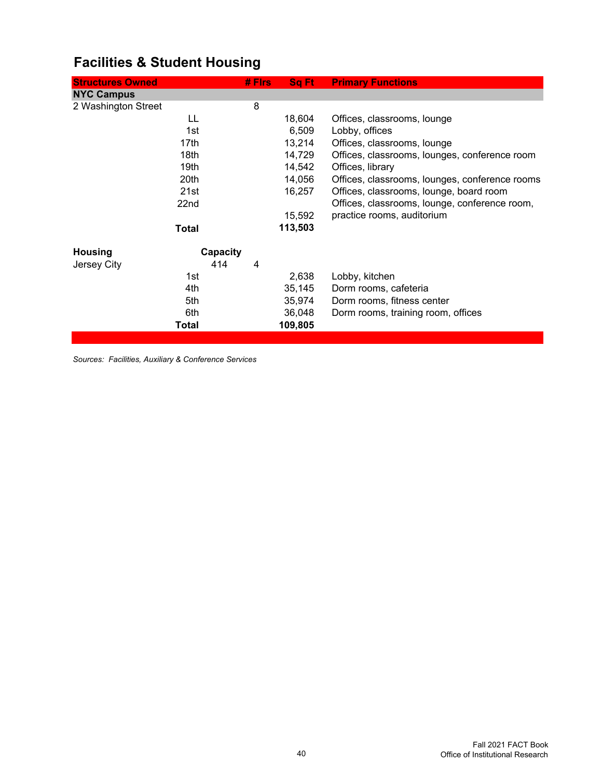| <b>Structures Owned</b> | # Firs   | Sq Ft   | <b>Primary Functions</b>                       |
|-------------------------|----------|---------|------------------------------------------------|
| <b>NYC Campus</b>       |          |         |                                                |
| 2 Washington Street     | 8        |         |                                                |
| LL                      |          | 18,604  | Offices, classrooms, lounge                    |
| 1st                     |          | 6,509   | Lobby, offices                                 |
| 17th                    |          | 13,214  | Offices, classrooms, lounge                    |
| 18th                    |          | 14,729  | Offices, classrooms, lounges, conference room  |
| 19th                    |          | 14,542  | Offices, library                               |
| 20th                    |          | 14,056  | Offices, classrooms, lounges, conference rooms |
| 21st                    |          | 16,257  | Offices, classrooms, lounge, board room        |
| 22 <sub>nd</sub>        |          |         | Offices, classrooms, lounge, conference room,  |
|                         |          | 15,592  | practice rooms, auditorium                     |
| <b>Total</b>            |          | 113,503 |                                                |
| <b>Housing</b>          | Capacity |         |                                                |
| Jersey City             | 414<br>4 |         |                                                |
| 1st                     |          | 2,638   | Lobby, kitchen                                 |
| 4th                     |          | 35,145  | Dorm rooms, cafeteria                          |
| 5th                     |          | 35,974  | Dorm rooms, fitness center                     |
| 6th                     |          | 36,048  | Dorm rooms, training room, offices             |
| Total                   |          | 109,805 |                                                |

## **Facilities & Student Housing**

*Sources: Facilities, Auxiliary & Conference Services*